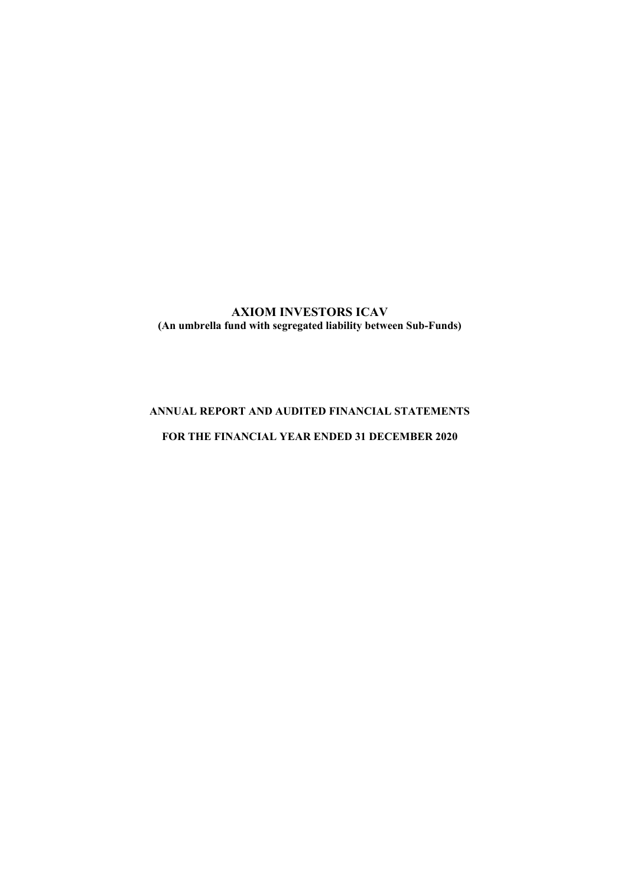# **AXIOM INVESTORS ICAV (An umbrella fund with segregated liability between Sub-Funds)**

# **ANNUAL REPORT AND AUDITED FINANCIAL STATEMENTS**

# **FOR THE FINANCIAL YEAR ENDED 31 DECEMBER 2020**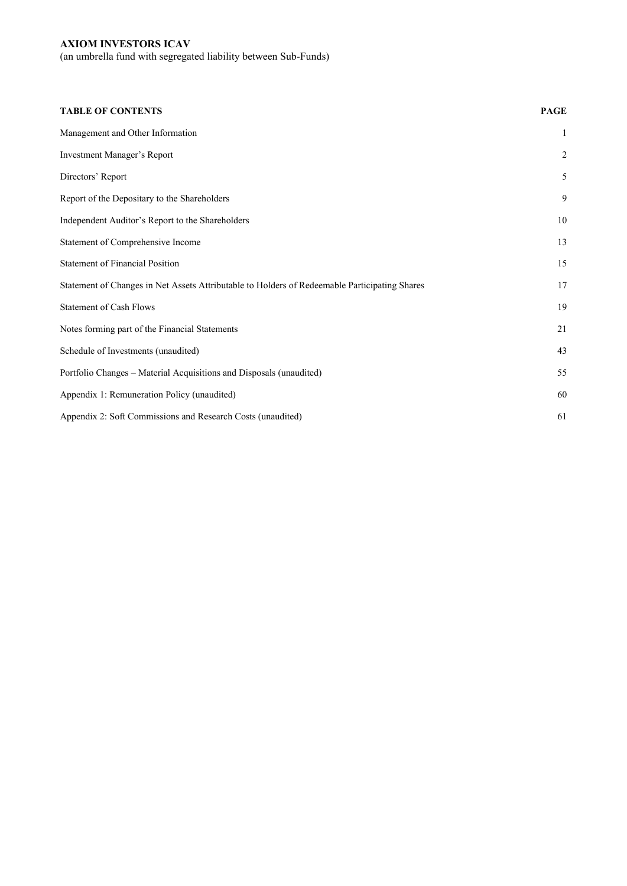(an umbrella fund with segregated liability between Sub-Funds)

| <b>TABLE OF CONTENTS</b>                                                                      | <b>PAGE</b>    |
|-----------------------------------------------------------------------------------------------|----------------|
| Management and Other Information                                                              | $\mathbf{1}$   |
| Investment Manager's Report                                                                   | $\overline{c}$ |
| Directors' Report                                                                             | $\mathfrak s$  |
| Report of the Depositary to the Shareholders                                                  | 9              |
| Independent Auditor's Report to the Shareholders                                              | 10             |
| Statement of Comprehensive Income                                                             | 13             |
| <b>Statement of Financial Position</b>                                                        | 15             |
| Statement of Changes in Net Assets Attributable to Holders of Redeemable Participating Shares | 17             |
| <b>Statement of Cash Flows</b>                                                                | 19             |
| Notes forming part of the Financial Statements                                                | 21             |
| Schedule of Investments (unaudited)                                                           | 43             |
| Portfolio Changes - Material Acquisitions and Disposals (unaudited)                           | 55             |
| Appendix 1: Remuneration Policy (unaudited)                                                   | 60             |
| Appendix 2: Soft Commissions and Research Costs (unaudited)                                   | 61             |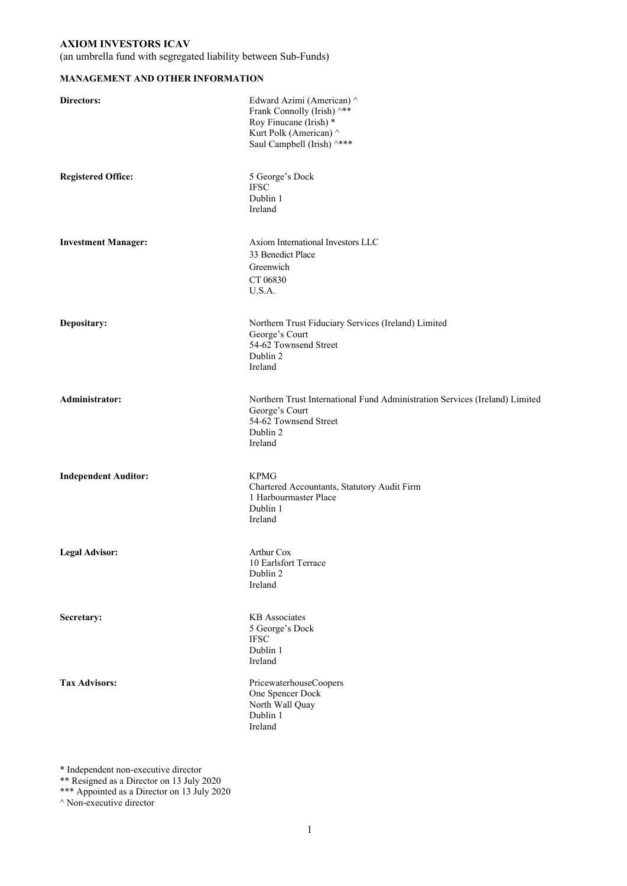(an umbrella fund with segregated liability between Sub-Funds)

## **MANAGEMENT AND OTHER INFORMATION**

| Directors:                  | Edward Azimi (American) ^<br>Frank Connolly (Irish) ^**<br>Roy Finucane (Irish) *<br>Kurt Polk (American) ^<br>Saul Campbell (Irish) ^***     |
|-----------------------------|-----------------------------------------------------------------------------------------------------------------------------------------------|
| <b>Registered Office:</b>   | 5 George's Dock<br><b>IFSC</b><br>Dublin 1<br>Ireland                                                                                         |
| <b>Investment Manager:</b>  | Axiom International Investors LLC<br>33 Benedict Place<br>Greenwich<br>CT 06830<br>U.S.A.                                                     |
| Depositary:                 | Northern Trust Fiduciary Services (Ireland) Limited<br>George's Court<br>54-62 Townsend Street<br>Dublin 2<br>Ireland                         |
| Administrator:              | Northern Trust International Fund Administration Services (Ireland) Limited<br>George's Court<br>54-62 Townsend Street<br>Dublin 2<br>Ireland |
| <b>Independent Auditor:</b> | <b>KPMG</b><br>Chartered Accountants, Statutory Audit Firm<br>1 Harbourmaster Place<br>Dublin 1<br>Ireland                                    |
| <b>Legal Advisor:</b>       | Arthur Cox<br>10 Earlsfort Terrace<br>Dublin 2<br>Ireland                                                                                     |
| Secretary:                  | <b>KB</b> Associates<br>5 George's Dock<br>$\operatorname{IFSC}$<br>Dublin 1<br>Ireland                                                       |
| <b>Tax Advisors:</b>        | PricewaterhouseCoopers<br>One Spencer Dock<br>North Wall Quay<br>Dublin 1<br>Ireland                                                          |

\* Independent non-executive director

\*\* Resigned as a Director on 13 July 2020

\*\*\* Appointed as a Director on 13 July 2020

^ Non-executive director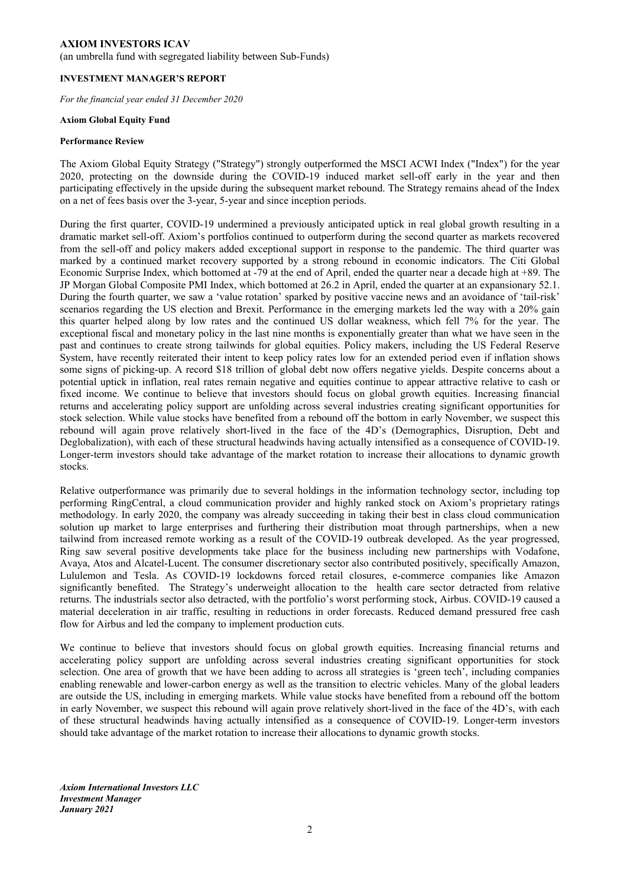(an umbrella fund with segregated liability between Sub-Funds)

#### **INVESTMENT MANAGER'S REPORT**

*For the financial year ended 31 December 2020* 

### **Axiom Global Equity Fund**

#### **Performance Review**

The Axiom Global Equity Strategy ("Strategy") strongly outperformed the MSCI ACWI Index ("Index") for the year 2020, protecting on the downside during the COVID-19 induced market sell-off early in the year and then participating effectively in the upside during the subsequent market rebound. The Strategy remains ahead of the Index on a net of fees basis over the 3-year, 5-year and since inception periods.

During the first quarter, COVID-19 undermined a previously anticipated uptick in real global growth resulting in a dramatic market sell-off. Axiom's portfolios continued to outperform during the second quarter as markets recovered from the sell-off and policy makers added exceptional support in response to the pandemic. The third quarter was marked by a continued market recovery supported by a strong rebound in economic indicators. The Citi Global Economic Surprise Index, which bottomed at -79 at the end of April, ended the quarter near a decade high at +89. The JP Morgan Global Composite PMI Index, which bottomed at 26.2 in April, ended the quarter at an expansionary 52.1. During the fourth quarter, we saw a 'value rotation' sparked by positive vaccine news and an avoidance of 'tail-risk' scenarios regarding the US election and Brexit. Performance in the emerging markets led the way with a 20% gain this quarter helped along by low rates and the continued US dollar weakness, which fell 7% for the year. The exceptional fiscal and monetary policy in the last nine months is exponentially greater than what we have seen in the past and continues to create strong tailwinds for global equities. Policy makers, including the US Federal Reserve System, have recently reiterated their intent to keep policy rates low for an extended period even if inflation shows some signs of picking-up. A record \$18 trillion of global debt now offers negative yields. Despite concerns about a potential uptick in inflation, real rates remain negative and equities continue to appear attractive relative to cash or fixed income. We continue to believe that investors should focus on global growth equities. Increasing financial returns and accelerating policy support are unfolding across several industries creating significant opportunities for stock selection. While value stocks have benefited from a rebound off the bottom in early November, we suspect this rebound will again prove relatively short-lived in the face of the 4D's (Demographics, Disruption, Debt and Deglobalization), with each of these structural headwinds having actually intensified as a consequence of COVID-19. Longer-term investors should take advantage of the market rotation to increase their allocations to dynamic growth stocks.

Relative outperformance was primarily due to several holdings in the information technology sector, including top performing RingCentral, a cloud communication provider and highly ranked stock on Axiom's proprietary ratings methodology. In early 2020, the company was already succeeding in taking their best in class cloud communication solution up market to large enterprises and furthering their distribution moat through partnerships, when a new tailwind from increased remote working as a result of the COVID-19 outbreak developed. As the year progressed, Ring saw several positive developments take place for the business including new partnerships with Vodafone, Avaya, Atos and Alcatel-Lucent. The consumer discretionary sector also contributed positively, specifically Amazon, Lululemon and Tesla. As COVID-19 lockdowns forced retail closures, e-commerce companies like Amazon significantly benefited. The Strategy's underweight allocation to the health care sector detracted from relative returns. The industrials sector also detracted, with the portfolio's worst performing stock, Airbus. COVID-19 caused a material deceleration in air traffic, resulting in reductions in order forecasts. Reduced demand pressured free cash flow for Airbus and led the company to implement production cuts.

We continue to believe that investors should focus on global growth equities. Increasing financial returns and accelerating policy support are unfolding across several industries creating significant opportunities for stock selection. One area of growth that we have been adding to across all strategies is 'green tech', including companies enabling renewable and lower-carbon energy as well as the transition to electric vehicles. Many of the global leaders are outside the US, including in emerging markets. While value stocks have benefited from a rebound off the bottom in early November, we suspect this rebound will again prove relatively short-lived in the face of the 4D's, with each of these structural headwinds having actually intensified as a consequence of COVID-19. Longer-term investors should take advantage of the market rotation to increase their allocations to dynamic growth stocks.

*Axiom International Investors LLC Investment Manager January 2021*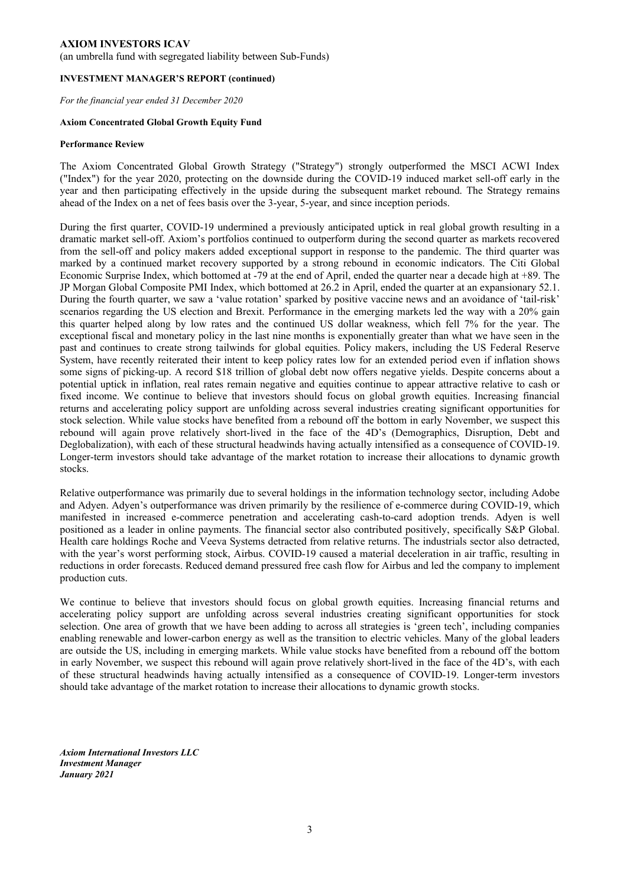(an umbrella fund with segregated liability between Sub-Funds)

#### **INVESTMENT MANAGER'S REPORT (continued)**

*For the financial year ended 31 December 2020* 

#### **Axiom Concentrated Global Growth Equity Fund**

#### **Performance Review**

The Axiom Concentrated Global Growth Strategy ("Strategy") strongly outperformed the MSCI ACWI Index ("Index") for the year 2020, protecting on the downside during the COVID-19 induced market sell-off early in the year and then participating effectively in the upside during the subsequent market rebound. The Strategy remains ahead of the Index on a net of fees basis over the 3-year, 5-year, and since inception periods.

During the first quarter, COVID-19 undermined a previously anticipated uptick in real global growth resulting in a dramatic market sell-off. Axiom's portfolios continued to outperform during the second quarter as markets recovered from the sell-off and policy makers added exceptional support in response to the pandemic. The third quarter was marked by a continued market recovery supported by a strong rebound in economic indicators. The Citi Global Economic Surprise Index, which bottomed at -79 at the end of April, ended the quarter near a decade high at +89. The JP Morgan Global Composite PMI Index, which bottomed at 26.2 in April, ended the quarter at an expansionary 52.1. During the fourth quarter, we saw a 'value rotation' sparked by positive vaccine news and an avoidance of 'tail-risk' scenarios regarding the US election and Brexit. Performance in the emerging markets led the way with a 20% gain this quarter helped along by low rates and the continued US dollar weakness, which fell 7% for the year. The exceptional fiscal and monetary policy in the last nine months is exponentially greater than what we have seen in the past and continues to create strong tailwinds for global equities. Policy makers, including the US Federal Reserve System, have recently reiterated their intent to keep policy rates low for an extended period even if inflation shows some signs of picking-up. A record \$18 trillion of global debt now offers negative yields. Despite concerns about a potential uptick in inflation, real rates remain negative and equities continue to appear attractive relative to cash or fixed income. We continue to believe that investors should focus on global growth equities. Increasing financial returns and accelerating policy support are unfolding across several industries creating significant opportunities for stock selection. While value stocks have benefited from a rebound off the bottom in early November, we suspect this rebound will again prove relatively short-lived in the face of the 4D's (Demographics, Disruption, Debt and Deglobalization), with each of these structural headwinds having actually intensified as a consequence of COVID-19. Longer-term investors should take advantage of the market rotation to increase their allocations to dynamic growth stocks.

Relative outperformance was primarily due to several holdings in the information technology sector, including Adobe and Adyen. Adyen's outperformance was driven primarily by the resilience of e-commerce during COVID-19, which manifested in increased e-commerce penetration and accelerating cash-to-card adoption trends. Adyen is well positioned as a leader in online payments. The financial sector also contributed positively, specifically S&P Global. Health care holdings Roche and Veeva Systems detracted from relative returns. The industrials sector also detracted, with the year's worst performing stock, Airbus. COVID-19 caused a material deceleration in air traffic, resulting in reductions in order forecasts. Reduced demand pressured free cash flow for Airbus and led the company to implement production cuts.

We continue to believe that investors should focus on global growth equities. Increasing financial returns and accelerating policy support are unfolding across several industries creating significant opportunities for stock selection. One area of growth that we have been adding to across all strategies is 'green tech', including companies enabling renewable and lower-carbon energy as well as the transition to electric vehicles. Many of the global leaders are outside the US, including in emerging markets. While value stocks have benefited from a rebound off the bottom in early November, we suspect this rebound will again prove relatively short-lived in the face of the 4D's, with each of these structural headwinds having actually intensified as a consequence of COVID-19. Longer-term investors should take advantage of the market rotation to increase their allocations to dynamic growth stocks.

*Axiom International Investors LLC Investment Manager January 2021*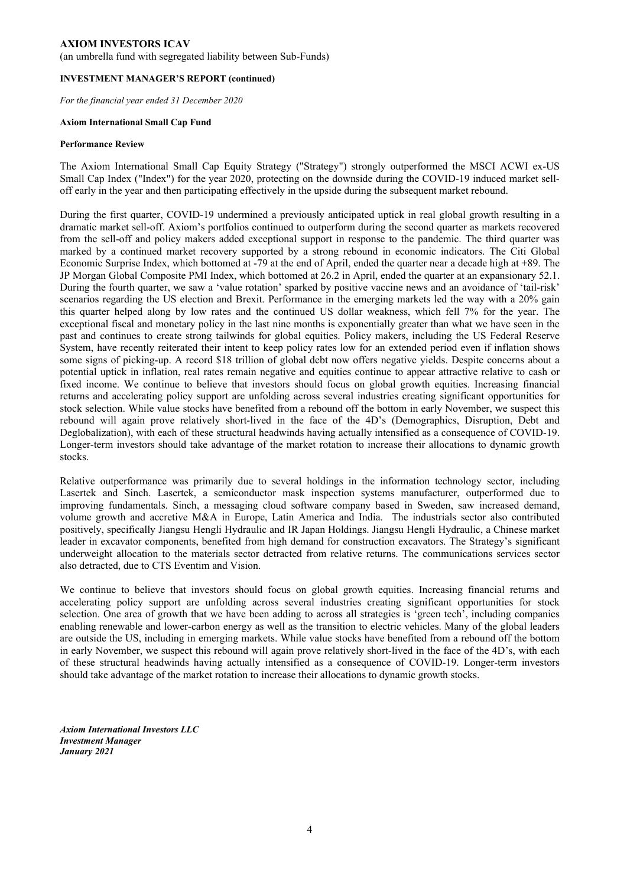(an umbrella fund with segregated liability between Sub-Funds)

### **INVESTMENT MANAGER'S REPORT (continued)**

*For the financial year ended 31 December 2020* 

### **Axiom International Small Cap Fund**

#### **Performance Review**

The Axiom International Small Cap Equity Strategy ("Strategy") strongly outperformed the MSCI ACWI ex-US Small Cap Index ("Index") for the year 2020, protecting on the downside during the COVID-19 induced market selloff early in the year and then participating effectively in the upside during the subsequent market rebound.

During the first quarter, COVID-19 undermined a previously anticipated uptick in real global growth resulting in a dramatic market sell-off. Axiom's portfolios continued to outperform during the second quarter as markets recovered from the sell-off and policy makers added exceptional support in response to the pandemic. The third quarter was marked by a continued market recovery supported by a strong rebound in economic indicators. The Citi Global Economic Surprise Index, which bottomed at -79 at the end of April, ended the quarter near a decade high at +89. The JP Morgan Global Composite PMI Index, which bottomed at 26.2 in April, ended the quarter at an expansionary 52.1. During the fourth quarter, we saw a 'value rotation' sparked by positive vaccine news and an avoidance of 'tail-risk' scenarios regarding the US election and Brexit. Performance in the emerging markets led the way with a 20% gain this quarter helped along by low rates and the continued US dollar weakness, which fell 7% for the year. The exceptional fiscal and monetary policy in the last nine months is exponentially greater than what we have seen in the past and continues to create strong tailwinds for global equities. Policy makers, including the US Federal Reserve System, have recently reiterated their intent to keep policy rates low for an extended period even if inflation shows some signs of picking-up. A record \$18 trillion of global debt now offers negative yields. Despite concerns about a potential uptick in inflation, real rates remain negative and equities continue to appear attractive relative to cash or fixed income. We continue to believe that investors should focus on global growth equities. Increasing financial returns and accelerating policy support are unfolding across several industries creating significant opportunities for stock selection. While value stocks have benefited from a rebound off the bottom in early November, we suspect this rebound will again prove relatively short-lived in the face of the 4D's (Demographics, Disruption, Debt and Deglobalization), with each of these structural headwinds having actually intensified as a consequence of COVID-19. Longer-term investors should take advantage of the market rotation to increase their allocations to dynamic growth stocks.

Relative outperformance was primarily due to several holdings in the information technology sector, including Lasertek and Sinch. Lasertek, a semiconductor mask inspection systems manufacturer, outperformed due to improving fundamentals. Sinch, a messaging cloud software company based in Sweden, saw increased demand, volume growth and accretive M&A in Europe, Latin America and India. The industrials sector also contributed positively, specifically Jiangsu Hengli Hydraulic and IR Japan Holdings. Jiangsu Hengli Hydraulic, a Chinese market leader in excavator components, benefited from high demand for construction excavators. The Strategy's significant underweight allocation to the materials sector detracted from relative returns. The communications services sector also detracted, due to CTS Eventim and Vision.

We continue to believe that investors should focus on global growth equities. Increasing financial returns and accelerating policy support are unfolding across several industries creating significant opportunities for stock selection. One area of growth that we have been adding to across all strategies is 'green tech', including companies enabling renewable and lower-carbon energy as well as the transition to electric vehicles. Many of the global leaders are outside the US, including in emerging markets. While value stocks have benefited from a rebound off the bottom in early November, we suspect this rebound will again prove relatively short-lived in the face of the 4D's, with each of these structural headwinds having actually intensified as a consequence of COVID-19. Longer-term investors should take advantage of the market rotation to increase their allocations to dynamic growth stocks.

*Axiom International Investors LLC Investment Manager January 2021*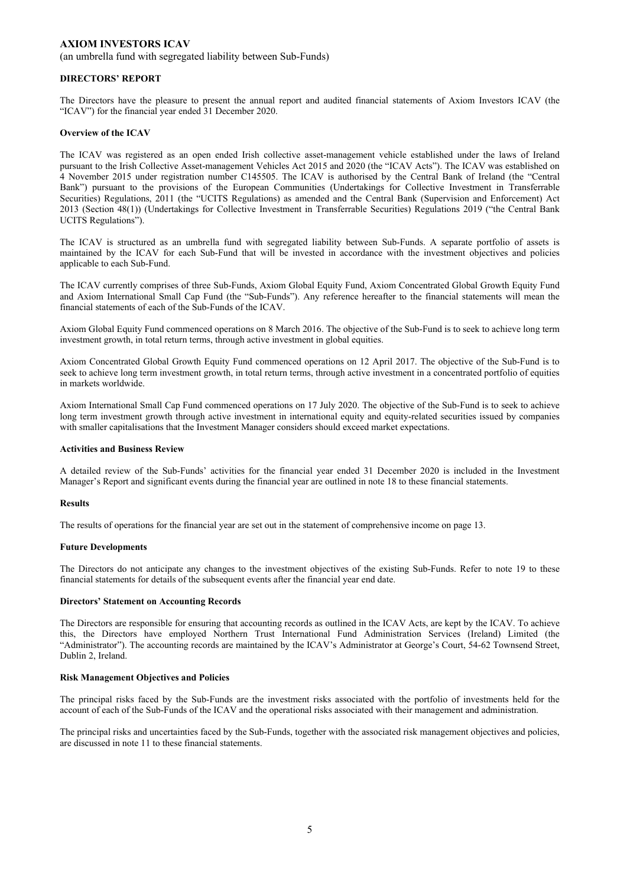(an umbrella fund with segregated liability between Sub-Funds)

#### **DIRECTORS' REPORT**

The Directors have the pleasure to present the annual report and audited financial statements of Axiom Investors ICAV (the "ICAV") for the financial year ended 31 December 2020.

#### **Overview of the ICAV**

The ICAV was registered as an open ended Irish collective asset-management vehicle established under the laws of Ireland pursuant to the Irish Collective Asset-management Vehicles Act 2015 and 2020 (the "ICAV Acts"). The ICAV was established on 4 November 2015 under registration number C145505. The ICAV is authorised by the Central Bank of Ireland (the "Central Bank") pursuant to the provisions of the European Communities (Undertakings for Collective Investment in Transferrable Securities) Regulations, 2011 (the "UCITS Regulations) as amended and the Central Bank (Supervision and Enforcement) Act 2013 (Section 48(1)) (Undertakings for Collective Investment in Transferrable Securities) Regulations 2019 ("the Central Bank UCITS Regulations").

The ICAV is structured as an umbrella fund with segregated liability between Sub-Funds. A separate portfolio of assets is maintained by the ICAV for each Sub-Fund that will be invested in accordance with the investment objectives and policies applicable to each Sub-Fund.

The ICAV currently comprises of three Sub-Funds, Axiom Global Equity Fund, Axiom Concentrated Global Growth Equity Fund and Axiom International Small Cap Fund (the "Sub-Funds"). Any reference hereafter to the financial statements will mean the financial statements of each of the Sub-Funds of the ICAV.

Axiom Global Equity Fund commenced operations on 8 March 2016. The objective of the Sub-Fund is to seek to achieve long term investment growth, in total return terms, through active investment in global equities.

Axiom Concentrated Global Growth Equity Fund commenced operations on 12 April 2017. The objective of the Sub-Fund is to seek to achieve long term investment growth, in total return terms, through active investment in a concentrated portfolio of equities in markets worldwide.

Axiom International Small Cap Fund commenced operations on 17 July 2020. The objective of the Sub-Fund is to seek to achieve long term investment growth through active investment in international equity and equity-related securities issued by companies with smaller capitalisations that the Investment Manager considers should exceed market expectations.

### **Activities and Business Review**

A detailed review of the Sub-Funds' activities for the financial year ended 31 December 2020 is included in the Investment Manager's Report and significant events during the financial year are outlined in note 18 to these financial statements.

### **Results**

The results of operations for the financial year are set out in the statement of comprehensive income on page 13.

### **Future Developments**

The Directors do not anticipate any changes to the investment objectives of the existing Sub-Funds. Refer to note 19 to these financial statements for details of the subsequent events after the financial year end date.

#### **Directors' Statement on Accounting Records**

The Directors are responsible for ensuring that accounting records as outlined in the ICAV Acts, are kept by the ICAV. To achieve this, the Directors have employed Northern Trust International Fund Administration Services (Ireland) Limited (the "Administrator"). The accounting records are maintained by the ICAV's Administrator at George's Court, 54-62 Townsend Street, Dublin 2, Ireland.

#### **Risk Management Objectives and Policies**

The principal risks faced by the Sub-Funds are the investment risks associated with the portfolio of investments held for the account of each of the Sub-Funds of the ICAV and the operational risks associated with their management and administration.

The principal risks and uncertainties faced by the Sub-Funds, together with the associated risk management objectives and policies, are discussed in note 11 to these financial statements.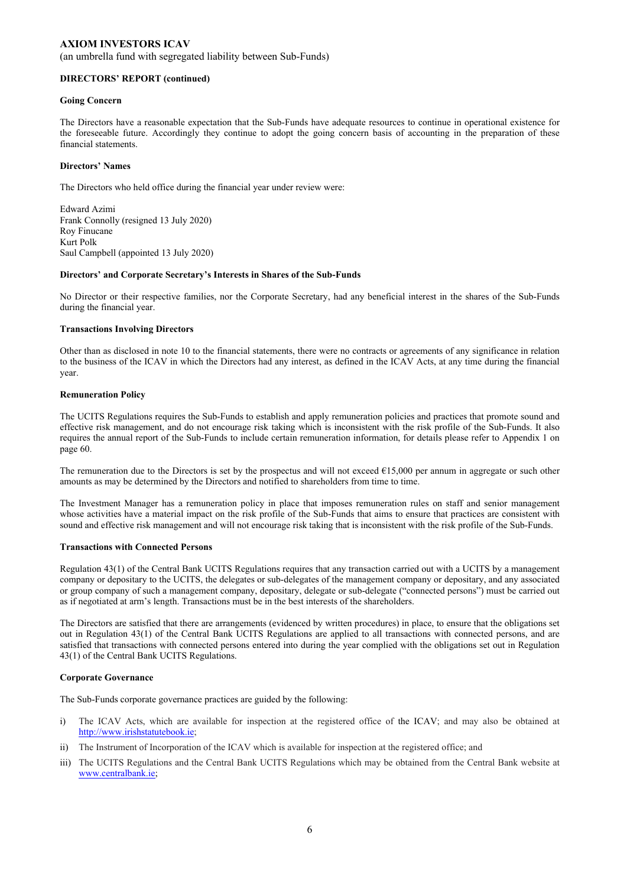(an umbrella fund with segregated liability between Sub-Funds)

#### **DIRECTORS' REPORT (continued)**

#### **Going Concern**

The Directors have a reasonable expectation that the Sub-Funds have adequate resources to continue in operational existence for the foreseeable future. Accordingly they continue to adopt the going concern basis of accounting in the preparation of these financial statements.

#### **Directors' Names**

The Directors who held office during the financial year under review were:

Edward Azimi Frank Connolly (resigned 13 July 2020) Roy Finucane Kurt Polk Saul Campbell (appointed 13 July 2020)

#### **Directors' and Corporate Secretary's Interests in Shares of the Sub-Funds**

No Director or their respective families, nor the Corporate Secretary, had any beneficial interest in the shares of the Sub-Funds during the financial year.

#### **Transactions Involving Directors**

Other than as disclosed in note 10 to the financial statements, there were no contracts or agreements of any significance in relation to the business of the ICAV in which the Directors had any interest, as defined in the ICAV Acts, at any time during the financial year.

#### **Remuneration Policy**

The UCITS Regulations requires the Sub-Funds to establish and apply remuneration policies and practices that promote sound and effective risk management, and do not encourage risk taking which is inconsistent with the risk profile of the Sub-Funds. It also requires the annual report of the Sub-Funds to include certain remuneration information, for details please refer to Appendix 1 on page 60.

The remuneration due to the Directors is set by the prospectus and will not exceed  $\epsilon$ 15,000 per annum in aggregate or such other amounts as may be determined by the Directors and notified to shareholders from time to time.

The Investment Manager has a remuneration policy in place that imposes remuneration rules on staff and senior management whose activities have a material impact on the risk profile of the Sub-Funds that aims to ensure that practices are consistent with sound and effective risk management and will not encourage risk taking that is inconsistent with the risk profile of the Sub-Funds.

### **Transactions with Connected Persons**

Regulation 43(1) of the Central Bank UCITS Regulations requires that any transaction carried out with a UCITS by a management company or depositary to the UCITS, the delegates or sub-delegates of the management company or depositary, and any associated or group company of such a management company, depositary, delegate or sub-delegate ("connected persons") must be carried out as if negotiated at arm's length. Transactions must be in the best interests of the shareholders.

The Directors are satisfied that there are arrangements (evidenced by written procedures) in place, to ensure that the obligations set out in Regulation 43(1) of the Central Bank UCITS Regulations are applied to all transactions with connected persons, and are satisfied that transactions with connected persons entered into during the year complied with the obligations set out in Regulation 43(1) of the Central Bank UCITS Regulations.

### **Corporate Governance**

The Sub-Funds corporate governance practices are guided by the following:

- i) The ICAV Acts, which are available for inspection at the registered office of the ICAV; and may also be obtained at http://www.irishstatutebook.ie;
- ii) The Instrument of Incorporation of the ICAV which is available for inspection at the registered office; and
- iii) The UCITS Regulations and the Central Bank UCITS Regulations which may be obtained from the Central Bank website at www.centralbank.ie;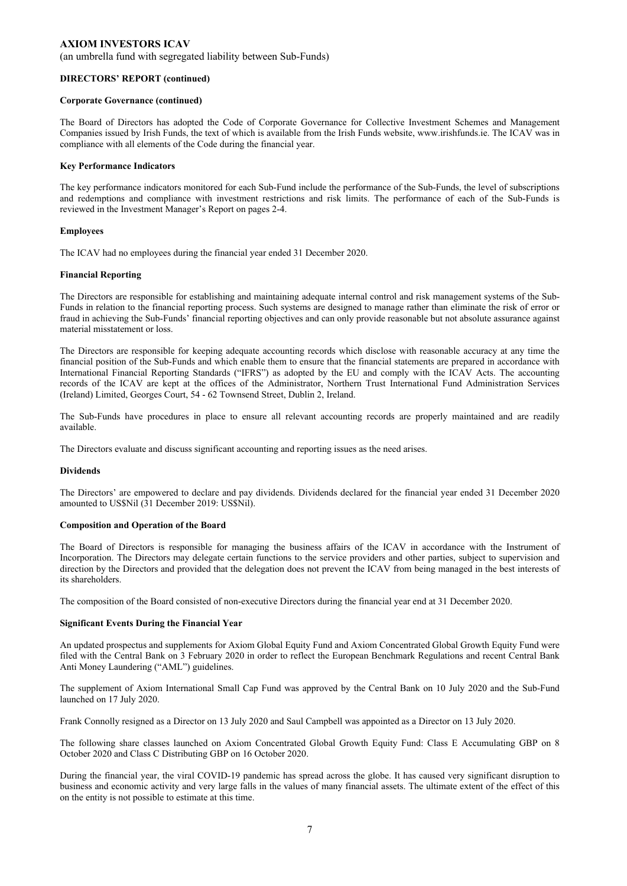(an umbrella fund with segregated liability between Sub-Funds)

#### **DIRECTORS' REPORT (continued)**

#### **Corporate Governance (continued)**

The Board of Directors has adopted the Code of Corporate Governance for Collective Investment Schemes and Management Companies issued by Irish Funds, the text of which is available from the Irish Funds website, www.irishfunds.ie. The ICAV was in compliance with all elements of the Code during the financial year.

#### **Key Performance Indicators**

The key performance indicators monitored for each Sub-Fund include the performance of the Sub-Funds, the level of subscriptions and redemptions and compliance with investment restrictions and risk limits. The performance of each of the Sub-Funds is reviewed in the Investment Manager's Report on pages 2-4.

#### **Employees**

The ICAV had no employees during the financial year ended 31 December 2020.

#### **Financial Reporting**

The Directors are responsible for establishing and maintaining adequate internal control and risk management systems of the Sub-Funds in relation to the financial reporting process. Such systems are designed to manage rather than eliminate the risk of error or fraud in achieving the Sub-Funds' financial reporting objectives and can only provide reasonable but not absolute assurance against material misstatement or loss.

The Directors are responsible for keeping adequate accounting records which disclose with reasonable accuracy at any time the financial position of the Sub-Funds and which enable them to ensure that the financial statements are prepared in accordance with International Financial Reporting Standards ("IFRS") as adopted by the EU and comply with the ICAV Acts. The accounting records of the ICAV are kept at the offices of the Administrator, Northern Trust International Fund Administration Services (Ireland) Limited, Georges Court, 54 - 62 Townsend Street, Dublin 2, Ireland.

The Sub-Funds have procedures in place to ensure all relevant accounting records are properly maintained and are readily available.

The Directors evaluate and discuss significant accounting and reporting issues as the need arises.

#### **Dividends**

The Directors' are empowered to declare and pay dividends. Dividends declared for the financial year ended 31 December 2020 amounted to US\$Nil (31 December 2019: US\$Nil).

#### **Composition and Operation of the Board**

The Board of Directors is responsible for managing the business affairs of the ICAV in accordance with the Instrument of Incorporation. The Directors may delegate certain functions to the service providers and other parties, subject to supervision and direction by the Directors and provided that the delegation does not prevent the ICAV from being managed in the best interests of its shareholders.

The composition of the Board consisted of non-executive Directors during the financial year end at 31 December 2020.

#### **Significant Events During the Financial Year**

An updated prospectus and supplements for Axiom Global Equity Fund and Axiom Concentrated Global Growth Equity Fund were filed with the Central Bank on 3 February 2020 in order to reflect the European Benchmark Regulations and recent Central Bank Anti Money Laundering ("AML") guidelines.

The supplement of Axiom International Small Cap Fund was approved by the Central Bank on 10 July 2020 and the Sub-Fund launched on 17 July 2020.

Frank Connolly resigned as a Director on 13 July 2020 and Saul Campbell was appointed as a Director on 13 July 2020.

The following share classes launched on Axiom Concentrated Global Growth Equity Fund: Class E Accumulating GBP on 8 October 2020 and Class C Distributing GBP on 16 October 2020.

During the financial year, the viral COVID-19 pandemic has spread across the globe. It has caused very significant disruption to business and economic activity and very large falls in the values of many financial assets. The ultimate extent of the effect of this on the entity is not possible to estimate at this time.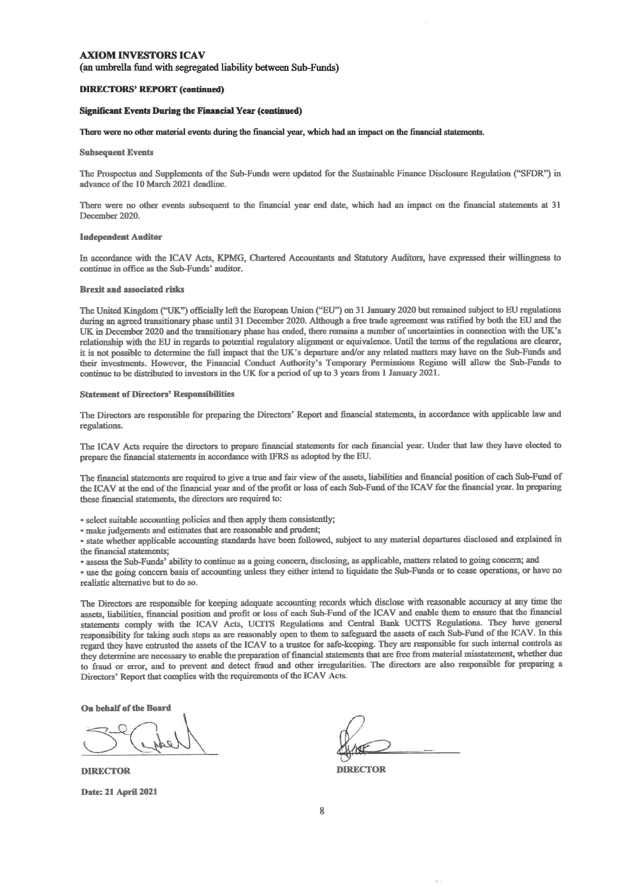(an umbrella fund with segregated liability between Sub-Funds)

#### **DIRECTORS' REPORT (continued)**

#### **Significant Events During the Financial Year (continued)**

There were no other material events during the financial year, which had an impact on the financial statements.

#### **Subsequent Events**

The Prospectus and Supplements of the Sub-Funds were updated for the Sustainable Finance Disclosure Regulation ("SFDR") in advance of the 10 March 2021 deadline.

There were no other events subsequent to the financial year end date, which had an impact on the financial statements at 31 December 2020.

#### **Independent Auditor**

In accordance with the ICAV Acts, KPMG, Chartered Accountants and Statutory Auditors, have expressed their willingness to continue in office as the Sub-Funds' auditor.

#### **Brexit and associated risks**

The United Kingdom ("UK") officially left the European Union ("EU") on 31 January 2020 but remained subject to EU regulations during an agreed transitionary phase until 31 December 2020. Although a free trade agreement was ratified by both the EU and the UK in December 2020 and the transitionary phase has ended, there remains a number of uncertainties in connection with the UK's relationship with the EU in regards to potential regulatory alignment or equivalence. Until the terms of the regulations are clearer, it is not possible to determine the full impact that the UK's departure and/or any related matters may have on the Sub-Funds and their investments. However, the Financial Conduct Authority's Temporary Permissions Regime will allow the Sub-Funds to continue to be distributed to investors in the UK for a period of up to 3 years from 1 January 2021.

#### **Statement of Directors' Responsibilities**

The Directors are responsible for preparing the Directors' Report and financial statements, in accordance with applicable law and regulations.

The ICAV Acts require the directors to prepare financial statements for each financial year. Under that law they have elected to prepare the financial statements in accordance with IFRS as adopted by the EU.

The financial statements are required to give a true and fair view of the assets, liabilities and financial position of each Sub-Fund of the ICAV at the end of the financial year and of the profit or loss of each Sub-Fund of the ICAV for the financial year. In preparing these financial statements, the directors are required to:

· select suitable accounting policies and then apply them consistently;

· make judgements and estimates that are reasonable and prudent;

· state whether applicable accounting standards have been followed, subject to any material departures disclosed and explained in the financial statements;

· assess the Sub-Funds' ability to continue as a going concern, disclosing, as applicable, matters related to going concern; and

· use the going concern basis of accounting unless they either intend to liquidate the Sub-Funds or to cease operations, or have no realistic alternative but to do so.

The Directors are responsible for keeping adequate accounting records which disclose with reasonable accuracy at any time the assets, liabilities, financial position and profit or loss of each Sub-Fund of the ICAV and enable them to ensure that the financial statements comply with the ICAV Acts, UCITS Regulations and Central Bank UCITS Regulations. They have general responsibility for taking such steps as are reasonably open to them to safeguard the assets of each Sub-Fund of the ICAV. In this regard they have entrusted the assets of the ICAV to a trustee for safe-keeping. They are responsible for such internal controls as they determine are necessary to enable the preparation of financial statements that are free from material misstatement, whether due to fraud or error, and to prevent and detect fraud and other irregularities. The directors are also responsible for preparing a Directors' Report that complies with the requirements of the ICAV Acts.

On behalf of the Board

**DIRECTOR Date: 21 April 2021** 

**DIRECTOR**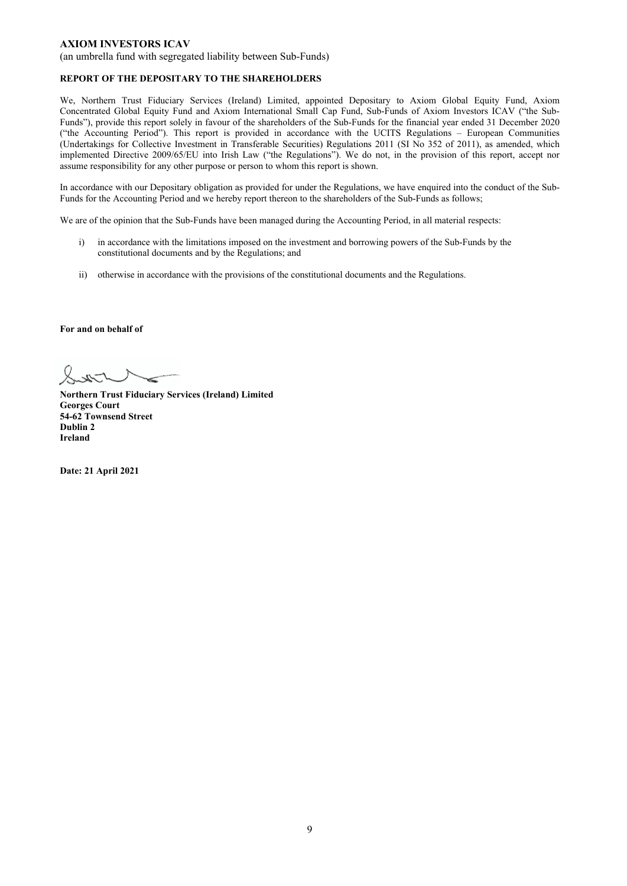(an umbrella fund with segregated liability between Sub-Funds)

### **REPORT OF THE DEPOSITARY TO THE SHAREHOLDERS**

We, Northern Trust Fiduciary Services (Ireland) Limited, appointed Depositary to Axiom Global Equity Fund, Axiom Concentrated Global Equity Fund and Axiom International Small Cap Fund, Sub-Funds of Axiom Investors ICAV ("the Sub-Funds"), provide this report solely in favour of the shareholders of the Sub-Funds for the financial year ended 31 December 2020 ("the Accounting Period"). This report is provided in accordance with the UCITS Regulations – European Communities (Undertakings for Collective Investment in Transferable Securities) Regulations 2011 (SI No 352 of 2011), as amended, which implemented Directive 2009/65/EU into Irish Law ("the Regulations"). We do not, in the provision of this report, accept nor assume responsibility for any other purpose or person to whom this report is shown.

In accordance with our Depositary obligation as provided for under the Regulations, we have enquired into the conduct of the Sub-Funds for the Accounting Period and we hereby report thereon to the shareholders of the Sub-Funds as follows;

We are of the opinion that the Sub-Funds have been managed during the Accounting Period, in all material respects:

- i) in accordance with the limitations imposed on the investment and borrowing powers of the Sub-Funds by the constitutional documents and by the Regulations; and
- ii) otherwise in accordance with the provisions of the constitutional documents and the Regulations.

### **For and on behalf of**

**Northern Trust Fiduciary Services (Ireland) Limited Georges Court 54-62 Townsend Street Dublin 2 Ireland** 

**Date: 21 April 2021**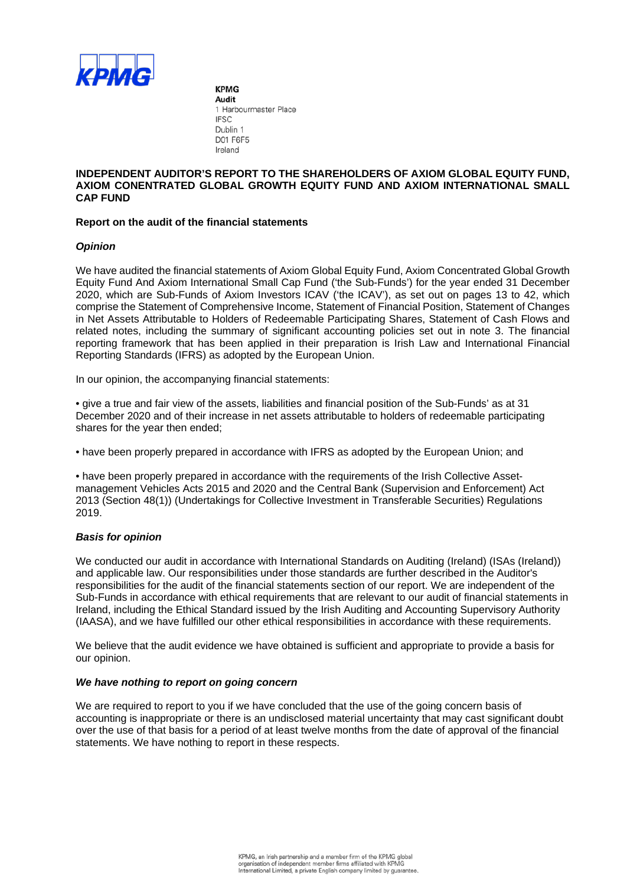

**KPMG** Audit 1 Harbourmaster Place **IFSC** Dublin 1 D01 F6F5 Ireland

## **INDEPENDENT AUDITOR'S REPORT TO THE SHAREHOLDERS OF AXIOM GLOBAL EQUITY FUND, AXIOM CONENTRATED GLOBAL GROWTH EQUITY FUND AND AXIOM INTERNATIONAL SMALL CAP FUND**

## **Report on the audit of the financial statements**

## *Opinion*

We have audited the financial statements of Axiom Global Equity Fund, Axiom Concentrated Global Growth Equity Fund And Axiom International Small Cap Fund ('the Sub-Funds') for the year ended 31 December 2020, which are Sub-Funds of Axiom Investors ICAV ('the ICAV'), as set out on pages 13 to 42, which comprise the Statement of Comprehensive Income, Statement of Financial Position, Statement of Changes in Net Assets Attributable to Holders of Redeemable Participating Shares, Statement of Cash Flows and related notes, including the summary of significant accounting policies set out in note 3. The financial reporting framework that has been applied in their preparation is Irish Law and International Financial Reporting Standards (IFRS) as adopted by the European Union.

In our opinion, the accompanying financial statements:

• give a true and fair view of the assets, liabilities and financial position of the Sub-Funds' as at 31 December 2020 and of their increase in net assets attributable to holders of redeemable participating shares for the year then ended;

• have been properly prepared in accordance with IFRS as adopted by the European Union; and

• have been properly prepared in accordance with the requirements of the Irish Collective Assetmanagement Vehicles Acts 2015 and 2020 and the Central Bank (Supervision and Enforcement) Act 2013 (Section 48(1)) (Undertakings for Collective Investment in Transferable Securities) Regulations 2019.

### *Basis for opinion*

We conducted our audit in accordance with International Standards on Auditing (Ireland) (ISAs (Ireland)) and applicable law. Our responsibilities under those standards are further described in the Auditor's responsibilities for the audit of the financial statements section of our report. We are independent of the Sub-Funds in accordance with ethical requirements that are relevant to our audit of financial statements in Ireland, including the Ethical Standard issued by the Irish Auditing and Accounting Supervisory Authority (IAASA), and we have fulfilled our other ethical responsibilities in accordance with these requirements.

We believe that the audit evidence we have obtained is sufficient and appropriate to provide a basis for our opinion.

### *We have nothing to report on going concern*

We are required to report to you if we have concluded that the use of the going concern basis of accounting is inappropriate or there is an undisclosed material uncertainty that may cast significant doubt over the use of that basis for a period of at least twelve months from the date of approval of the financial statements. We have nothing to report in these respects.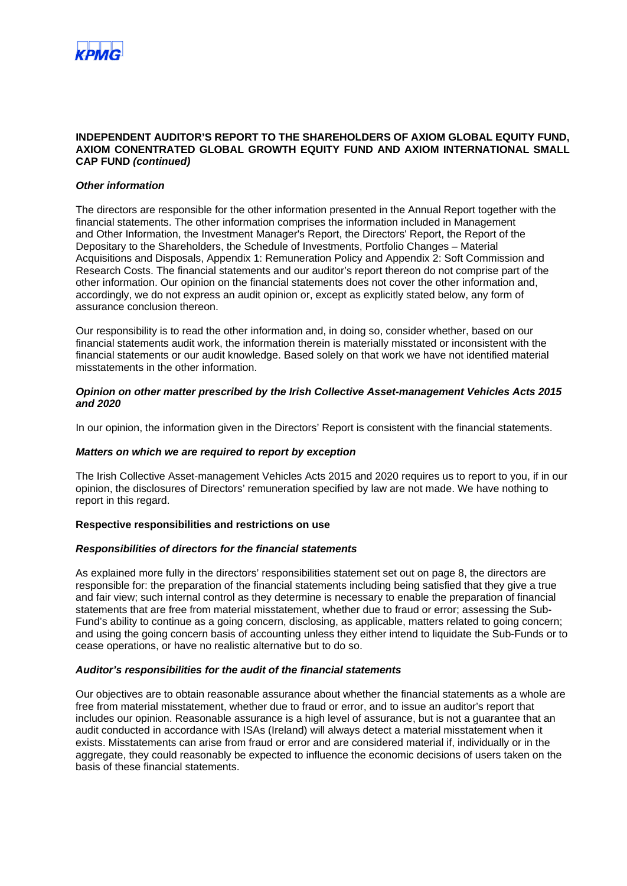

### **INDEPENDENT AUDITOR'S REPORT TO THE SHAREHOLDERS OF AXIOM GLOBAL EQUITY FUND, AXIOM CONENTRATED GLOBAL GROWTH EQUITY FUND AND AXIOM INTERNATIONAL SMALL CAP FUND** *(continued)*

### *Other information*

The directors are responsible for the other information presented in the Annual Report together with the financial statements. The other information comprises the information included in Management and Other Information, the Investment Manager's Report, the Directors' Report, the Report of the Depositary to the Shareholders, the Schedule of Investments, Portfolio Changes – Material Acquisitions and Disposals, Appendix 1: Remuneration Policy and Appendix 2: Soft Commission and Research Costs. The financial statements and our auditor's report thereon do not comprise part of the other information. Our opinion on the financial statements does not cover the other information and, accordingly, we do not express an audit opinion or, except as explicitly stated below, any form of assurance conclusion thereon.

Our responsibility is to read the other information and, in doing so, consider whether, based on our financial statements audit work, the information therein is materially misstated or inconsistent with the financial statements or our audit knowledge. Based solely on that work we have not identified material misstatements in the other information.

### *Opinion on other matter prescribed by the Irish Collective Asset-management Vehicles Acts 2015 and 2020*

In our opinion, the information given in the Directors' Report is consistent with the financial statements.

### *Matters on which we are required to report by exception*

The Irish Collective Asset-management Vehicles Acts 2015 and 2020 requires us to report to you, if in our opinion, the disclosures of Directors' remuneration specified by law are not made. We have nothing to report in this regard.

### **Respective responsibilities and restrictions on use**

### *Responsibilities of directors for the financial statements*

As explained more fully in the directors' responsibilities statement set out on page 8, the directors are responsible for: the preparation of the financial statements including being satisfied that they give a true and fair view; such internal control as they determine is necessary to enable the preparation of financial statements that are free from material misstatement, whether due to fraud or error; assessing the Sub-Fund's ability to continue as a going concern, disclosing, as applicable, matters related to going concern; and using the going concern basis of accounting unless they either intend to liquidate the Sub-Funds or to cease operations, or have no realistic alternative but to do so.

### *Auditor's responsibilities for the audit of the financial statements*

Our objectives are to obtain reasonable assurance about whether the financial statements as a whole are free from material misstatement, whether due to fraud or error, and to issue an auditor's report that includes our opinion. Reasonable assurance is a high level of assurance, but is not a guarantee that an audit conducted in accordance with ISAs (Ireland) will always detect a material misstatement when it exists. Misstatements can arise from fraud or error and are considered material if, individually or in the aggregate, they could reasonably be expected to influence the economic decisions of users taken on the basis of these financial statements.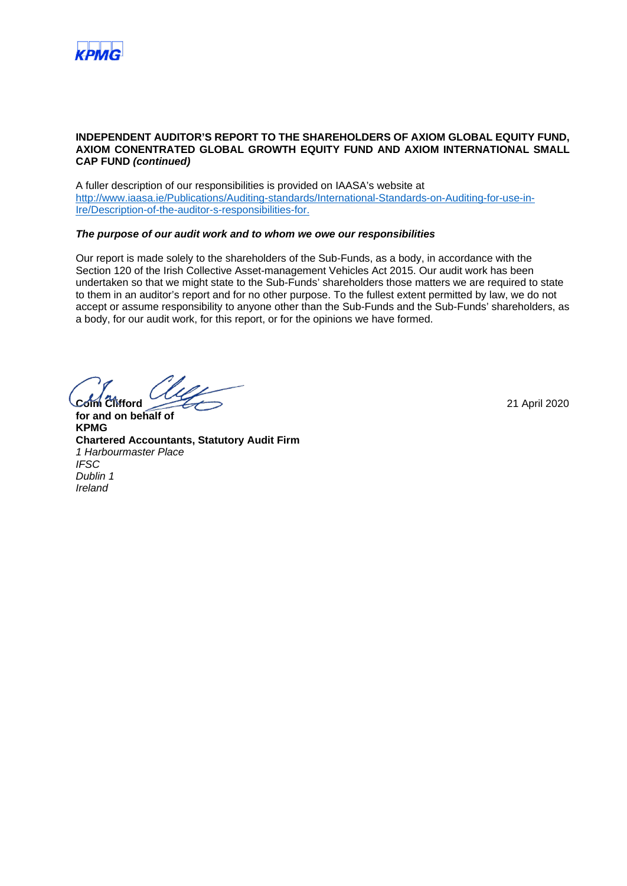

### **INDEPENDENT AUDITOR'S REPORT TO THE SHAREHOLDERS OF AXIOM GLOBAL EQUITY FUND, AXIOM CONENTRATED GLOBAL GROWTH EQUITY FUND AND AXIOM INTERNATIONAL SMALL CAP FUND** *(continued)*

A fuller description of our responsibilities is provided on IAASA's website at http://www.iaasa.ie/Publications/Auditing-standards/International-Standards-on-Auditing-for-use-in-Ire/Description-of-the-auditor-s-responsibilities-for.

### *The purpose of our audit work and to whom we owe our responsibilities*

Our report is made solely to the shareholders of the Sub-Funds, as a body, in accordance with the Section 120 of the Irish Collective Asset-management Vehicles Act 2015. Our audit work has been undertaken so that we might state to the Sub-Funds' shareholders those matters we are required to state to them in an auditor's report and for no other purpose. To the fullest extent permitted by law, we do not accept or assume responsibility to anyone other than the Sub-Funds and the Sub-Funds' shareholders, as a body, for our audit work, for this report, or for the opinions we have formed.

**Colm Clifford** 21 April 2020

**for and on behalf of KPMG Chartered Accountants, Statutory Audit Firm** *1 Harbourmaster Place IFSC Dublin 1 Ireland*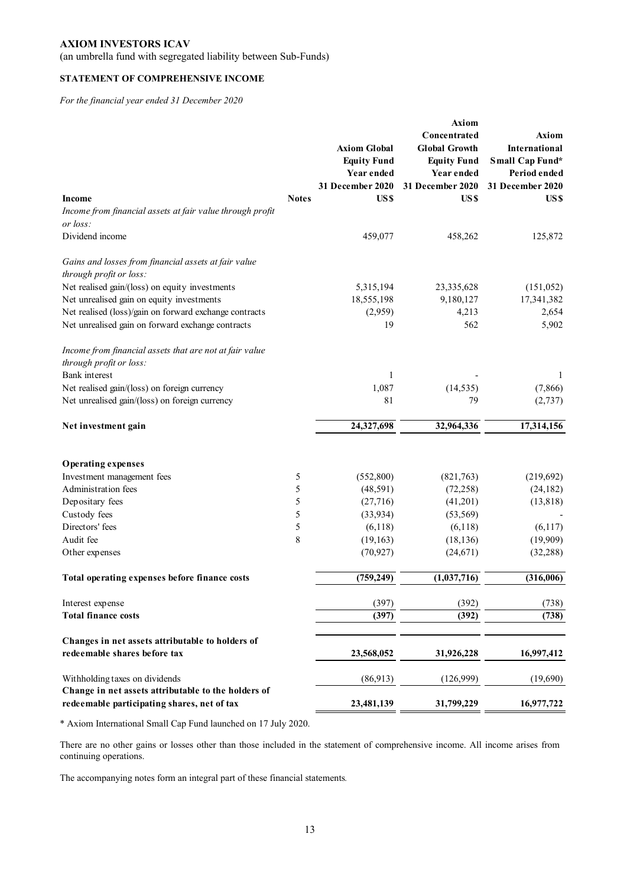(an umbrella fund with segregated liability between Sub-Funds)

## **STATEMENT OF COMPREHENSIVE INCOME**

*For the financial year ended 31 December 2020* 

|                                                           |              |                     | Axiom                |                      |
|-----------------------------------------------------------|--------------|---------------------|----------------------|----------------------|
|                                                           |              |                     | Concentrated         | <b>Axiom</b>         |
|                                                           |              | <b>Axiom Global</b> | <b>Global Growth</b> | <b>International</b> |
|                                                           |              | <b>Equity Fund</b>  | <b>Equity Fund</b>   | Small Cap Fund*      |
|                                                           |              | Year ended          | Year ended           | Period ended         |
|                                                           |              | 31 December 2020    | 31 December 2020     | 31 December 2020     |
| <b>Income</b>                                             | <b>Notes</b> | US\$                | US\$                 | US\$                 |
| Income from financial assets at fair value through profit |              |                     |                      |                      |
| or loss:                                                  |              |                     |                      |                      |
| Dividend income                                           |              | 459,077             | 458,262              | 125,872              |
|                                                           |              |                     |                      |                      |
| Gains and losses from financial assets at fair value      |              |                     |                      |                      |
| through profit or loss:                                   |              |                     |                      |                      |
| Net realised gain/(loss) on equity investments            |              | 5,315,194           | 23,335,628           | (151, 052)           |
| Net unrealised gain on equity investments                 |              | 18,555,198          | 9,180,127            | 17,341,382           |
| Net realised (loss)/gain on forward exchange contracts    |              | (2,959)             | 4,213                | 2,654                |
| Net unrealised gain on forward exchange contracts         |              | 19                  | 562                  | 5,902                |
|                                                           |              |                     |                      |                      |
| Income from financial assets that are not at fair value   |              |                     |                      |                      |
| through profit or loss:                                   |              |                     |                      |                      |
| <b>Bank</b> interest                                      |              | $\mathbf{1}$        |                      | 1                    |
| Net realised gain/(loss) on foreign currency              |              | 1,087               | (14, 535)            | (7, 866)             |
| Net unrealised gain/(loss) on foreign currency            |              | 81                  | 79                   | (2,737)              |
|                                                           |              |                     |                      |                      |
| Net investment gain                                       |              | 24,327,698          | 32,964,336           | 17,314,156           |
|                                                           |              |                     |                      |                      |
| <b>Operating expenses</b>                                 |              |                     |                      |                      |
| Investment management fees                                | 5            | (552,800)           | (821,763)            | (219,692)            |
| Administration fees                                       | 5            | (48,591)            | (72, 258)            | (24, 182)            |
| Depositary fees                                           | 5            | (27,716)            | (41,201)             | (13, 818)            |
| Custody fees                                              | 5            | (33, 934)           | (53, 569)            |                      |
| Directors' fees                                           | 5            | (6,118)             | (6,118)              | (6,117)              |
| Audit fee                                                 | 8            | (19, 163)           | (18, 136)            | (19,909)             |
| Other expenses                                            |              | (70, 927)           | (24, 671)            | (32, 288)            |
|                                                           |              |                     |                      |                      |
| Total operating expenses before finance costs             |              | (759, 249)          | (1,037,716)          | (316,006)            |
| Interest expense                                          |              | (397)               | (392)                | (738)                |
| <b>Total finance costs</b>                                |              | (397)               | (392)                | (738)                |
|                                                           |              |                     |                      |                      |
| Changes in net assets attributable to holders of          |              |                     |                      |                      |
| redeemable shares before tax                              |              | 23,568,052          | 31,926,228           | 16,997,412           |
| Withholding taxes on dividends                            |              | (86,913)            | (126,999)            | (19,690)             |
| Change in net assets attributable to the holders of       |              |                     |                      |                      |
| redeemable participating shares, net of tax               |              | 23,481,139          | 31,799,229           | 16,977,722           |

\* Axiom International Small Cap Fund launched on 17 July 2020.

There are no other gains or losses other than those included in the statement of comprehensive income. All income arises from continuing operations.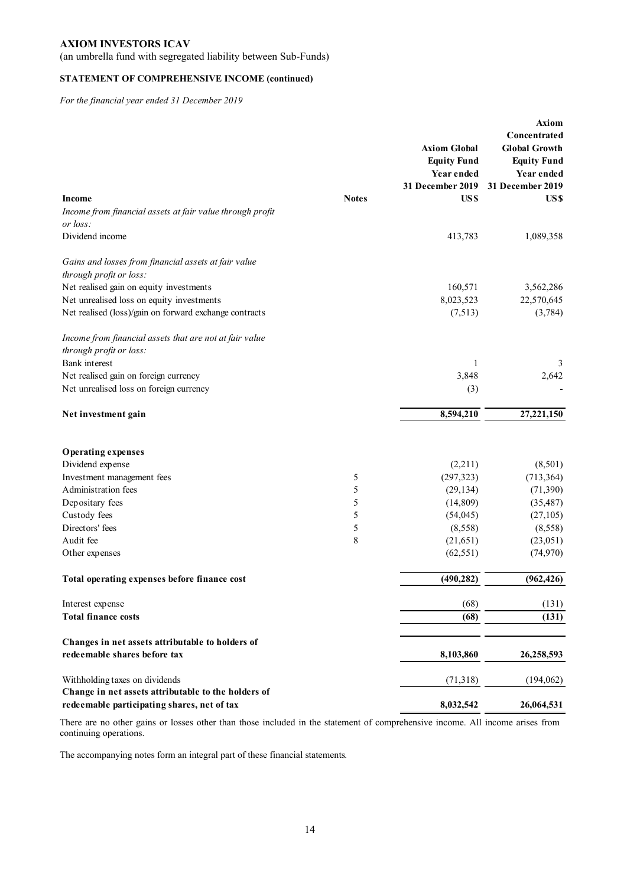(an umbrella fund with segregated liability between Sub-Funds)

## **STATEMENT OF COMPREHENSIVE INCOME (continued)**

*For the financial year ended 31 December 2019* 

|                                                           |              |                     | <b>Axiom</b>         |
|-----------------------------------------------------------|--------------|---------------------|----------------------|
|                                                           |              |                     | Concentrated         |
|                                                           |              | <b>Axiom Global</b> | <b>Global Growth</b> |
|                                                           |              | <b>Equity Fund</b>  | <b>Equity Fund</b>   |
|                                                           |              | Year ended          | Year ended           |
|                                                           |              | 31 December 2019    | 31 December 2019     |
| Income                                                    | <b>Notes</b> | US\$                | US\$                 |
| Income from financial assets at fair value through profit |              |                     |                      |
| or loss:                                                  |              |                     |                      |
| Dividend income                                           |              | 413,783             | 1,089,358            |
| Gains and losses from financial assets at fair value      |              |                     |                      |
| through profit or loss:                                   |              |                     |                      |
| Net realised gain on equity investments                   |              | 160,571             | 3,562,286            |
| Net unrealised loss on equity investments                 |              | 8,023,523           | 22,570,645           |
| Net realised (loss)/gain on forward exchange contracts    |              | (7,513)             | (3,784)              |
|                                                           |              |                     |                      |
| Income from financial assets that are not at fair value   |              |                     |                      |
| through profit or loss:                                   |              |                     |                      |
| Bank interest                                             |              | 1                   | 3                    |
| Net realised gain on foreign currency                     |              | 3,848               | 2,642                |
| Net unrealised loss on foreign currency                   |              | (3)                 |                      |
| Net investment gain                                       |              | 8,594,210           | 27,221,150           |
| <b>Operating expenses</b>                                 |              |                     |                      |
| Dividend expense                                          |              | (2,211)             | (8,501)              |
| Investment management fees                                | 5            | (297, 323)          | (713, 364)           |
| Administration fees                                       | 5            | (29, 134)           | (71, 390)            |
| Depositary fees                                           | 5            | (14, 809)           | (35, 487)            |
| Custody fees                                              | 5            | (54, 045)           | (27,105)             |
| Directors' fees                                           | 5            | (8,558)             | (8,558)              |
| Audit fee                                                 | 8            | (21, 651)           | (23,051)             |
| Other expenses                                            |              | (62, 551)           | (74, 970)            |
| Total operating expenses before finance cost              |              | (490, 282)          | (962, 426)           |
| Interest expense                                          |              | (68)                | (131)                |
| <b>Total finance costs</b>                                |              | (68)                | (131)                |
|                                                           |              |                     |                      |
| Changes in net assets attributable to holders of          |              |                     |                      |
| redeemable shares before tax                              |              | 8,103,860           | 26,258,593           |
| Withholding taxes on dividends                            |              | (71,318)            | (194,062)            |
| Change in net assets attributable to the holders of       |              |                     |                      |
| redeemable participating shares, net of tax               |              | 8,032,542           | 26,064,531           |

There are no other gains or losses other than those included in the statement of comprehensive income. All income arises from continuing operations.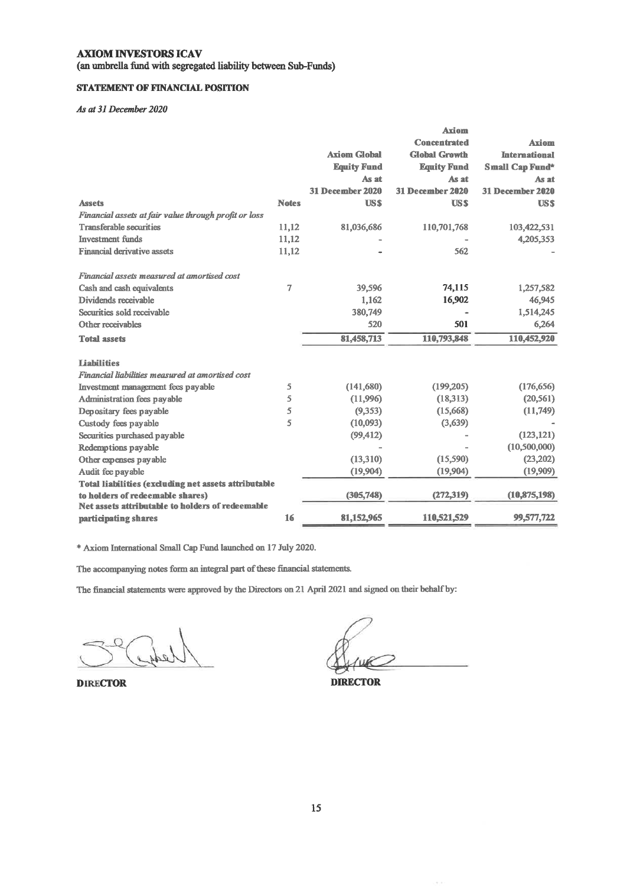(an umbrella fund with segregated liability between Sub-Funds)

## **STATEMENT OF FINANCIAL POSITION**

### As at 31 December 2020

|                                                       |                |                     | Axiom                   |                        |
|-------------------------------------------------------|----------------|---------------------|-------------------------|------------------------|
|                                                       |                |                     | <b>Concentrated</b>     | <b>Axiom</b>           |
|                                                       |                | <b>Axiom Global</b> | <b>Global Growth</b>    | <b>International</b>   |
|                                                       |                | <b>Equity Fund</b>  | <b>Equity Fund</b>      | <b>Small Cap Fund*</b> |
|                                                       |                | As at               | As at                   | As at                  |
|                                                       |                | 31 December 2020    | <b>31 December 2020</b> | 31 December 2020       |
| <b>Assets</b>                                         | <b>Notes</b>   | <b>USS</b>          | <b>USS</b>              | <b>USS</b>             |
| Financial assets at fair value through profit or loss |                |                     |                         |                        |
| <b>Transferable securities</b>                        | 11,12          | 81,036,686          | 110,701,768             | 103,422,531            |
| <b>Investment</b> funds                               | 11,12          |                     |                         | 4,205,353              |
| <b>Financial derivative assets</b>                    | 11,12          |                     | 562                     |                        |
| Financial assets measured at amortised cost           |                |                     |                         |                        |
| Cash and cash equivalents                             | $\overline{7}$ | 39,596              | 74,115                  | 1,257,582              |
| Dividends receivable                                  |                | 1,162               | 16,902                  | 46,945                 |
| Securities sold receivable                            |                | 380,749             |                         | 1,514,245              |
| Other receivables                                     |                | 520                 | 501                     | 6,264                  |
| <b>Total assets</b>                                   |                | 81,458,713          | 110,793,848             | 110,452,920            |
| <b>Liabilities</b>                                    |                |                     |                         |                        |
| Financial liabilities measured at amortised cost      |                |                     |                         |                        |
| Investment management fees payable                    | 5              | (141,680)           | (199,205)               | (176, 656)             |
| Administration fees payable                           | 5              | (11,996)            | (18, 313)               | (20, 561)              |
| Depositary fees payable                               | 5              | (9, 353)            | (15,668)                | (11,749)               |
| Custody fees payable                                  | 5              | (10,093)            | (3,639)                 |                        |
| Securities purchased payable                          |                | (99, 412)           |                         | (123, 121)             |
| Redemptions payable                                   |                |                     |                         | (10,500,000)           |
| Other expenses payable                                |                | (13,310)            | (15, 590)               | (23, 202)              |
| Audit fee payable                                     |                | (19,904)            | (19,904)                | (19,909)               |
| Total liabilities (excluding net assets attributable  |                |                     |                         |                        |
| to holders of redeemable shares)                      |                | (305,748)           | (272, 319)              | (10, 875, 198)         |
| Net assets attributable to holders of redeemable      |                |                     |                         |                        |
| participating shares                                  | 16             | 81,152,965          | 110,521,529             | 99,577,722             |

\* Axiom International Small Cap Fund launched on 17 July 2020.

The accompanying notes form an integral part of these financial statements.

The financial statements were approved by the Directors on 21 April 2021 and signed on their behalf by:

**DIRECTOR** 

**DIRECTOR**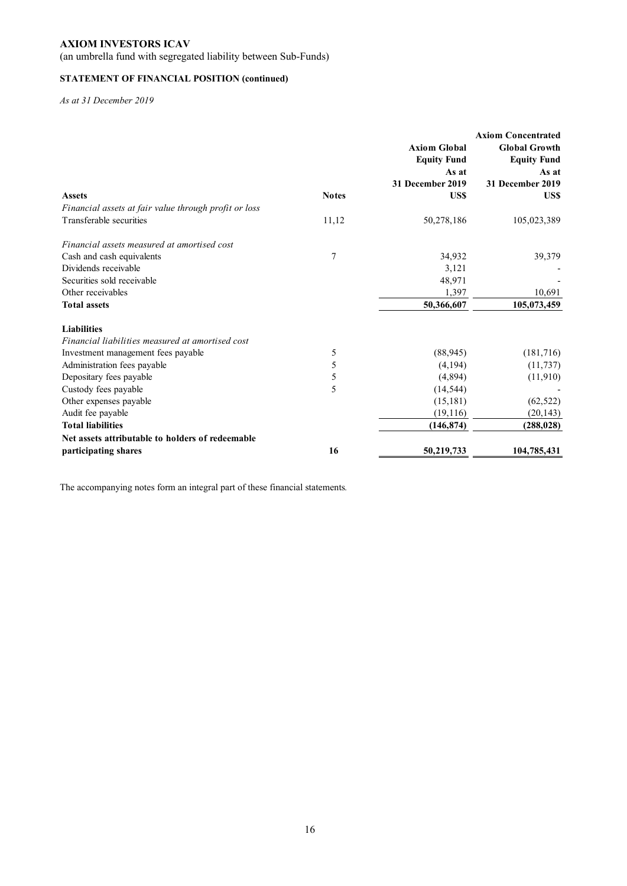(an umbrella fund with segregated liability between Sub-Funds)

## **STATEMENT OF FINANCIAL POSITION (continued)**

*As at 31 December 2019* 

|                                                       |              |                     | <b>Axiom Concentrated</b> |
|-------------------------------------------------------|--------------|---------------------|---------------------------|
|                                                       |              | <b>Axiom Global</b> | <b>Global Growth</b>      |
|                                                       |              | <b>Equity Fund</b>  | <b>Equity Fund</b>        |
|                                                       |              | As at               | As at                     |
|                                                       |              | 31 December 2019    | 31 December 2019          |
| <b>Assets</b>                                         | <b>Notes</b> | US\$                | US\$                      |
| Financial assets at fair value through profit or loss |              |                     |                           |
| Transferable securities                               | 11,12        | 50,278,186          | 105,023,389               |
| Financial assets measured at amortised cost           |              |                     |                           |
| Cash and cash equivalents                             | 7            | 34,932              | 39,379                    |
| Dividends receivable                                  |              | 3,121               |                           |
| Securities sold receivable                            |              | 48,971              |                           |
| Other receivables                                     |              | 1,397               | 10,691                    |
| <b>Total assets</b>                                   |              | 50,366,607          | 105,073,459               |
| <b>Liabilities</b>                                    |              |                     |                           |
| Financial liabilities measured at amortised cost      |              |                     |                           |
| Investment management fees payable                    | 5            | (88, 945)           | (181,716)                 |
| Administration fees payable                           | 5            | (4, 194)            | (11, 737)                 |
| Depositary fees payable                               | 5            | (4,894)             | (11,910)                  |
| Custody fees payable                                  | 5            | (14, 544)           |                           |
| Other expenses payable                                |              | (15, 181)           | (62, 522)                 |
| Audit fee payable                                     |              | (19,116)            | (20, 143)                 |
| <b>Total liabilities</b>                              |              | (146, 874)          | (288, 028)                |
| Net assets attributable to holders of redeemable      |              |                     |                           |
| participating shares                                  | 16           | 50,219,733          | 104,785,431               |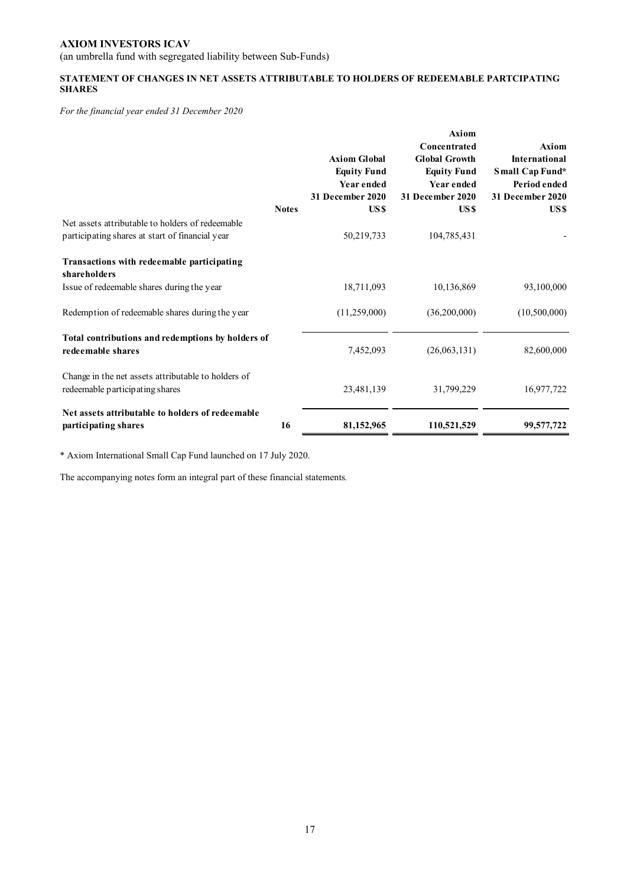(an umbrella fund with segregated liability between Sub-Funds)

## **STATEMENT OF CHANGES IN NET ASSETS ATTRIBUTABLE TO HOLDERS OF REDEEMABLE PARTCIPATING SHARES**

*For the financial year ended 31 December 2020* 

|                                                                                                          | <b>Notes</b> | <b>Axiom Global</b><br><b>Equity Fund</b><br>Year ended<br><b>31 December 2020</b><br>US\$ | <b>Axiom</b><br>Concentrated<br><b>Global Growth</b><br><b>Equity Fund</b><br>Year ended<br><b>31 December 2020</b><br>US <sub>\$</sub> | Axiom<br>International<br>Small Cap Fund*<br>Period ended<br>31 December 2020<br>US\$ |
|----------------------------------------------------------------------------------------------------------|--------------|--------------------------------------------------------------------------------------------|-----------------------------------------------------------------------------------------------------------------------------------------|---------------------------------------------------------------------------------------|
| Net assets attributable to holders of redeemable<br>participating shares at start of financial year      |              | 50,219,733                                                                                 | 104,785,431                                                                                                                             |                                                                                       |
| Transactions with redeemable participating<br>shareholders<br>Issue of redeemable shares during the year |              | 18,711,093                                                                                 | 10,136,869                                                                                                                              | 93,100,000                                                                            |
| Redemption of redeemable shares during the year                                                          |              | (11,259,000)                                                                               | (36,200,000)                                                                                                                            | (10,500,000)                                                                          |
| Total contributions and redemptions by holders of<br>redeemable shares                                   |              | 7,452,093                                                                                  | (26,063,131)                                                                                                                            | 82,600,000                                                                            |
| Change in the net assets attributable to holders of<br>redeemable participating shares                   |              | 23,481,139                                                                                 | 31,799,229                                                                                                                              | 16,977,722                                                                            |
| Net assets attributable to holders of redeemable<br>participating shares                                 | 16           | 81,152,965                                                                                 | 110,521,529                                                                                                                             | 99,577,722                                                                            |

\* Axiom International Small Cap Fund launched on 17 July 2020.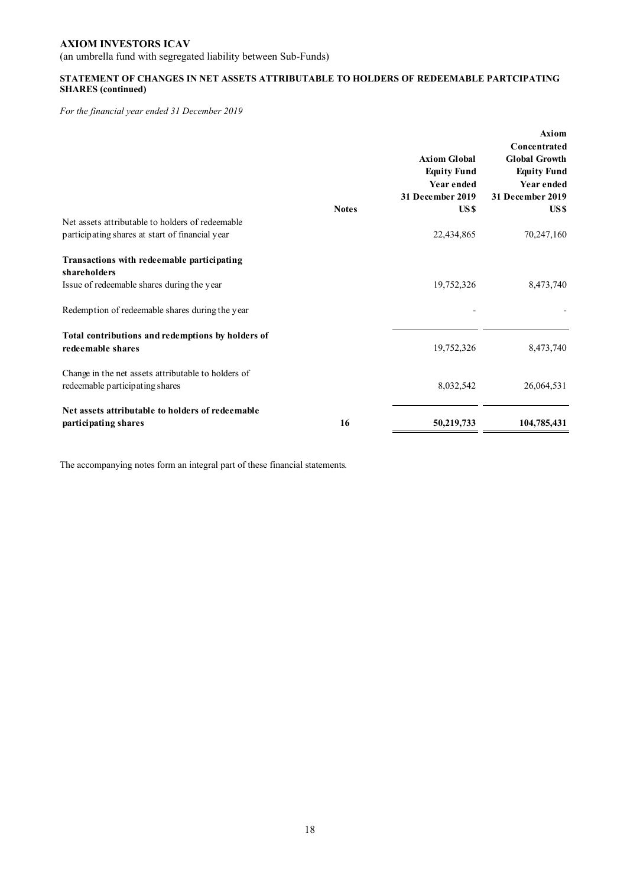(an umbrella fund with segregated liability between Sub-Funds)

## **STATEMENT OF CHANGES IN NET ASSETS ATTRIBUTABLE TO HOLDERS OF REDEEMABLE PARTCIPATING SHARES (continued)**

*For the financial year ended 31 December 2019* 

|                                                                                        |              | <b>Axiom Global</b><br><b>Equity Fund</b><br>Year ended<br><b>31 December 2019</b> | <b>Axiom</b><br>Concentrated<br><b>Global Growth</b><br><b>Equity Fund</b><br>Year ended<br>31 December 2019 |
|----------------------------------------------------------------------------------------|--------------|------------------------------------------------------------------------------------|--------------------------------------------------------------------------------------------------------------|
| Net assets attributable to holders of redeemable                                       | <b>Notes</b> | US <sub>\$</sub>                                                                   | US \$                                                                                                        |
| participating shares at start of financial year                                        |              | 22,434,865                                                                         | 70,247,160                                                                                                   |
| Transactions with redeemable participating<br>shareholders                             |              |                                                                                    |                                                                                                              |
| Issue of redeemable shares during the year                                             |              | 19,752,326                                                                         | 8,473,740                                                                                                    |
| Redemption of redeemable shares during the year                                        |              |                                                                                    |                                                                                                              |
| Total contributions and redemptions by holders of<br>redeemable shares                 |              | 19,752,326                                                                         | 8,473,740                                                                                                    |
| Change in the net assets attributable to holders of<br>redeemable participating shares |              | 8,032,542                                                                          | 26,064,531                                                                                                   |
| Net assets attributable to holders of redeemable                                       | 16           |                                                                                    |                                                                                                              |
| participating shares                                                                   |              | 50,219,733                                                                         | 104,785,431                                                                                                  |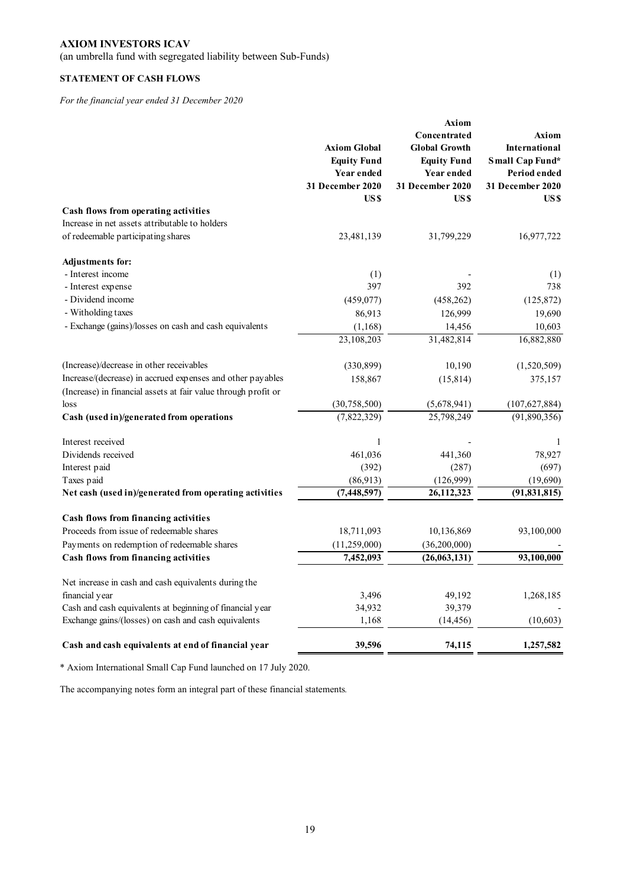(an umbrella fund with segregated liability between Sub-Funds)

## **STATEMENT OF CASH FLOWS**

*For the financial year ended 31 December 2020* 

|                                                                |                                           | Axiom<br>Concentrated                      | Axiom                                   |
|----------------------------------------------------------------|-------------------------------------------|--------------------------------------------|-----------------------------------------|
|                                                                | <b>Axiom Global</b><br><b>Equity Fund</b> | <b>Global Growth</b><br><b>Equity Fund</b> | <b>International</b><br>Small Cap Fund* |
|                                                                | Year ended                                | Year ended                                 | Period ended                            |
|                                                                | 31 December 2020                          | <b>31 December 2020</b>                    | 31 December 2020                        |
|                                                                | US \$                                     | US\$                                       | US \$                                   |
| Cash flows from operating activities                           |                                           |                                            |                                         |
| Increase in net assets attributable to holders                 |                                           |                                            |                                         |
| of redeemable participating shares                             | 23,481,139                                | 31,799,229                                 | 16,977,722                              |
| <b>Adjustments for:</b>                                        |                                           |                                            |                                         |
| - Interest income                                              | (1)                                       |                                            | (1)                                     |
| - Interest expense                                             | 397                                       | 392                                        | 738                                     |
| - Dividend income                                              | (459, 077)                                | (458, 262)                                 | (125, 872)                              |
| - Witholding taxes                                             | 86,913                                    | 126,999                                    | 19,690                                  |
| - Exchange (gains)/losses on cash and cash equivalents         | (1, 168)                                  | 14,456                                     | 10,603                                  |
|                                                                | 23,108,203                                | 31,482,814                                 | 16,882,880                              |
| (Increase)/decrease in other receivables                       | (330, 899)                                | 10,190                                     | (1,520,509)                             |
| Increase/(decrease) in accrued expenses and other payables     | 158,867                                   | (15, 814)                                  | 375,157                                 |
| (Increase) in financial assets at fair value through profit or |                                           |                                            |                                         |
| loss                                                           | (30, 758, 500)                            | (5,678,941)                                | (107, 627, 884)                         |
| Cash (used in)/generated from operations                       | (7,822,329)                               | 25,798,249                                 | (91,890,356)                            |
| Interest received                                              | $\,1$                                     |                                            | 1                                       |
| Dividends received                                             | 461,036                                   | 441,360                                    | 78,927                                  |
| Interest paid                                                  | (392)                                     | (287)                                      | (697)                                   |
| Taxes paid                                                     | (86,913)                                  | (126,999)                                  | (19,690)                                |
| Net cash (used in)/generated from operating activities         | (7, 448, 597)                             | 26, 112, 323                               | (91, 831, 815)                          |
| Cash flows from financing activities                           |                                           |                                            |                                         |
| Proceeds from issue of redeemable shares                       | 18,711,093                                | 10,136,869                                 | 93,100,000                              |
| Payments on redemption of redeemable shares                    | (11,259,000)                              | (36,200,000)                               |                                         |
| Cash flows from financing activities                           | 7,452,093                                 | (26,063,131)                               | 93,100,000                              |
| Net increase in cash and cash equivalents during the           |                                           |                                            |                                         |
| financial year                                                 | 3,496                                     | 49,192                                     | 1,268,185                               |
| Cash and cash equivalents at beginning of financial year       | 34,932                                    | 39,379                                     |                                         |
| Exchange gains/(losses) on cash and cash equivalents           | 1,168                                     | (14, 456)                                  | (10, 603)                               |
| Cash and cash equivalents at end of financial year             | 39,596                                    | 74,115                                     | 1,257,582                               |

\* Axiom International Small Cap Fund launched on 17 July 2020.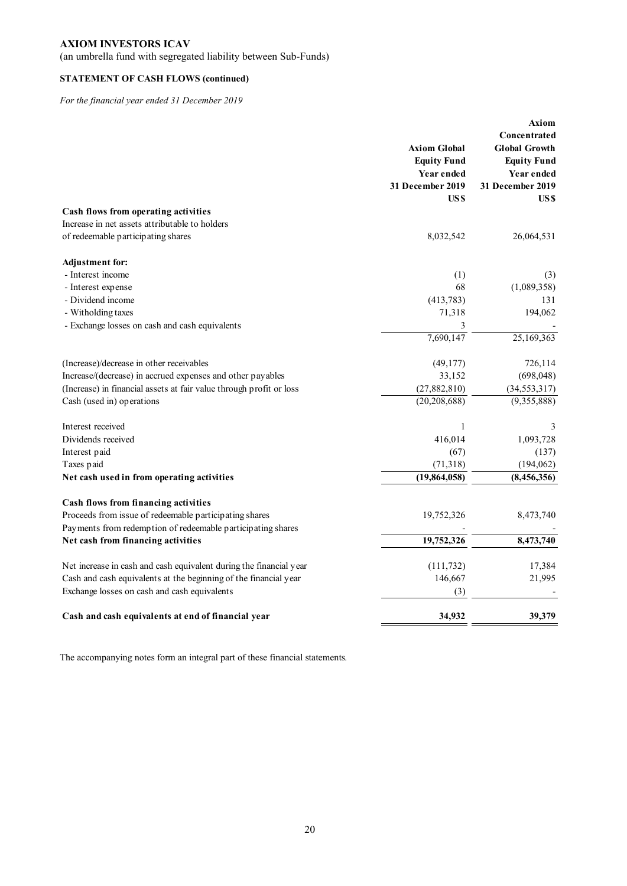(an umbrella fund with segregated liability between Sub-Funds)

## **STATEMENT OF CASH FLOWS (continued)**

*For the financial year ended 31 December 2019* 

|                                                                     |                     | Axiom                |
|---------------------------------------------------------------------|---------------------|----------------------|
|                                                                     |                     | Concentrated         |
|                                                                     | <b>Axiom Global</b> | <b>Global Growth</b> |
|                                                                     | <b>Equity Fund</b>  | <b>Equity Fund</b>   |
|                                                                     | Year ended          | Year ended           |
|                                                                     | 31 December 2019    | 31 December 2019     |
|                                                                     | US\$                | US \$                |
| Cash flows from operating activities                                |                     |                      |
| Increase in net assets attributable to holders                      |                     |                      |
| of redeemable participating shares                                  | 8,032,542           | 26,064,531           |
| <b>Adjustment for:</b>                                              |                     |                      |
| - Interest income                                                   | (1)                 | (3)                  |
| - Interest expense                                                  | 68                  | (1,089,358)          |
| - Dividend income                                                   | (413, 783)          | 131                  |
| - Witholding taxes                                                  | 71,318              | 194,062              |
| - Exchange losses on cash and cash equivalents                      | 3                   |                      |
|                                                                     | 7,690,147           | 25,169,363           |
| (Increase)/decrease in other receivables                            | (49,177)            | 726,114              |
| Increase/(decrease) in accrued expenses and other payables          | 33,152              | (698, 048)           |
| (Increase) in financial assets at fair value through profit or loss | (27, 882, 810)      | (34, 553, 317)       |
| Cash (used in) operations                                           | (20, 208, 688)      | (9,355,888)          |
| Interest received                                                   | 1                   | 3                    |
| Dividends received                                                  | 416,014             | 1,093,728            |
| Interest paid                                                       | (67)                | (137)                |
| Taxes paid                                                          | (71, 318)           | (194, 062)           |
| Net cash used in from operating activities                          | (19, 864, 058)      | (8, 456, 356)        |
| Cash flows from financing activities                                |                     |                      |
| Proceeds from issue of redeemable participating shares              | 19,752,326          | 8,473,740            |
| Payments from redemption of redeemable participating shares         |                     |                      |
| Net cash from financing activities                                  | 19,752,326          | 8,473,740            |
| Net increase in cash and cash equivalent during the financial year  | (111, 732)          | 17,384               |
| Cash and cash equivalents at the beginning of the financial year    | 146,667             | 21,995               |
| Exchange losses on cash and cash equivalents                        | (3)                 |                      |
| Cash and cash equivalents at end of financial year                  | 34,932              | 39,379               |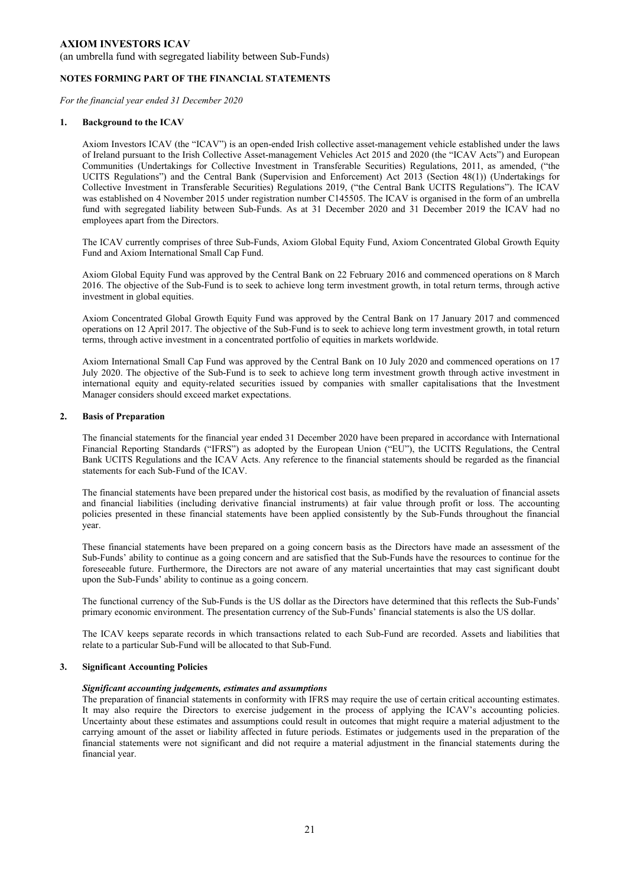(an umbrella fund with segregated liability between Sub-Funds)

#### **NOTES FORMING PART OF THE FINANCIAL STATEMENTS**

*For the financial year ended 31 December 2020* 

#### **1. Background to the ICAV**

Axiom Investors ICAV (the "ICAV") is an open-ended Irish collective asset-management vehicle established under the laws of Ireland pursuant to the Irish Collective Asset-management Vehicles Act 2015 and 2020 (the "ICAV Acts") and European Communities (Undertakings for Collective Investment in Transferable Securities) Regulations, 2011, as amended, ("the UCITS Regulations") and the Central Bank (Supervision and Enforcement) Act 2013 (Section 48(1)) (Undertakings for Collective Investment in Transferable Securities) Regulations 2019, ("the Central Bank UCITS Regulations"). The ICAV was established on 4 November 2015 under registration number C145505. The ICAV is organised in the form of an umbrella fund with segregated liability between Sub-Funds. As at 31 December 2020 and 31 December 2019 the ICAV had no employees apart from the Directors.

The ICAV currently comprises of three Sub-Funds, Axiom Global Equity Fund, Axiom Concentrated Global Growth Equity Fund and Axiom International Small Cap Fund.

Axiom Global Equity Fund was approved by the Central Bank on 22 February 2016 and commenced operations on 8 March 2016. The objective of the Sub-Fund is to seek to achieve long term investment growth, in total return terms, through active investment in global equities.

Axiom Concentrated Global Growth Equity Fund was approved by the Central Bank on 17 January 2017 and commenced operations on 12 April 2017. The objective of the Sub-Fund is to seek to achieve long term investment growth, in total return terms, through active investment in a concentrated portfolio of equities in markets worldwide.

Axiom International Small Cap Fund was approved by the Central Bank on 10 July 2020 and commenced operations on 17 July 2020. The objective of the Sub-Fund is to seek to achieve long term investment growth through active investment in international equity and equity-related securities issued by companies with smaller capitalisations that the Investment Manager considers should exceed market expectations.

#### **2. Basis of Preparation**

The financial statements for the financial year ended 31 December 2020 have been prepared in accordance with International Financial Reporting Standards ("IFRS") as adopted by the European Union ("EU"), the UCITS Regulations, the Central Bank UCITS Regulations and the ICAV Acts. Any reference to the financial statements should be regarded as the financial statements for each Sub-Fund of the ICAV.

The financial statements have been prepared under the historical cost basis, as modified by the revaluation of financial assets and financial liabilities (including derivative financial instruments) at fair value through profit or loss. The accounting policies presented in these financial statements have been applied consistently by the Sub-Funds throughout the financial year.

These financial statements have been prepared on a going concern basis as the Directors have made an assessment of the Sub-Funds' ability to continue as a going concern and are satisfied that the Sub-Funds have the resources to continue for the foreseeable future. Furthermore, the Directors are not aware of any material uncertainties that may cast significant doubt upon the Sub-Funds' ability to continue as a going concern.

The functional currency of the Sub-Funds is the US dollar as the Directors have determined that this reflects the Sub-Funds' primary economic environment. The presentation currency of the Sub-Funds' financial statements is also the US dollar.

The ICAV keeps separate records in which transactions related to each Sub-Fund are recorded. Assets and liabilities that relate to a particular Sub-Fund will be allocated to that Sub-Fund.

### **3. Significant Accounting Policies**

#### *Significant accounting judgements, estimates and assumptions*

The preparation of financial statements in conformity with IFRS may require the use of certain critical accounting estimates. It may also require the Directors to exercise judgement in the process of applying the ICAV's accounting policies. Uncertainty about these estimates and assumptions could result in outcomes that might require a material adjustment to the carrying amount of the asset or liability affected in future periods. Estimates or judgements used in the preparation of the financial statements were not significant and did not require a material adjustment in the financial statements during the financial year.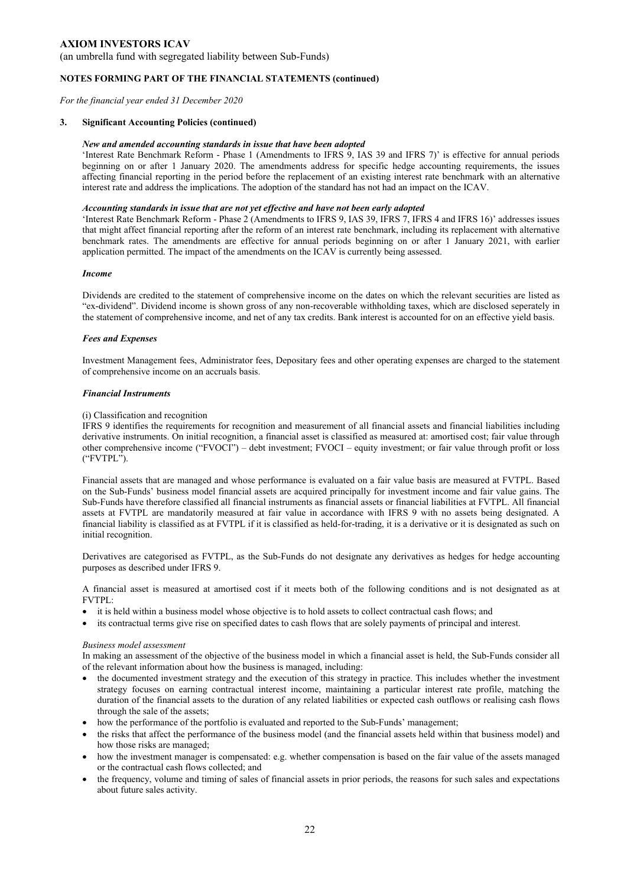(an umbrella fund with segregated liability between Sub-Funds)

#### **NOTES FORMING PART OF THE FINANCIAL STATEMENTS (continued)**

*For the financial year ended 31 December 2020* 

#### **3. Significant Accounting Policies (continued)**

#### *New and amended accounting standards in issue that have been adopted*

'Interest Rate Benchmark Reform - Phase 1 (Amendments to IFRS 9, IAS 39 and IFRS 7)' is effective for annual periods beginning on or after 1 January 2020. The amendments address for specific hedge accounting requirements, the issues affecting financial reporting in the period before the replacement of an existing interest rate benchmark with an alternative interest rate and address the implications. The adoption of the standard has not had an impact on the ICAV.

#### *Accounting standards in issue that are not yet effective and have not been early adopted*

'Interest Rate Benchmark Reform - Phase 2 (Amendments to IFRS 9, IAS 39, IFRS 7, IFRS 4 and IFRS 16)' addresses issues that might affect financial reporting after the reform of an interest rate benchmark, including its replacement with alternative benchmark rates. The amendments are effective for annual periods beginning on or after 1 January 2021, with earlier application permitted. The impact of the amendments on the ICAV is currently being assessed.

#### *Income*

Dividends are credited to the statement of comprehensive income on the dates on which the relevant securities are listed as "ex-dividend". Dividend income is shown gross of any non-recoverable withholding taxes, which are disclosed seperately in the statement of comprehensive income, and net of any tax credits. Bank interest is accounted for on an effective yield basis.

#### *Fees and Expenses*

Investment Management fees, Administrator fees, Depositary fees and other operating expenses are charged to the statement of comprehensive income on an accruals basis.

#### *Financial Instruments*

#### (i) Classification and recognition

IFRS 9 identifies the requirements for recognition and measurement of all financial assets and financial liabilities including derivative instruments. On initial recognition, a financial asset is classified as measured at: amortised cost; fair value through other comprehensive income ("FVOCI") – debt investment; FVOCI – equity investment; or fair value through profit or loss ("FVTPL").

Financial assets that are managed and whose performance is evaluated on a fair value basis are measured at FVTPL. Based on the Sub-Funds' business model financial assets are acquired principally for investment income and fair value gains. The Sub-Funds have therefore classified all financial instruments as financial assets or financial liabilities at FVTPL. All financial assets at FVTPL are mandatorily measured at fair value in accordance with IFRS 9 with no assets being designated. A financial liability is classified as at FVTPL if it is classified as held-for-trading, it is a derivative or it is designated as such on initial recognition.

Derivatives are categorised as FVTPL, as the Sub-Funds do not designate any derivatives as hedges for hedge accounting purposes as described under IFRS 9.

A financial asset is measured at amortised cost if it meets both of the following conditions and is not designated as at FVTPL:

- it is held within a business model whose objective is to hold assets to collect contractual cash flows; and
- its contractual terms give rise on specified dates to cash flows that are solely payments of principal and interest.

#### *Business model assessment*

In making an assessment of the objective of the business model in which a financial asset is held, the Sub-Funds consider all of the relevant information about how the business is managed, including:

- the documented investment strategy and the execution of this strategy in practice. This includes whether the investment strategy focuses on earning contractual interest income, maintaining a particular interest rate profile, matching the duration of the financial assets to the duration of any related liabilities or expected cash outflows or realising cash flows through the sale of the assets;
- how the performance of the portfolio is evaluated and reported to the Sub-Funds' management;
- the risks that affect the performance of the business model (and the financial assets held within that business model) and how those risks are managed;
- how the investment manager is compensated: e.g. whether compensation is based on the fair value of the assets managed or the contractual cash flows collected; and
- the frequency, volume and timing of sales of financial assets in prior periods, the reasons for such sales and expectations about future sales activity.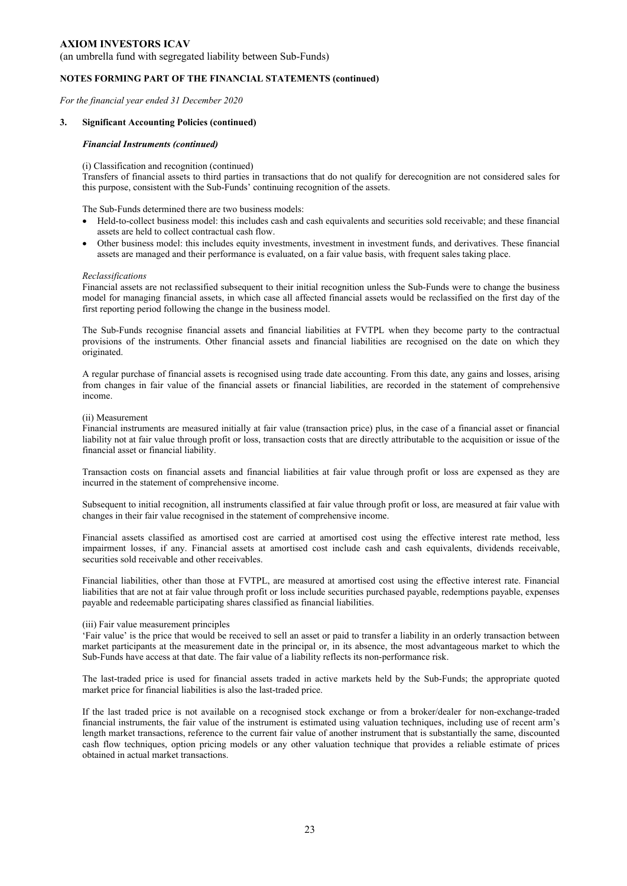(an umbrella fund with segregated liability between Sub-Funds)

#### **NOTES FORMING PART OF THE FINANCIAL STATEMENTS (continued)**

*For the financial year ended 31 December 2020* 

#### **3. Significant Accounting Policies (continued)**

#### *Financial Instruments (continued)*

#### (i) Classification and recognition (continued)

Transfers of financial assets to third parties in transactions that do not qualify for derecognition are not considered sales for this purpose, consistent with the Sub-Funds' continuing recognition of the assets.

The Sub-Funds determined there are two business models:

- Held-to-collect business model: this includes cash and cash equivalents and securities sold receivable; and these financial assets are held to collect contractual cash flow.
- Other business model: this includes equity investments, investment in investment funds, and derivatives. These financial assets are managed and their performance is evaluated, on a fair value basis, with frequent sales taking place.

#### *Reclassifications*

Financial assets are not reclassified subsequent to their initial recognition unless the Sub-Funds were to change the business model for managing financial assets, in which case all affected financial assets would be reclassified on the first day of the first reporting period following the change in the business model.

The Sub-Funds recognise financial assets and financial liabilities at FVTPL when they become party to the contractual provisions of the instruments. Other financial assets and financial liabilities are recognised on the date on which they originated.

A regular purchase of financial assets is recognised using trade date accounting. From this date, any gains and losses, arising from changes in fair value of the financial assets or financial liabilities, are recorded in the statement of comprehensive income.

#### (ii) Measurement

Financial instruments are measured initially at fair value (transaction price) plus, in the case of a financial asset or financial liability not at fair value through profit or loss, transaction costs that are directly attributable to the acquisition or issue of the financial asset or financial liability.

Transaction costs on financial assets and financial liabilities at fair value through profit or loss are expensed as they are incurred in the statement of comprehensive income.

Subsequent to initial recognition, all instruments classified at fair value through profit or loss, are measured at fair value with changes in their fair value recognised in the statement of comprehensive income.

Financial assets classified as amortised cost are carried at amortised cost using the effective interest rate method, less impairment losses, if any. Financial assets at amortised cost include cash and cash equivalents, dividends receivable, securities sold receivable and other receivables.

Financial liabilities, other than those at FVTPL, are measured at amortised cost using the effective interest rate. Financial liabilities that are not at fair value through profit or loss include securities purchased payable, redemptions payable, expenses payable and redeemable participating shares classified as financial liabilities.

#### (iii) Fair value measurement principles

'Fair value' is the price that would be received to sell an asset or paid to transfer a liability in an orderly transaction between market participants at the measurement date in the principal or, in its absence, the most advantageous market to which the Sub-Funds have access at that date. The fair value of a liability reflects its non-performance risk.

The last-traded price is used for financial assets traded in active markets held by the Sub-Funds; the appropriate quoted market price for financial liabilities is also the last-traded price.

If the last traded price is not available on a recognised stock exchange or from a broker/dealer for non-exchange-traded financial instruments, the fair value of the instrument is estimated using valuation techniques, including use of recent arm's length market transactions, reference to the current fair value of another instrument that is substantially the same, discounted cash flow techniques, option pricing models or any other valuation technique that provides a reliable estimate of prices obtained in actual market transactions.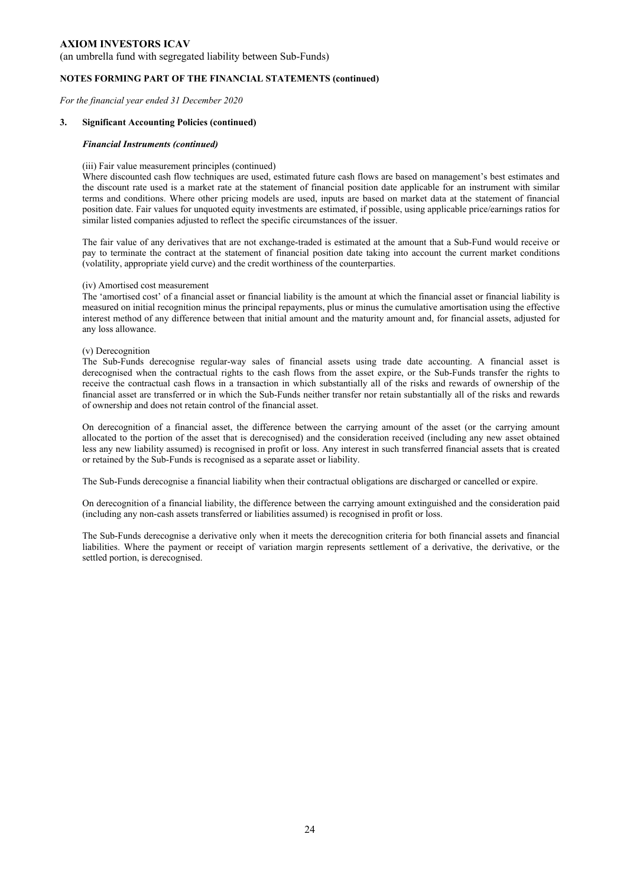(an umbrella fund with segregated liability between Sub-Funds)

### **NOTES FORMING PART OF THE FINANCIAL STATEMENTS (continued)**

*For the financial year ended 31 December 2020* 

#### **3. Significant Accounting Policies (continued)**

#### *Financial Instruments (continued)*

#### (iii) Fair value measurement principles (continued)

Where discounted cash flow techniques are used, estimated future cash flows are based on management's best estimates and the discount rate used is a market rate at the statement of financial position date applicable for an instrument with similar terms and conditions. Where other pricing models are used, inputs are based on market data at the statement of financial position date. Fair values for unquoted equity investments are estimated, if possible, using applicable price/earnings ratios for similar listed companies adjusted to reflect the specific circumstances of the issuer.

The fair value of any derivatives that are not exchange-traded is estimated at the amount that a Sub-Fund would receive or pay to terminate the contract at the statement of financial position date taking into account the current market conditions (volatility, appropriate yield curve) and the credit worthiness of the counterparties.

#### (iv) Amortised cost measurement

The 'amortised cost' of a financial asset or financial liability is the amount at which the financial asset or financial liability is measured on initial recognition minus the principal repayments, plus or minus the cumulative amortisation using the effective interest method of any difference between that initial amount and the maturity amount and, for financial assets, adjusted for any loss allowance.

#### (v) Derecognition

The Sub-Funds derecognise regular-way sales of financial assets using trade date accounting. A financial asset is derecognised when the contractual rights to the cash flows from the asset expire, or the Sub-Funds transfer the rights to receive the contractual cash flows in a transaction in which substantially all of the risks and rewards of ownership of the financial asset are transferred or in which the Sub-Funds neither transfer nor retain substantially all of the risks and rewards of ownership and does not retain control of the financial asset.

On derecognition of a financial asset, the difference between the carrying amount of the asset (or the carrying amount allocated to the portion of the asset that is derecognised) and the consideration received (including any new asset obtained less any new liability assumed) is recognised in profit or loss. Any interest in such transferred financial assets that is created or retained by the Sub-Funds is recognised as a separate asset or liability.

The Sub-Funds derecognise a financial liability when their contractual obligations are discharged or cancelled or expire.

On derecognition of a financial liability, the difference between the carrying amount extinguished and the consideration paid (including any non-cash assets transferred or liabilities assumed) is recognised in profit or loss.

The Sub-Funds derecognise a derivative only when it meets the derecognition criteria for both financial assets and financial liabilities. Where the payment or receipt of variation margin represents settlement of a derivative, the derivative, or the settled portion, is derecognised.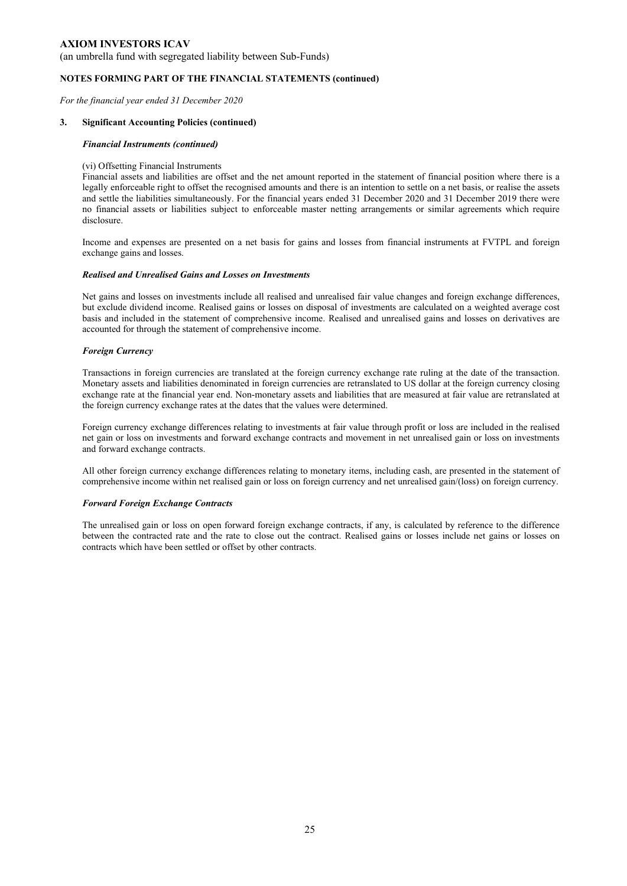(an umbrella fund with segregated liability between Sub-Funds)

### **NOTES FORMING PART OF THE FINANCIAL STATEMENTS (continued)**

*For the financial year ended 31 December 2020* 

#### **3. Significant Accounting Policies (continued)**

#### *Financial Instruments (continued)*

### (vi) Offsetting Financial Instruments

Financial assets and liabilities are offset and the net amount reported in the statement of financial position where there is a legally enforceable right to offset the recognised amounts and there is an intention to settle on a net basis, or realise the assets and settle the liabilities simultaneously. For the financial years ended 31 December 2020 and 31 December 2019 there were no financial assets or liabilities subject to enforceable master netting arrangements or similar agreements which require disclosure.

Income and expenses are presented on a net basis for gains and losses from financial instruments at FVTPL and foreign exchange gains and losses.

#### *Realised and Unrealised Gains and Losses on Investments*

Net gains and losses on investments include all realised and unrealised fair value changes and foreign exchange differences, but exclude dividend income. Realised gains or losses on disposal of investments are calculated on a weighted average cost basis and included in the statement of comprehensive income. Realised and unrealised gains and losses on derivatives are accounted for through the statement of comprehensive income.

#### *Foreign Currency*

Transactions in foreign currencies are translated at the foreign currency exchange rate ruling at the date of the transaction. Monetary assets and liabilities denominated in foreign currencies are retranslated to US dollar at the foreign currency closing exchange rate at the financial year end. Non-monetary assets and liabilities that are measured at fair value are retranslated at the foreign currency exchange rates at the dates that the values were determined.

Foreign currency exchange differences relating to investments at fair value through profit or loss are included in the realised net gain or loss on investments and forward exchange contracts and movement in net unrealised gain or loss on investments and forward exchange contracts.

All other foreign currency exchange differences relating to monetary items, including cash, are presented in the statement of comprehensive income within net realised gain or loss on foreign currency and net unrealised gain/(loss) on foreign currency.

#### *Forward Foreign Exchange Contracts*

The unrealised gain or loss on open forward foreign exchange contracts, if any, is calculated by reference to the difference between the contracted rate and the rate to close out the contract. Realised gains or losses include net gains or losses on contracts which have been settled or offset by other contracts.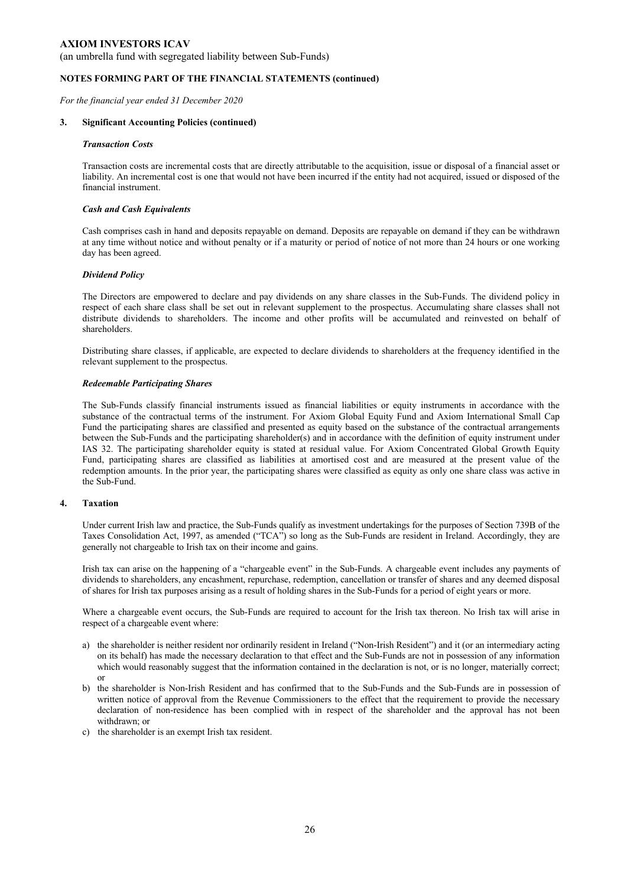(an umbrella fund with segregated liability between Sub-Funds)

#### **NOTES FORMING PART OF THE FINANCIAL STATEMENTS (continued)**

*For the financial year ended 31 December 2020* 

#### **3. Significant Accounting Policies (continued)**

#### *Transaction Costs*

Transaction costs are incremental costs that are directly attributable to the acquisition, issue or disposal of a financial asset or liability. An incremental cost is one that would not have been incurred if the entity had not acquired, issued or disposed of the financial instrument.

#### *Cash and Cash Equivalents*

Cash comprises cash in hand and deposits repayable on demand. Deposits are repayable on demand if they can be withdrawn at any time without notice and without penalty or if a maturity or period of notice of not more than 24 hours or one working day has been agreed.

#### *Dividend Policy*

The Directors are empowered to declare and pay dividends on any share classes in the Sub-Funds. The dividend policy in respect of each share class shall be set out in relevant supplement to the prospectus. Accumulating share classes shall not distribute dividends to shareholders. The income and other profits will be accumulated and reinvested on behalf of shareholders.

Distributing share classes, if applicable, are expected to declare dividends to shareholders at the frequency identified in the relevant supplement to the prospectus.

#### *Redeemable Participating Shares*

The Sub-Funds classify financial instruments issued as financial liabilities or equity instruments in accordance with the substance of the contractual terms of the instrument. For Axiom Global Equity Fund and Axiom International Small Cap Fund the participating shares are classified and presented as equity based on the substance of the contractual arrangements between the Sub-Funds and the participating shareholder(s) and in accordance with the definition of equity instrument under IAS 32. The participating shareholder equity is stated at residual value. For Axiom Concentrated Global Growth Equity Fund, participating shares are classified as liabilities at amortised cost and are measured at the present value of the redemption amounts. In the prior year, the participating shares were classified as equity as only one share class was active in the Sub-Fund.

### **4. Taxation**

Under current Irish law and practice, the Sub-Funds qualify as investment undertakings for the purposes of Section 739B of the Taxes Consolidation Act, 1997, as amended ("TCA") so long as the Sub-Funds are resident in Ireland. Accordingly, they are generally not chargeable to Irish tax on their income and gains.

Irish tax can arise on the happening of a "chargeable event" in the Sub-Funds. A chargeable event includes any payments of dividends to shareholders, any encashment, repurchase, redemption, cancellation or transfer of shares and any deemed disposal of shares for Irish tax purposes arising as a result of holding shares in the Sub-Funds for a period of eight years or more.

Where a chargeable event occurs, the Sub-Funds are required to account for the Irish tax thereon. No Irish tax will arise in respect of a chargeable event where:

- a) the shareholder is neither resident nor ordinarily resident in Ireland ("Non-Irish Resident") and it (or an intermediary acting on its behalf) has made the necessary declaration to that effect and the Sub-Funds are not in possession of any information which would reasonably suggest that the information contained in the declaration is not, or is no longer, materially correct; or
- b) the shareholder is Non-Irish Resident and has confirmed that to the Sub-Funds and the Sub-Funds are in possession of written notice of approval from the Revenue Commissioners to the effect that the requirement to provide the necessary declaration of non-residence has been complied with in respect of the shareholder and the approval has not been withdrawn; or
- c) the shareholder is an exempt Irish tax resident.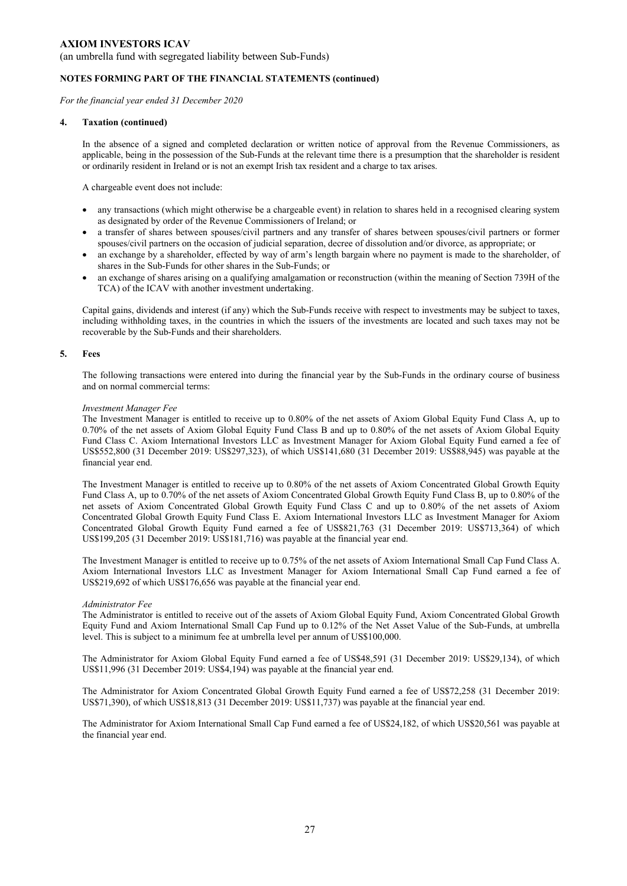(an umbrella fund with segregated liability between Sub-Funds)

#### **NOTES FORMING PART OF THE FINANCIAL STATEMENTS (continued)**

*For the financial year ended 31 December 2020* 

#### **4. Taxation (continued)**

In the absence of a signed and completed declaration or written notice of approval from the Revenue Commissioners, as applicable, being in the possession of the Sub-Funds at the relevant time there is a presumption that the shareholder is resident or ordinarily resident in Ireland or is not an exempt Irish tax resident and a charge to tax arises.

A chargeable event does not include:

- any transactions (which might otherwise be a chargeable event) in relation to shares held in a recognised clearing system as designated by order of the Revenue Commissioners of Ireland; or
- a transfer of shares between spouses/civil partners and any transfer of shares between spouses/civil partners or former spouses/civil partners on the occasion of judicial separation, decree of dissolution and/or divorce, as appropriate; or
- an exchange by a shareholder, effected by way of arm's length bargain where no payment is made to the shareholder, of shares in the Sub-Funds for other shares in the Sub-Funds; or
- an exchange of shares arising on a qualifying amalgamation or reconstruction (within the meaning of Section 739H of the TCA) of the ICAV with another investment undertaking.

Capital gains, dividends and interest (if any) which the Sub-Funds receive with respect to investments may be subject to taxes, including withholding taxes, in the countries in which the issuers of the investments are located and such taxes may not be recoverable by the Sub-Funds and their shareholders.

#### **5. Fees**

The following transactions were entered into during the financial year by the Sub-Funds in the ordinary course of business and on normal commercial terms:

#### *Investment Manager Fee*

The Investment Manager is entitled to receive up to 0.80% of the net assets of Axiom Global Equity Fund Class A, up to 0.70% of the net assets of Axiom Global Equity Fund Class B and up to 0.80% of the net assets of Axiom Global Equity Fund Class C. Axiom International Investors LLC as Investment Manager for Axiom Global Equity Fund earned a fee of US\$552,800 (31 December 2019: US\$297,323), of which US\$141,680 (31 December 2019: US\$88,945) was payable at the financial year end.

The Investment Manager is entitled to receive up to 0.80% of the net assets of Axiom Concentrated Global Growth Equity Fund Class A, up to 0.70% of the net assets of Axiom Concentrated Global Growth Equity Fund Class B, up to 0.80% of the net assets of Axiom Concentrated Global Growth Equity Fund Class C and up to 0.80% of the net assets of Axiom Concentrated Global Growth Equity Fund Class E. Axiom International Investors LLC as Investment Manager for Axiom Concentrated Global Growth Equity Fund earned a fee of US\$821,763 (31 December 2019: US\$713,364) of which US\$199,205 (31 December 2019: US\$181,716) was payable at the financial year end.

The Investment Manager is entitled to receive up to 0.75% of the net assets of Axiom International Small Cap Fund Class A. Axiom International Investors LLC as Investment Manager for Axiom International Small Cap Fund earned a fee of US\$219,692 of which US\$176,656 was payable at the financial year end.

#### *Administrator Fee*

The Administrator is entitled to receive out of the assets of Axiom Global Equity Fund, Axiom Concentrated Global Growth Equity Fund and Axiom International Small Cap Fund up to 0.12% of the Net Asset Value of the Sub-Funds, at umbrella level. This is subject to a minimum fee at umbrella level per annum of US\$100,000.

The Administrator for Axiom Global Equity Fund earned a fee of US\$48,591 (31 December 2019: US\$29,134), of which US\$11,996 (31 December 2019: US\$4,194) was payable at the financial year end.

The Administrator for Axiom Concentrated Global Growth Equity Fund earned a fee of US\$72,258 (31 December 2019: US\$71,390), of which US\$18,813 (31 December 2019: US\$11,737) was payable at the financial year end.

The Administrator for Axiom International Small Cap Fund earned a fee of US\$24,182, of which US\$20,561 was payable at the financial year end.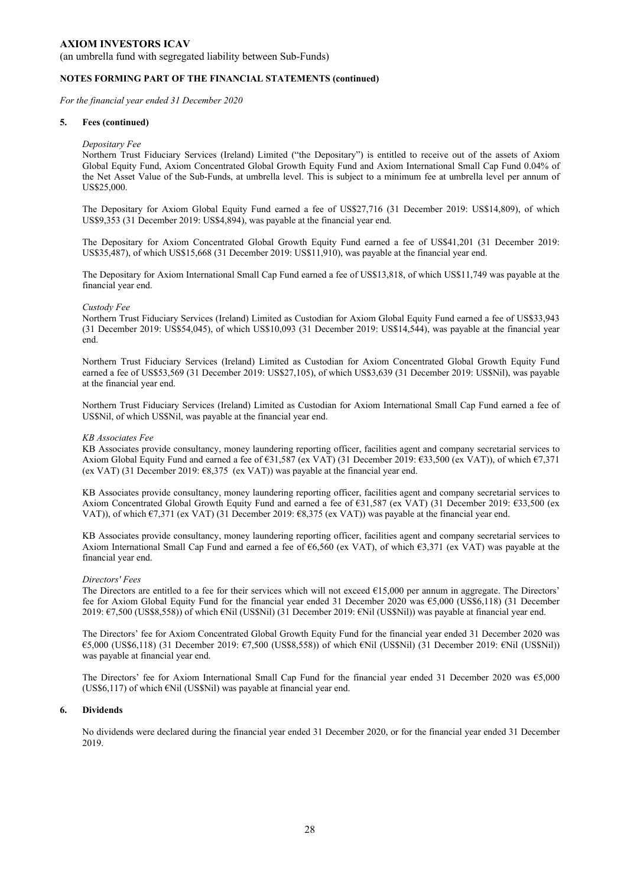(an umbrella fund with segregated liability between Sub-Funds)

#### **NOTES FORMING PART OF THE FINANCIAL STATEMENTS (continued)**

*For the financial year ended 31 December 2020* 

#### **5. Fees (continued)**

#### *Depositary Fee*

Northern Trust Fiduciary Services (Ireland) Limited ("the Depositary") is entitled to receive out of the assets of Axiom Global Equity Fund, Axiom Concentrated Global Growth Equity Fund and Axiom International Small Cap Fund 0.04% of the Net Asset Value of the Sub-Funds, at umbrella level. This is subject to a minimum fee at umbrella level per annum of US\$25,000.

The Depositary for Axiom Global Equity Fund earned a fee of US\$27,716 (31 December 2019: US\$14,809), of which US\$9,353 (31 December 2019: US\$4,894), was payable at the financial year end.

The Depositary for Axiom Concentrated Global Growth Equity Fund earned a fee of US\$41,201 (31 December 2019: US\$35,487), of which US\$15,668 (31 December 2019: US\$11,910), was payable at the financial year end.

The Depositary for Axiom International Small Cap Fund earned a fee of US\$13,818, of which US\$11,749 was payable at the financial year end.

#### *Custody Fee*

Northern Trust Fiduciary Services (Ireland) Limited as Custodian for Axiom Global Equity Fund earned a fee of US\$33,943 (31 December 2019: US\$54,045), of which US\$10,093 (31 December 2019: US\$14,544), was payable at the financial year end.

Northern Trust Fiduciary Services (Ireland) Limited as Custodian for Axiom Concentrated Global Growth Equity Fund earned a fee of US\$53,569 (31 December 2019: US\$27,105), of which US\$3,639 (31 December 2019: US\$Nil), was payable at the financial year end.

Northern Trust Fiduciary Services (Ireland) Limited as Custodian for Axiom International Small Cap Fund earned a fee of US\$Nil, of which US\$Nil, was payable at the financial year end.

#### *KB Associates Fee*

KB Associates provide consultancy, money laundering reporting officer, facilities agent and company secretarial services to Axiom Global Equity Fund and earned a fee of €31,587 (ex VAT) (31 December 2019: €33,500 (ex VAT)), of which €7,371 (ex VAT) (31 December 2019: €8,375 (ex VAT)) was payable at the financial year end.

KB Associates provide consultancy, money laundering reporting officer, facilities agent and company secretarial services to Axiom Concentrated Global Growth Equity Fund and earned a fee of €31,587 (ex VAT) (31 December 2019: €33,500 (ex VAT)), of which €7,371 (ex VAT) (31 December 2019: €8,375 (ex VAT)) was payable at the financial year end.

KB Associates provide consultancy, money laundering reporting officer, facilities agent and company secretarial services to Axiom International Small Cap Fund and earned a fee of €6,560 (ex VAT), of which €3,371 (ex VAT) was payable at the financial year end.

#### *Directors' Fees*

The Directors are entitled to a fee for their services which will not exceed  $€15,000$  per annum in aggregate. The Directors' fee for Axiom Global Equity Fund for the financial year ended 31 December 2020 was €5,000 (US\$6,118) (31 December 2019: €7,500 (US\$8,558)) of which €Nil (US\$Nil) (31 December 2019: €Nil (US\$Nil)) was payable at financial year end.

The Directors' fee for Axiom Concentrated Global Growth Equity Fund for the financial year ended 31 December 2020 was €5,000 (US\$6,118) (31 December 2019: €7,500 (US\$8,558)) of which €Nil (US\$Nil) (31 December 2019: €Nil (US\$Nil)) was payable at financial year end.

The Directors' fee for Axiom International Small Cap Fund for the financial year ended 31 December 2020 was €5,000 (US\$6,117) of which €Nil (US\$Nil) was payable at financial year end.

#### **6. Dividends**

No dividends were declared during the financial year ended 31 December 2020, or for the financial year ended 31 December 2019.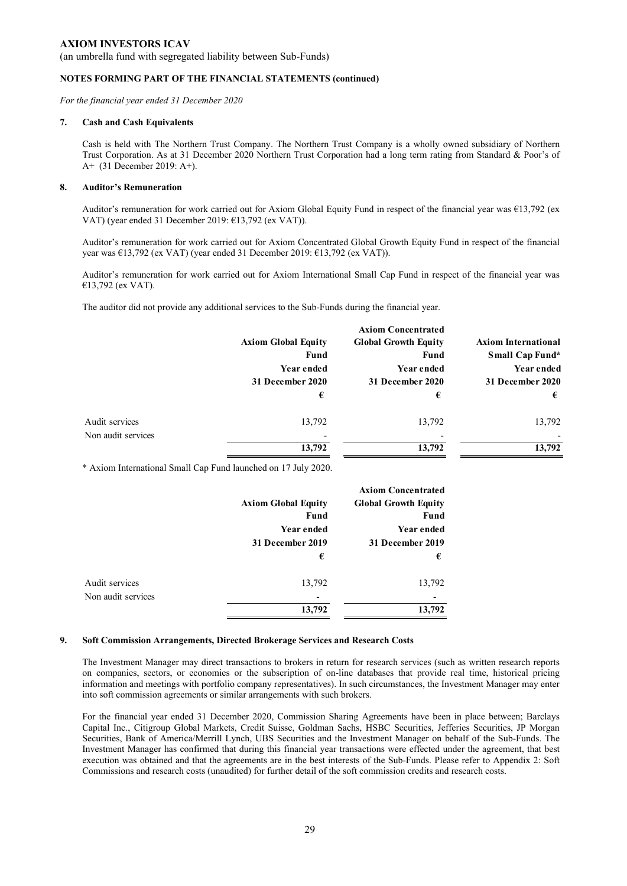(an umbrella fund with segregated liability between Sub-Funds)

#### **NOTES FORMING PART OF THE FINANCIAL STATEMENTS (continued)**

*For the financial year ended 31 December 2020* 

#### **7. Cash and Cash Equivalents**

Cash is held with The Northern Trust Company. The Northern Trust Company is a wholly owned subsidiary of Northern Trust Corporation. As at 31 December 2020 Northern Trust Corporation had a long term rating from Standard & Poor's of A+ (31 December 2019: A+).

#### **8. Auditor's Remuneration**

Auditor's remuneration for work carried out for Axiom Global Equity Fund in respect of the financial year was €13,792 (ex VAT) (year ended 31 December 2019: €13,792 (ex VAT)).

Auditor's remuneration for work carried out for Axiom Concentrated Global Growth Equity Fund in respect of the financial year was €13,792 (ex VAT) (year ended 31 December 2019: €13,792 (ex VAT)).

Auditor's remuneration for work carried out for Axiom International Small Cap Fund in respect of the financial year was €13,792 (ex VAT).

The auditor did not provide any additional services to the Sub-Funds during the financial year.

|                    |                            | <b>Axiom Concentrated</b>   |                            |
|--------------------|----------------------------|-----------------------------|----------------------------|
|                    | <b>Axiom Global Equity</b> | <b>Global Growth Equity</b> | <b>Axiom International</b> |
|                    | Fund                       | Fund                        | Small Cap Fund*            |
|                    | Year ended                 | Year ended                  | Year ended                 |
|                    | 31 December 2020           | 31 December 2020            | 31 December 2020           |
|                    | €                          | €                           | €                          |
| Audit services     | 13,792                     | 13,792                      | 13,792                     |
| Non audit services |                            | $\overline{\phantom{0}}$    |                            |
|                    | 13,792                     | 13,792                      | 13.792                     |

\* Axiom International Small Cap Fund launched on 17 July 2020.

|                    |                            | <b>Axiom Concentrated</b>   |
|--------------------|----------------------------|-----------------------------|
|                    | <b>Axiom Global Equity</b> | <b>Global Growth Equity</b> |
|                    | <b>Fund</b>                | Fund                        |
|                    | Year ended                 | Year ended                  |
|                    | 31 December 2019           | 31 December 2019            |
|                    | €                          | €                           |
| Audit services     | 13,792                     | 13,792                      |
| Non audit services |                            |                             |
|                    | 13,792                     | 13,792                      |

#### **9. Soft Commission Arrangements, Directed Brokerage Services and Research Costs**

The Investment Manager may direct transactions to brokers in return for research services (such as written research reports on companies, sectors, or economies or the subscription of on-line databases that provide real time, historical pricing information and meetings with portfolio company representatives). In such circumstances, the Investment Manager may enter into soft commission agreements or similar arrangements with such brokers.

For the financial year ended 31 December 2020, Commission Sharing Agreements have been in place between; Barclays Capital Inc., Citigroup Global Markets, Credit Suisse, Goldman Sachs, HSBC Securities, Jefferies Securities, JP Morgan Securities, Bank of America/Merrill Lynch, UBS Securities and the Investment Manager on behalf of the Sub-Funds. The Investment Manager has confirmed that during this financial year transactions were effected under the agreement, that best execution was obtained and that the agreements are in the best interests of the Sub-Funds. Please refer to Appendix 2: Soft Commissions and research costs (unaudited) for further detail of the soft commission credits and research costs.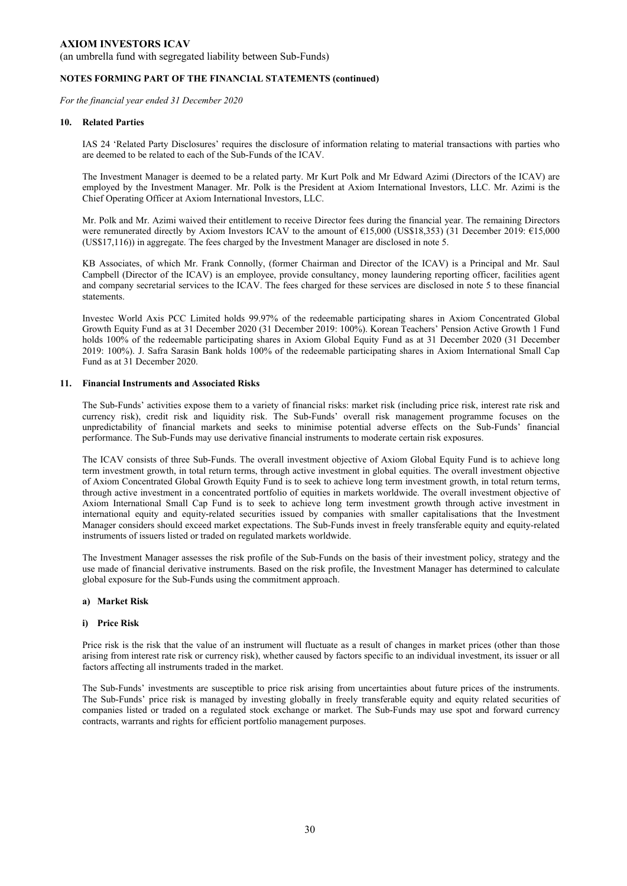(an umbrella fund with segregated liability between Sub-Funds)

### **NOTES FORMING PART OF THE FINANCIAL STATEMENTS (continued)**

*For the financial year ended 31 December 2020* 

#### **10. Related Parties**

IAS 24 'Related Party Disclosures' requires the disclosure of information relating to material transactions with parties who are deemed to be related to each of the Sub-Funds of the ICAV.

The Investment Manager is deemed to be a related party. Mr Kurt Polk and Mr Edward Azimi (Directors of the ICAV) are employed by the Investment Manager. Mr. Polk is the President at Axiom International Investors, LLC. Mr. Azimi is the Chief Operating Officer at Axiom International Investors, LLC.

Mr. Polk and Mr. Azimi waived their entitlement to receive Director fees during the financial year. The remaining Directors were remunerated directly by Axiom Investors ICAV to the amount of €15,000 (US\$18,353) (31 December 2019: €15,000 (US\$17,116)) in aggregate. The fees charged by the Investment Manager are disclosed in note 5.

KB Associates, of which Mr. Frank Connolly, (former Chairman and Director of the ICAV) is a Principal and Mr. Saul Campbell (Director of the ICAV) is an employee, provide consultancy, money laundering reporting officer, facilities agent and company secretarial services to the ICAV. The fees charged for these services are disclosed in note 5 to these financial statements.

Investec World Axis PCC Limited holds 99.97% of the redeemable participating shares in Axiom Concentrated Global Growth Equity Fund as at 31 December 2020 (31 December 2019: 100%). Korean Teachers' Pension Active Growth 1 Fund holds 100% of the redeemable participating shares in Axiom Global Equity Fund as at 31 December 2020 (31 December 2019: 100%). J. Safra Sarasin Bank holds 100% of the redeemable participating shares in Axiom International Small Cap Fund as at 31 December 2020.

#### **11. Financial Instruments and Associated Risks**

The Sub-Funds' activities expose them to a variety of financial risks: market risk (including price risk, interest rate risk and currency risk), credit risk and liquidity risk. The Sub-Funds' overall risk management programme focuses on the unpredictability of financial markets and seeks to minimise potential adverse effects on the Sub-Funds' financial performance. The Sub-Funds may use derivative financial instruments to moderate certain risk exposures.

The ICAV consists of three Sub-Funds. The overall investment objective of Axiom Global Equity Fund is to achieve long term investment growth, in total return terms, through active investment in global equities. The overall investment objective of Axiom Concentrated Global Growth Equity Fund is to seek to achieve long term investment growth, in total return terms, through active investment in a concentrated portfolio of equities in markets worldwide. The overall investment objective of Axiom International Small Cap Fund is to seek to achieve long term investment growth through active investment in international equity and equity-related securities issued by companies with smaller capitalisations that the Investment Manager considers should exceed market expectations. The Sub-Funds invest in freely transferable equity and equity-related instruments of issuers listed or traded on regulated markets worldwide.

The Investment Manager assesses the risk profile of the Sub-Funds on the basis of their investment policy, strategy and the use made of financial derivative instruments. Based on the risk profile, the Investment Manager has determined to calculate global exposure for the Sub-Funds using the commitment approach.

#### **a) Market Risk**

#### **i) Price Risk**

Price risk is the risk that the value of an instrument will fluctuate as a result of changes in market prices (other than those arising from interest rate risk or currency risk), whether caused by factors specific to an individual investment, its issuer or all factors affecting all instruments traded in the market.

The Sub-Funds' investments are susceptible to price risk arising from uncertainties about future prices of the instruments. The Sub-Funds' price risk is managed by investing globally in freely transferable equity and equity related securities of companies listed or traded on a regulated stock exchange or market. The Sub-Funds may use spot and forward currency contracts, warrants and rights for efficient portfolio management purposes.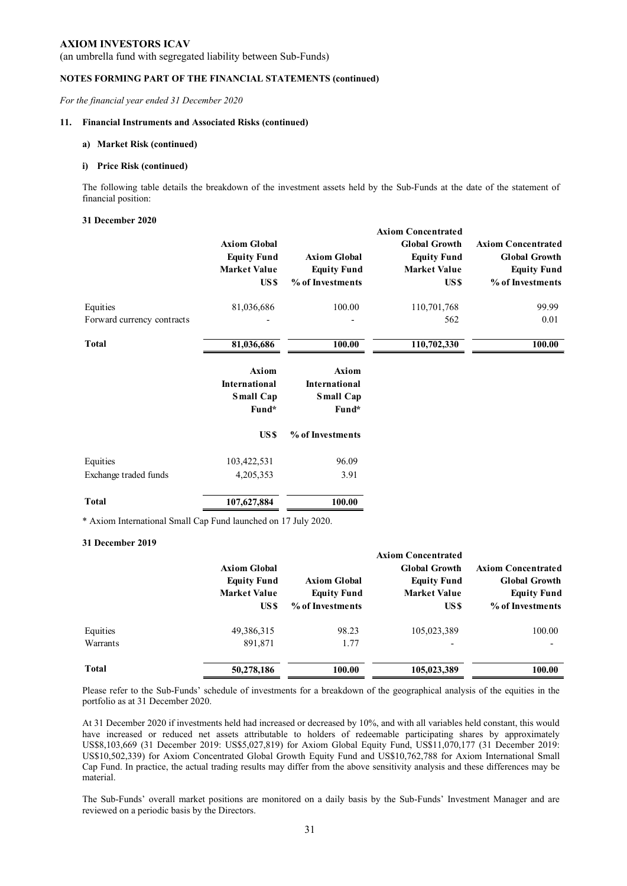(an umbrella fund with segregated liability between Sub-Funds)

#### **NOTES FORMING PART OF THE FINANCIAL STATEMENTS (continued)**

*For the financial year ended 31 December 2020* 

#### **11. Financial Instruments and Associated Risks (continued)**

#### **a) Market Risk (continued)**

#### **i) Price Risk (continued)**

The following table details the breakdown of the investment assets held by the Sub-Funds at the date of the statement of financial position:

**Axiom Concentrated**

#### **31 December 2020**

|                            | <b>Axiom Global</b><br><b>Equity Fund</b><br><b>Market Value</b><br>US \$ | <b>Axiom Global</b><br><b>Equity Fund</b><br>% of Investments | Axiom Concentrated<br><b>Global Growth</b><br><b>Equity Fund</b><br><b>Market Value</b><br>US \$ | <b>Axiom Concentrated</b><br><b>Global Growth</b><br><b>Equity Fund</b><br>% of Investments |
|----------------------------|---------------------------------------------------------------------------|---------------------------------------------------------------|--------------------------------------------------------------------------------------------------|---------------------------------------------------------------------------------------------|
| Equities                   | 81,036,686                                                                | 100.00                                                        | 110,701,768                                                                                      | 99.99                                                                                       |
| Forward currency contracts |                                                                           |                                                               | 562                                                                                              | 0.01                                                                                        |
| Total                      | 81,036,686                                                                | 100.00                                                        | 110,702,330                                                                                      | 100.00                                                                                      |
|                            | <b>Axiom</b>                                                              | <b>Axiom</b>                                                  |                                                                                                  |                                                                                             |
|                            | <b>International</b>                                                      | International                                                 |                                                                                                  |                                                                                             |
|                            | Small Cap                                                                 | Small Cap                                                     |                                                                                                  |                                                                                             |
|                            | Fund*                                                                     | Fund*                                                         |                                                                                                  |                                                                                             |

|                       | US \$       | % of Investments |
|-----------------------|-------------|------------------|
| Equities              | 103,422,531 | 96.09            |
| Exchange traded funds | 4,205,353   | 3.91             |
| Total                 | 107,627,884 | 100.00           |

\* Axiom International Small Cap Fund launched on 17 July 2020.

#### **31 December 2019**

|              | <b>Axiom Global</b><br><b>Equity Fund</b><br><b>Market Value</b><br>US \$ | <b>Axiom Global</b><br><b>Equity Fund</b><br>% of Investments | <b>Axiom Concentrated</b><br><b>Global Growth</b><br><b>Equity Fund</b><br><b>Market Value</b><br>US \$ | <b>Axiom Concentrated</b><br><b>Global Growth</b><br><b>Equity Fund</b><br>% of Investments |
|--------------|---------------------------------------------------------------------------|---------------------------------------------------------------|---------------------------------------------------------------------------------------------------------|---------------------------------------------------------------------------------------------|
| Equities     | 49,386,315                                                                | 98.23                                                         | 105,023,389                                                                                             | 100.00                                                                                      |
| Warrants     | 891,871                                                                   | 1.77                                                          |                                                                                                         |                                                                                             |
| <b>Total</b> | 50,278,186                                                                | 100.00                                                        | 105,023,389                                                                                             | 100.00                                                                                      |

Please refer to the Sub-Funds' schedule of investments for a breakdown of the geographical analysis of the equities in the portfolio as at 31 December 2020.

At 31 December 2020 if investments held had increased or decreased by 10%, and with all variables held constant, this would have increased or reduced net assets attributable to holders of redeemable participating shares by approximately US\$8,103,669 (31 December 2019: US\$5,027,819) for Axiom Global Equity Fund, US\$11,070,177 (31 December 2019: US\$10,502,339) for Axiom Concentrated Global Growth Equity Fund and US\$10,762,788 for Axiom International Small Cap Fund. In practice, the actual trading results may differ from the above sensitivity analysis and these differences may be material.

The Sub-Funds' overall market positions are monitored on a daily basis by the Sub-Funds' Investment Manager and are reviewed on a periodic basis by the Directors.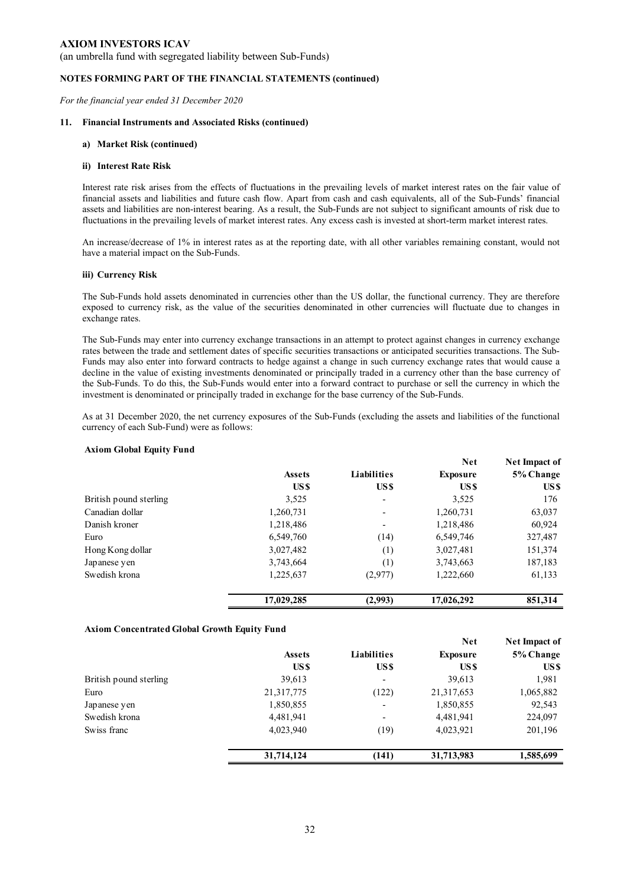(an umbrella fund with segregated liability between Sub-Funds)

#### **NOTES FORMING PART OF THE FINANCIAL STATEMENTS (continued)**

*For the financial year ended 31 December 2020* 

#### **11. Financial Instruments and Associated Risks (continued)**

#### **a) Market Risk (continued)**

#### **ii) Interest Rate Risk**

Interest rate risk arises from the effects of fluctuations in the prevailing levels of market interest rates on the fair value of financial assets and liabilities and future cash flow. Apart from cash and cash equivalents, all of the Sub-Funds' financial assets and liabilities are non-interest bearing. As a result, the Sub-Funds are not subject to significant amounts of risk due to fluctuations in the prevailing levels of market interest rates. Any excess cash is invested at short-term market interest rates.

An increase/decrease of 1% in interest rates as at the reporting date, with all other variables remaining constant, would not have a material impact on the Sub-Funds.

#### **iii) Currency Risk**

The Sub-Funds hold assets denominated in currencies other than the US dollar, the functional currency. They are therefore exposed to currency risk, as the value of the securities denominated in other currencies will fluctuate due to changes in exchange rates.

The Sub-Funds may enter into currency exchange transactions in an attempt to protect against changes in currency exchange rates between the trade and settlement dates of specific securities transactions or anticipated securities transactions. The Sub-Funds may also enter into forward contracts to hedge against a change in such currency exchange rates that would cause a decline in the value of existing investments denominated or principally traded in a currency other than the base currency of the Sub-Funds. To do this, the Sub-Funds would enter into a forward contract to purchase or sell the currency in which the investment is denominated or principally traded in exchange for the base currency of the Sub-Funds.

As at 31 December 2020, the net currency exposures of the Sub-Funds (excluding the assets and liabilities of the functional currency of each Sub-Fund) were as follows:

### **Axiom Global Equity Fund**

|                        |               |                          | <b>Net</b>      | Net Impact of |
|------------------------|---------------|--------------------------|-----------------|---------------|
|                        | <b>Assets</b> | Liabilities              | <b>Exposure</b> | 5% Change     |
|                        | US \$         | US\$                     | US \$           | US \$         |
| British pound sterling | 3,525         | $\overline{\phantom{a}}$ | 3,525           | 176           |
| Canadian dollar        | 1,260,731     |                          | 1,260,731       | 63,037        |
| Danish kroner          | 1,218,486     | $\overline{\phantom{0}}$ | 1,218,486       | 60,924        |
| Euro                   | 6,549,760     | (14)                     | 6,549,746       | 327,487       |
| Hong Kong dollar       | 3,027,482     | (1)                      | 3,027,481       | 151,374       |
| Japanese yen           | 3,743,664     | (1)                      | 3,743,663       | 187,183       |
| Swedish krona          | 1,225,637     | (2,977)                  | 1,222,660       | 61,133        |
|                        | 17,029,285    | (2,993)                  | 17,026,292      | 851.314       |

### **Axiom Concentrated Global Growth Equity Fund**

|                        |                  |                          | <b>Net</b>      | Net Impact of |
|------------------------|------------------|--------------------------|-----------------|---------------|
|                        | <b>Assets</b>    | Liabilities              | <b>Exposure</b> | 5% Change     |
|                        | US <sub>\$</sub> | US\$                     | US \$           | US \$         |
| British pound sterling | 39,613           | $\overline{\phantom{a}}$ | 39,613          | 1,981         |
| Euro                   | 21, 317, 775     | (122)                    | 21,317,653      | 1,065,882     |
| Japanese yen           | 1,850,855        | $\overline{\phantom{a}}$ | 1,850,855       | 92,543        |
| Swedish krona          | 4,481,941        | $\overline{\phantom{a}}$ | 4,481,941       | 224,097       |
| Swiss franc            | 4,023,940        | (19)                     | 4,023,921       | 201,196       |
|                        | 31,714,124       | (141)                    | 31,713,983      | 1,585,699     |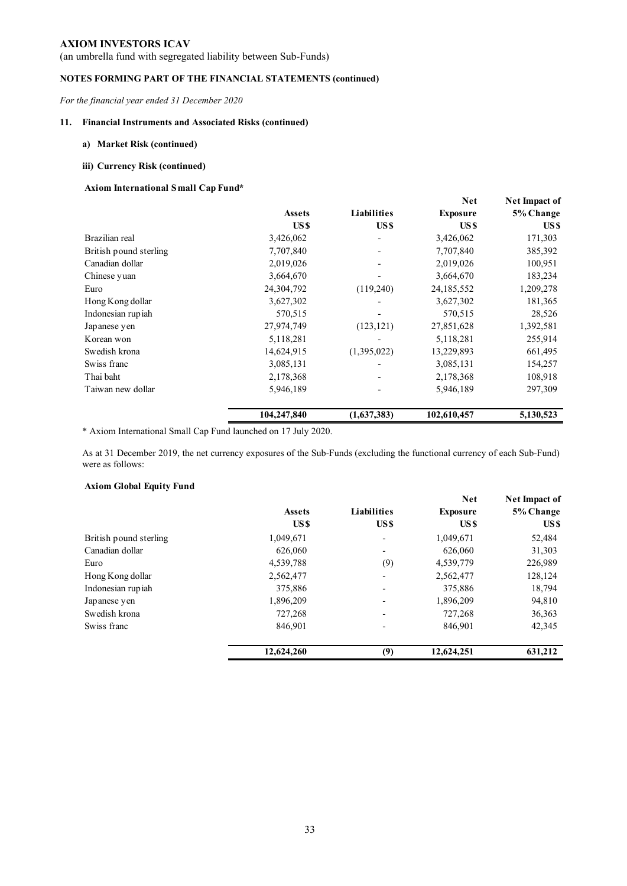(an umbrella fund with segregated liability between Sub-Funds)

## **NOTES FORMING PART OF THE FINANCIAL STATEMENTS (continued)**

*For the financial year ended 31 December 2020* 

### **11. Financial Instruments and Associated Risks (continued)**

### **a) Market Risk (continued)**

#### **iii) Currency Risk (continued)**

## **Axiom International Small Cap Fund\***

|                        |               |                    | <b>Net</b>      | <b>Net Impact of</b> |
|------------------------|---------------|--------------------|-----------------|----------------------|
|                        | <b>Assets</b> | <b>Liabilities</b> | <b>Exposure</b> | 5% Change            |
|                        | US \$         | US\$               | US \$           | US \$                |
| Brazilian real         | 3,426,062     |                    | 3,426,062       | 171,303              |
| British pound sterling | 7,707,840     |                    | 7,707,840       | 385,392              |
| Canadian dollar        | 2,019,026     |                    | 2,019,026       | 100,951              |
| Chinese yuan           | 3,664,670     |                    | 3,664,670       | 183,234              |
| Euro                   | 24,304,792    | (119,240)          | 24,185,552      | 1,209,278            |
| Hong Kong dollar       | 3,627,302     |                    | 3,627,302       | 181,365              |
| Indonesian rupiah      | 570,515       |                    | 570,515         | 28,526               |
| Japanese yen           | 27,974,749    | (123, 121)         | 27,851,628      | 1,392,581            |
| Korean won             | 5,118,281     |                    | 5,118,281       | 255,914              |
| Swedish krona          | 14,624,915    | (1,395,022)        | 13,229,893      | 661,495              |
| Swiss franc            | 3,085,131     |                    | 3,085,131       | 154,257              |
| Thai baht              | 2,178,368     |                    | 2,178,368       | 108,918              |
| Taiwan new dollar      | 5,946,189     |                    | 5,946,189       | 297,309              |
|                        | 104,247,840   | (1,637,383)        | 102,610,457     | 5,130,523            |

\* Axiom International Small Cap Fund launched on 17 July 2020.

As at 31 December 2019, the net currency exposures of the Sub-Funds (excluding the functional currency of each Sub-Fund) were as follows:

### **Axiom Global Equity Fund**

|                        |               |                          | <b>Net</b>      | Net Impact of |
|------------------------|---------------|--------------------------|-----------------|---------------|
|                        | <b>Assets</b> | Liabilities              | <b>Exposure</b> | 5% Change     |
|                        | US \$         | US\$                     | US \$           | US \$         |
| British pound sterling | 1,049,671     |                          | 1,049,671       | 52,484        |
| Canadian dollar        | 626,060       |                          | 626,060         | 31,303        |
| Euro                   | 4,539,788     | (9)                      | 4,539,779       | 226,989       |
| Hong Kong dollar       | 2,562,477     |                          | 2,562,477       | 128,124       |
| Indonesian rupiah      | 375,886       | $\overline{\phantom{0}}$ | 375,886         | 18,794        |
| Japanese yen           | 1,896,209     |                          | 1,896,209       | 94,810        |
| Swedish krona          | 727,268       |                          | 727,268         | 36,363        |
| Swiss franc            | 846,901       |                          | 846,901         | 42,345        |
|                        | 12,624,260    | (9)                      | 12,624,251      | 631,212       |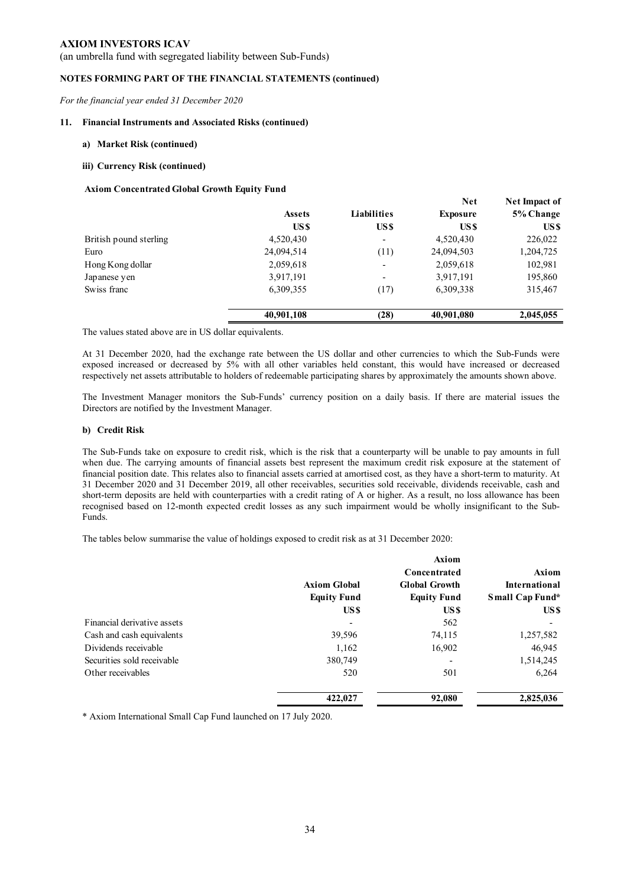(an umbrella fund with segregated liability between Sub-Funds)

### **NOTES FORMING PART OF THE FINANCIAL STATEMENTS (continued)**

*For the financial year ended 31 December 2020* 

#### **11. Financial Instruments and Associated Risks (continued)**

#### **a) Market Risk (continued)**

#### **iii) Currency Risk (continued)**

#### **Axiom Concentrated Global Growth Equity Fund**

|                        |               |                          | <b>Net</b>      | Net Impact of |
|------------------------|---------------|--------------------------|-----------------|---------------|
|                        | <b>Assets</b> | Liabilities              | <b>Exposure</b> | 5% Change     |
|                        | US \$         | US\$                     | US \$           | US \$         |
| British pound sterling | 4,520,430     | $\overline{\phantom{a}}$ | 4,520,430       | 226,022       |
| Euro                   | 24,094,514    | (11)                     | 24,094,503      | 1,204,725     |
| Hong Kong dollar       | 2,059,618     | $\overline{\phantom{0}}$ | 2,059,618       | 102,981       |
| Japanese yen           | 3,917,191     | -                        | 3,917,191       | 195,860       |
| Swiss franc            | 6,309,355     | (17)                     | 6,309,338       | 315,467       |
|                        | 40,901,108    | (28)                     | 40,901,080      | 2,045,055     |

The values stated above are in US dollar equivalents.

At 31 December 2020, had the exchange rate between the US dollar and other currencies to which the Sub-Funds were exposed increased or decreased by 5% with all other variables held constant, this would have increased or decreased respectively net assets attributable to holders of redeemable participating shares by approximately the amounts shown above.

The Investment Manager monitors the Sub-Funds' currency position on a daily basis. If there are material issues the Directors are notified by the Investment Manager.

#### **b) Credit Risk**

The Sub-Funds take on exposure to credit risk, which is the risk that a counterparty will be unable to pay amounts in full when due. The carrying amounts of financial assets best represent the maximum credit risk exposure at the statement of financial position date. This relates also to financial assets carried at amortised cost, as they have a short-term to maturity. At 31 December 2020 and 31 December 2019, all other receivables, securities sold receivable, dividends receivable, cash and short-term deposits are held with counterparties with a credit rating of A or higher. As a result, no loss allowance has been recognised based on 12-month expected credit losses as any such impairment would be wholly insignificant to the Sub-Funds.

The tables below summarise the value of holdings exposed to credit risk as at 31 December 2020:

|                             |                     | Axiom                |                      |
|-----------------------------|---------------------|----------------------|----------------------|
|                             |                     | Concentrated         | <b>Axiom</b>         |
|                             | <b>Axiom Global</b> | <b>Global Growth</b> | <b>International</b> |
|                             | <b>Equity Fund</b>  | <b>Equity Fund</b>   | Small Cap Fund*      |
|                             | US \$               | US \$                | US \$                |
| Financial derivative assets |                     | 562                  |                      |
| Cash and cash equivalents   | 39,596              | 74,115               | 1,257,582            |
| Dividends receivable        | 1,162               | 16,902               | 46,945               |
| Securities sold receivable  | 380,749             |                      | 1,514,245            |
| Other receivables           | 520                 | 501                  | 6,264                |
|                             | 422,027             | 92,080               | 2,825,036            |

\* Axiom International Small Cap Fund launched on 17 July 2020.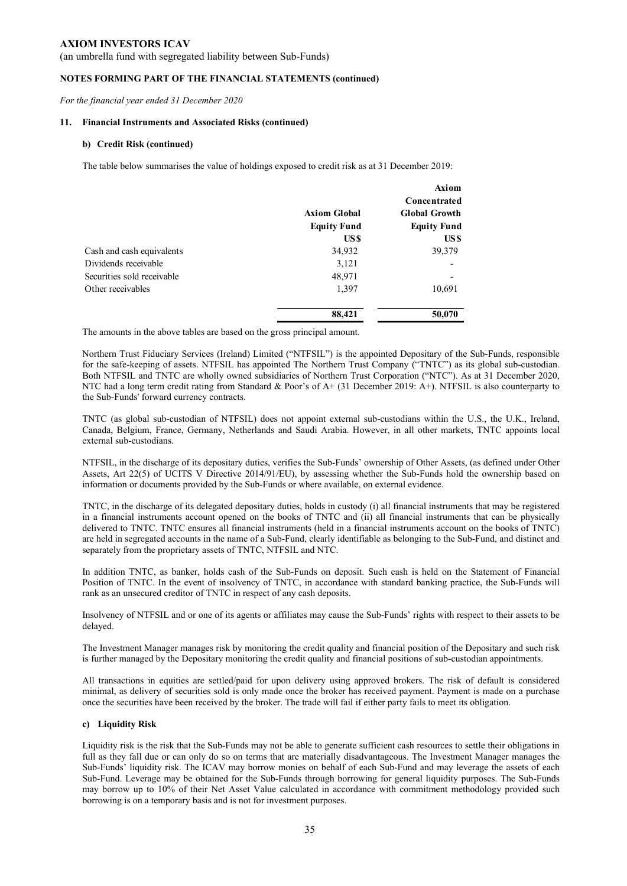(an umbrella fund with segregated liability between Sub-Funds)

#### **NOTES FORMING PART OF THE FINANCIAL STATEMENTS (continued)**

*For the financial year ended 31 December 2020* 

#### **11. Financial Instruments and Associated Risks (continued)**

#### **b) Credit Risk (continued)**

The table below summarises the value of holdings exposed to credit risk as at 31 December 2019:

|                            |                     | <b>Axiom</b>             |
|----------------------------|---------------------|--------------------------|
|                            |                     | Concentrated             |
|                            | <b>Axiom Global</b> | <b>Global Growth</b>     |
|                            | <b>Equity Fund</b>  | <b>Equity Fund</b>       |
|                            | US \$               | US \$                    |
| Cash and cash equivalents  | 34,932              | 39,379                   |
| Dividends receivable       | 3,121               | -                        |
| Securities sold receivable | 48,971              | $\overline{\phantom{a}}$ |
| Other receivables          | 1,397               | 10,691                   |
|                            | 88,421              | 50,070                   |

The amounts in the above tables are based on the gross principal amount.

Northern Trust Fiduciary Services (Ireland) Limited ("NTFSIL") is the appointed Depositary of the Sub-Funds, responsible for the safe-keeping of assets. NTFSIL has appointed The Northern Trust Company ("TNTC") as its global sub-custodian. Both NTFSIL and TNTC are wholly owned subsidiaries of Northern Trust Corporation ("NTC"). As at 31 December 2020, NTC had a long term credit rating from Standard & Poor's of A+ (31 December 2019: A+). NTFSIL is also counterparty to the Sub-Funds' forward currency contracts.

TNTC (as global sub-custodian of NTFSIL) does not appoint external sub-custodians within the U.S., the U.K., Ireland, Canada, Belgium, France, Germany, Netherlands and Saudi Arabia. However, in all other markets, TNTC appoints local external sub-custodians.

NTFSIL, in the discharge of its depositary duties, verifies the Sub-Funds' ownership of Other Assets, (as defined under Other Assets, Art 22(5) of UCITS V Directive 2014/91/EU), by assessing whether the Sub-Funds hold the ownership based on information or documents provided by the Sub-Funds or where available, on external evidence.

TNTC, in the discharge of its delegated depositary duties, holds in custody (i) all financial instruments that may be registered in a financial instruments account opened on the books of TNTC and (ii) all financial instruments that can be physically delivered to TNTC. TNTC ensures all financial instruments (held in a financial instruments account on the books of TNTC) are held in segregated accounts in the name of a Sub-Fund, clearly identifiable as belonging to the Sub-Fund, and distinct and separately from the proprietary assets of TNTC, NTFSIL and NTC.

In addition TNTC, as banker, holds cash of the Sub-Funds on deposit. Such cash is held on the Statement of Financial Position of TNTC. In the event of insolvency of TNTC, in accordance with standard banking practice, the Sub-Funds will rank as an unsecured creditor of TNTC in respect of any cash deposits.

Insolvency of NTFSIL and or one of its agents or affiliates may cause the Sub-Funds' rights with respect to their assets to be delayed.

The Investment Manager manages risk by monitoring the credit quality and financial position of the Depositary and such risk is further managed by the Depositary monitoring the credit quality and financial positions of sub-custodian appointments.

All transactions in equities are settled/paid for upon delivery using approved brokers. The risk of default is considered minimal, as delivery of securities sold is only made once the broker has received payment. Payment is made on a purchase once the securities have been received by the broker. The trade will fail if either party fails to meet its obligation.

### **c) Liquidity Risk**

Liquidity risk is the risk that the Sub-Funds may not be able to generate sufficient cash resources to settle their obligations in full as they fall due or can only do so on terms that are materially disadvantageous. The Investment Manager manages the Sub-Funds' liquidity risk. The ICAV may borrow monies on behalf of each Sub-Fund and may leverage the assets of each Sub-Fund. Leverage may be obtained for the Sub-Funds through borrowing for general liquidity purposes. The Sub-Funds may borrow up to 10% of their Net Asset Value calculated in accordance with commitment methodology provided such borrowing is on a temporary basis and is not for investment purposes.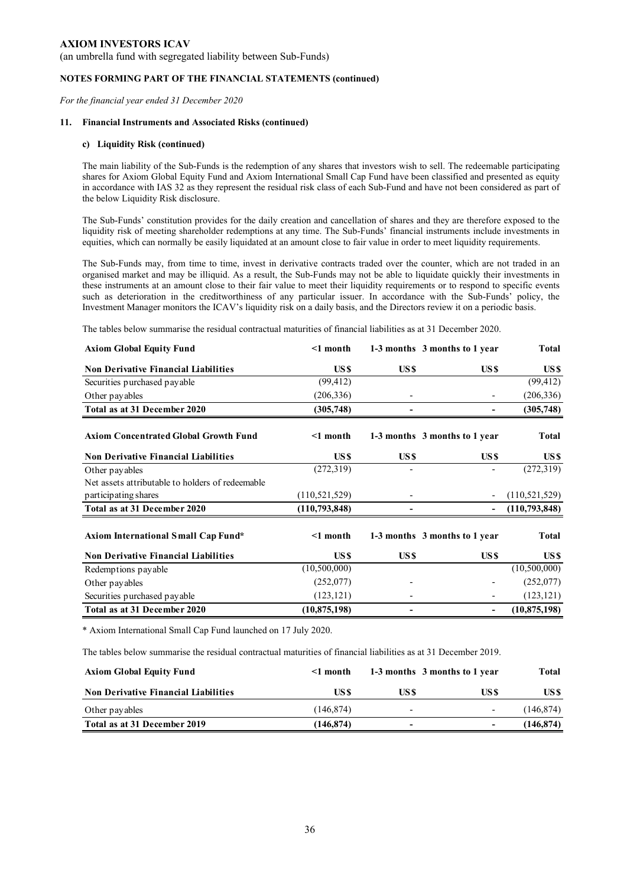(an umbrella fund with segregated liability between Sub-Funds)

#### **NOTES FORMING PART OF THE FINANCIAL STATEMENTS (continued)**

*For the financial year ended 31 December 2020* 

#### **11. Financial Instruments and Associated Risks (continued)**

#### **c) Liquidity Risk (continued)**

The main liability of the Sub-Funds is the redemption of any shares that investors wish to sell. The redeemable participating shares for Axiom Global Equity Fund and Axiom International Small Cap Fund have been classified and presented as equity in accordance with IAS 32 as they represent the residual risk class of each Sub-Fund and have not been considered as part of the below Liquidity Risk disclosure.

The Sub-Funds' constitution provides for the daily creation and cancellation of shares and they are therefore exposed to the liquidity risk of meeting shareholder redemptions at any time. The Sub-Funds' financial instruments include investments in equities, which can normally be easily liquidated at an amount close to fair value in order to meet liquidity requirements.

The Sub-Funds may, from time to time, invest in derivative contracts traded over the counter, which are not traded in an organised market and may be illiquid. As a result, the Sub-Funds may not be able to liquidate quickly their investments in these instruments at an amount close to their fair value to meet their liquidity requirements or to respond to specific events such as deterioration in the creditworthiness of any particular issuer. In accordance with the Sub-Funds' policy, the Investment Manager monitors the ICAV's liquidity risk on a daily basis, and the Directors review it on a periodic basis.

The tables below summarise the residual contractual maturities of financial liabilities as at 31 December 2020.

| <b>Axiom Global Equity Fund</b>                  | $\leq 1$ month   |                  | 1-3 months 3 months to 1 year | <b>Total</b>    |
|--------------------------------------------------|------------------|------------------|-------------------------------|-----------------|
| <b>Non Derivative Financial Liabilities</b>      | US <sub>\$</sub> | US\$             | US\$                          | US \$           |
| Securities purchased payable                     | (99, 412)        |                  |                               | (99, 412)       |
| Other payables                                   | (206, 336)       |                  |                               | (206, 336)      |
| Total as at 31 December 2020                     | (305, 748)       |                  |                               | (305, 748)      |
| <b>Axiom Concentrated Global Growth Fund</b>     | $\leq 1$ month   |                  | 1-3 months 3 months to 1 year | <b>Total</b>    |
| <b>Non Derivative Financial Liabilities</b>      | US <sub>\$</sub> | US <sub>\$</sub> | US\$                          | US \$           |
| Other payables                                   | (272, 319)       |                  |                               | (272, 319)      |
| Net assets attributable to holders of redeemable |                  |                  |                               |                 |
| participating shares                             | (110, 521, 529)  |                  |                               | (110, 521, 529) |
| Total as at 31 December 2020                     | (110, 793, 848)  |                  |                               | (110,793,848)   |
| Axiom International Small Cap Fund*              | $\leq 1$ month   |                  | 1-3 months 3 months to 1 year | <b>Total</b>    |
| <b>Non Derivative Financial Liabilities</b>      | US <sub>\$</sub> | US <sub>\$</sub> | US \$                         | US \$           |
| Redemptions payable                              | (10,500,000)     |                  |                               | (10,500,000)    |
| Other payables                                   | (252,077)        |                  |                               | (252,077)       |
| Securities purchased payable                     | (123, 121)       |                  |                               | (123, 121)      |
| Total as at 31 December 2020                     | (10, 875, 198)   |                  |                               | (10, 875, 198)  |
|                                                  |                  |                  |                               |                 |

\* Axiom International Small Cap Fund launched on 17 July 2020.

The tables below summarise the residual contractual maturities of financial liabilities as at 31 December 2019.

| <b>Axiom Global Equity Fund</b>             | $\leq 1$ month |                          | 1-3 months 3 months to 1 year | Total      |
|---------------------------------------------|----------------|--------------------------|-------------------------------|------------|
| <b>Non Derivative Financial Liabilities</b> | US \$          | US \$                    | US \$                         | US \$      |
| Other payables                              | (146.874)      | $\overline{\phantom{0}}$ | $\overline{\phantom{a}}$      | (146, 874) |
| Total as at 31 December 2019                | (146.874)      | -                        | $\overline{\phantom{a}}$      | (146, 874) |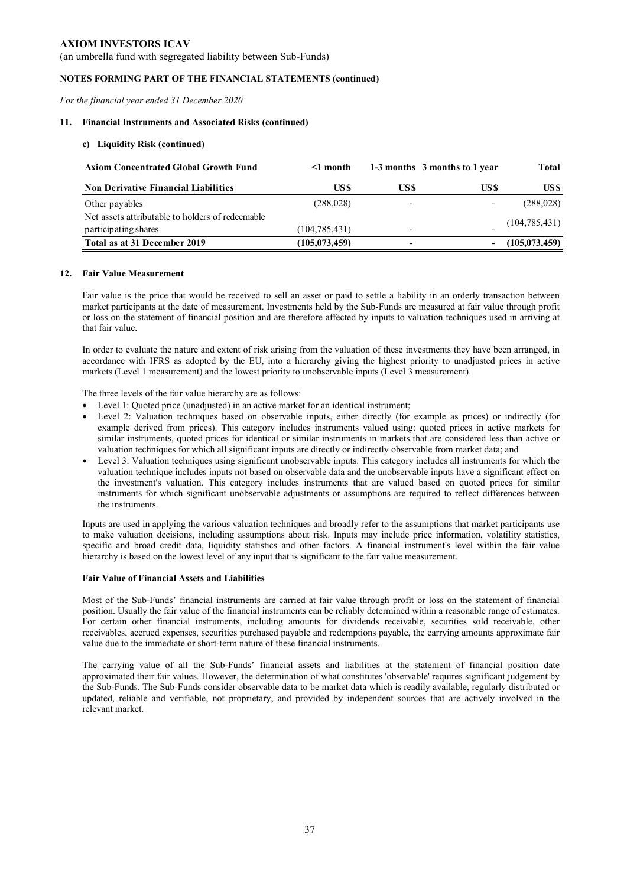(an umbrella fund with segregated liability between Sub-Funds)

### **NOTES FORMING PART OF THE FINANCIAL STATEMENTS (continued)**

*For the financial year ended 31 December 2020* 

#### **11. Financial Instruments and Associated Risks (continued)**

### **c) Liquidity Risk (continued)**

| <b>Axiom Concentrated Global Growth Fund</b>     | $\leq 1$ month  |       | 1-3 months 3 months to 1 year | Total           |
|--------------------------------------------------|-----------------|-------|-------------------------------|-----------------|
| <b>Non Derivative Financial Liabilities</b>      | US \$           | US \$ | US \$                         | US \$           |
| Other payables                                   | (288, 028)      | -     | ۰                             | (288, 028)      |
| Net assets attributable to holders of redeemable |                 |       |                               |                 |
| participating shares                             | (104, 785, 431) | -     |                               | (104, 785, 431) |
| Total as at 31 December 2019                     | (105, 073, 459) | -     |                               | (105, 073, 459) |

#### **12. Fair Value Measurement**

Fair value is the price that would be received to sell an asset or paid to settle a liability in an orderly transaction between market participants at the date of measurement. Investments held by the Sub-Funds are measured at fair value through profit or loss on the statement of financial position and are therefore affected by inputs to valuation techniques used in arriving at that fair value.

In order to evaluate the nature and extent of risk arising from the valuation of these investments they have been arranged, in accordance with IFRS as adopted by the EU, into a hierarchy giving the highest priority to unadjusted prices in active markets (Level 1 measurement) and the lowest priority to unobservable inputs (Level 3 measurement).

The three levels of the fair value hierarchy are as follows:

- Level 1: Quoted price (unadjusted) in an active market for an identical instrument;
- Level 2: Valuation techniques based on observable inputs, either directly (for example as prices) or indirectly (for example derived from prices). This category includes instruments valued using: quoted prices in active markets for similar instruments, quoted prices for identical or similar instruments in markets that are considered less than active or valuation techniques for which all significant inputs are directly or indirectly observable from market data; and
- Level 3: Valuation techniques using significant unobservable inputs. This category includes all instruments for which the valuation technique includes inputs not based on observable data and the unobservable inputs have a significant effect on the investment's valuation. This category includes instruments that are valued based on quoted prices for similar instruments for which significant unobservable adjustments or assumptions are required to reflect differences between the instruments.

Inputs are used in applying the various valuation techniques and broadly refer to the assumptions that market participants use to make valuation decisions, including assumptions about risk. Inputs may include price information, volatility statistics, specific and broad credit data, liquidity statistics and other factors. A financial instrument's level within the fair value hierarchy is based on the lowest level of any input that is significant to the fair value measurement.

#### **Fair Value of Financial Assets and Liabilities**

Most of the Sub-Funds' financial instruments are carried at fair value through profit or loss on the statement of financial position. Usually the fair value of the financial instruments can be reliably determined within a reasonable range of estimates. For certain other financial instruments, including amounts for dividends receivable, securities sold receivable, other receivables, accrued expenses, securities purchased payable and redemptions payable, the carrying amounts approximate fair value due to the immediate or short-term nature of these financial instruments.

The carrying value of all the Sub-Funds' financial assets and liabilities at the statement of financial position date approximated their fair values. However, the determination of what constitutes 'observable' requires significant judgement by the Sub-Funds. The Sub-Funds consider observable data to be market data which is readily available, regularly distributed or updated, reliable and verifiable, not proprietary, and provided by independent sources that are actively involved in the relevant market.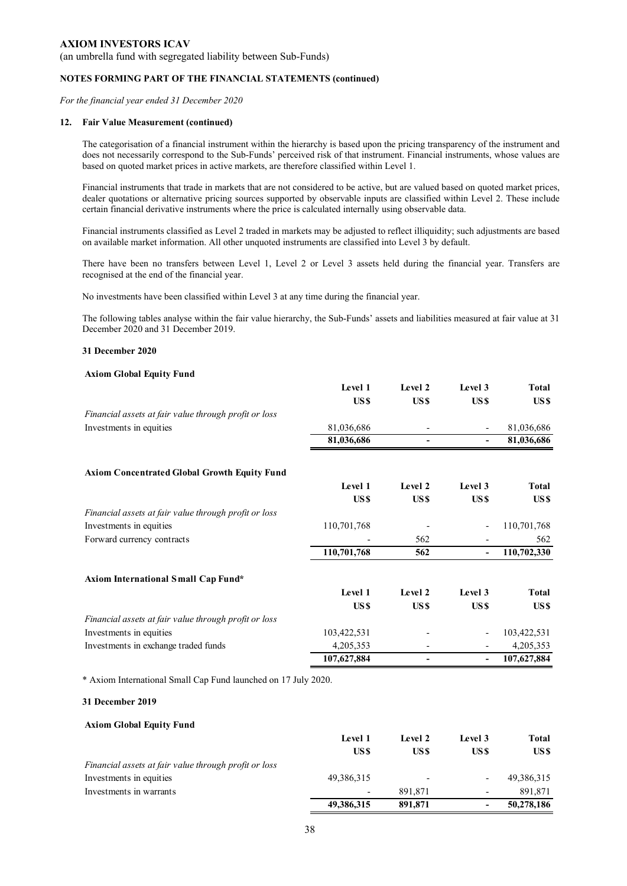(an umbrella fund with segregated liability between Sub-Funds)

#### **NOTES FORMING PART OF THE FINANCIAL STATEMENTS (continued)**

*For the financial year ended 31 December 2020* 

#### **12. Fair Value Measurement (continued)**

The categorisation of a financial instrument within the hierarchy is based upon the pricing transparency of the instrument and does not necessarily correspond to the Sub-Funds' perceived risk of that instrument. Financial instruments, whose values are based on quoted market prices in active markets, are therefore classified within Level 1.

Financial instruments that trade in markets that are not considered to be active, but are valued based on quoted market prices, dealer quotations or alternative pricing sources supported by observable inputs are classified within Level 2. These include certain financial derivative instruments where the price is calculated internally using observable data.

Financial instruments classified as Level 2 traded in markets may be adjusted to reflect illiquidity; such adjustments are based on available market information. All other unquoted instruments are classified into Level 3 by default.

There have been no transfers between Level 1, Level 2 or Level 3 assets held during the financial year. Transfers are recognised at the end of the financial year.

No investments have been classified within Level 3 at any time during the financial year.

The following tables analyse within the fair value hierarchy, the Sub-Funds' assets and liabilities measured at fair value at 31 December 2020 and 31 December 2019.

#### **31 December 2020**

#### **Axiom Global Equity Fund**

|                                                       | Level 1     | Level 2          | Level 3                  | Total        |
|-------------------------------------------------------|-------------|------------------|--------------------------|--------------|
|                                                       | US \$       | US <sub>\$</sub> | US\$                     | US \$        |
| Financial assets at fair value through profit or loss |             |                  |                          |              |
| Investments in equities                               | 81,036,686  |                  |                          | 81,036,686   |
|                                                       | 81,036,686  |                  | ۰.                       | 81,036,686   |
| <b>Axiom Concentrated Global Growth Equity Fund</b>   |             |                  |                          |              |
|                                                       | Level 1     | Level 2          | Level 3                  | <b>Total</b> |
|                                                       | US \$       | US <sub>\$</sub> | US\$                     | US \$        |
| Financial assets at fair value through profit or loss |             |                  |                          |              |
| Investments in equities                               | 110,701,768 |                  |                          | 110,701,768  |
| Forward currency contracts                            |             | 562              |                          | 562          |
|                                                       | 110,701,768 | 562              | $\overline{\phantom{0}}$ | 110,702,330  |
| Axiom International Small Cap Fund*                   |             |                  |                          |              |
|                                                       | Level 1     | Level 2          | Level 3                  | <b>Total</b> |
|                                                       | US \$       | US <sub>\$</sub> | US\$                     | US\$         |
| Financial assets at fair value through profit or loss |             |                  |                          |              |
| Investments in equities                               | 103,422,531 |                  |                          | 103,422,531  |
| Investments in exchange traded funds                  | 4,205,353   |                  |                          | 4,205,353    |
|                                                       | 107,627,884 |                  |                          | 107,627,884  |
|                                                       |             |                  |                          |              |

\* Axiom International Small Cap Fund launched on 17 July 2020.

#### **31 December 2019**

#### **Axiom Global Equity Fund**

|                                                       | Level 1                  | Level 2 | Level 3                  | Total      |
|-------------------------------------------------------|--------------------------|---------|--------------------------|------------|
|                                                       | US \$                    | US \$   | US\$                     | US \$      |
| Financial assets at fair value through profit or loss |                          |         |                          |            |
| Investments in equities                               | 49,386,315               |         | ۰                        | 49,386,315 |
| Investments in warrants                               | $\overline{\phantom{0}}$ | 891.871 | $\overline{\phantom{0}}$ | 891.871    |
|                                                       | 49,386,315               | 891.871 | -                        | 50,278,186 |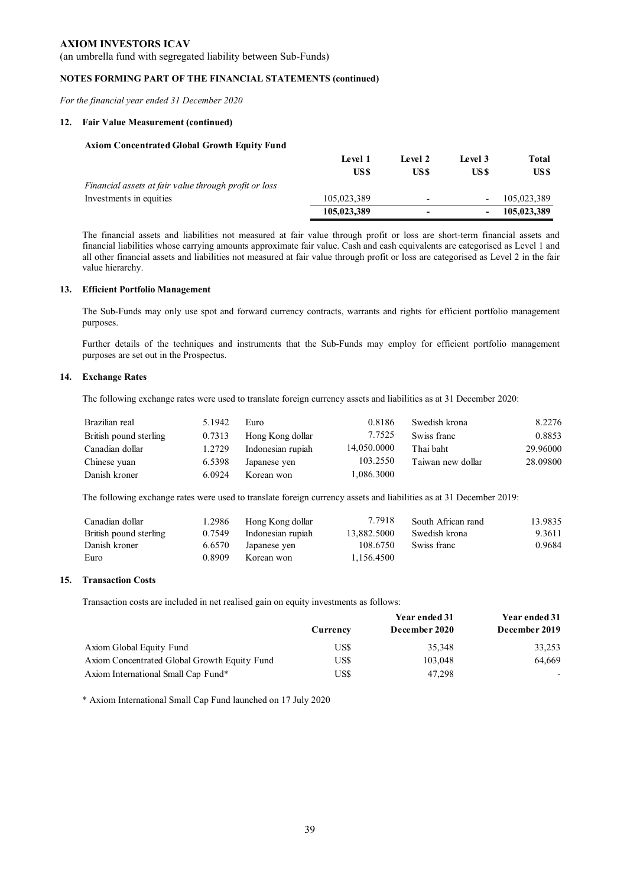(an umbrella fund with segregated liability between Sub-Funds)

### **NOTES FORMING PART OF THE FINANCIAL STATEMENTS (continued)**

*For the financial year ended 31 December 2020* 

#### **12. Fair Value Measurement (continued)**

#### **Axiom Concentrated Global Growth Equity Fund**

|                                                       | <b>Level 1</b> | Level 2                  | Level 3 | Total       |
|-------------------------------------------------------|----------------|--------------------------|---------|-------------|
|                                                       | US \$          | US \$                    | US \$   | US \$       |
| Financial assets at fair value through profit or loss |                |                          |         |             |
| Investments in equities                               | 105,023,389    | $\overline{\phantom{0}}$ |         | 105,023,389 |
|                                                       | 105,023,389    | -                        |         | 105,023,389 |

The financial assets and liabilities not measured at fair value through profit or loss are short-term financial assets and financial liabilities whose carrying amounts approximate fair value. Cash and cash equivalents are categorised as Level 1 and all other financial assets and liabilities not measured at fair value through profit or loss are categorised as Level 2 in the fair value hierarchy.

#### **13. Efficient Portfolio Management**

The Sub-Funds may only use spot and forward currency contracts, warrants and rights for efficient portfolio management purposes.

Further details of the techniques and instruments that the Sub-Funds may employ for efficient portfolio management purposes are set out in the Prospectus.

#### **14. Exchange Rates**

The following exchange rates were used to translate foreign currency assets and liabilities as at 31 December 2020:

| Brazilian real         | 5.1942 | Euro              | 0.8186      | Swedish krona     | 8.2276   |
|------------------------|--------|-------------------|-------------|-------------------|----------|
| British pound sterling | 0.7313 | Hong Kong dollar  | 7.7525      | Swiss franc       | 0.8853   |
| Canadian dollar        | 1.2729 | Indonesian rupiah | 14,050.0000 | Thai baht         | 29.96000 |
| Chinese yuan           | 6.5398 | Japanese yen      | 103.2550    | Taiwan new dollar | 28.09800 |
| Danish kroner          | 6.0924 | Korean won        | 1,086.3000  |                   |          |

The following exchange rates were used to translate foreign currency assets and liabilities as at 31 December 2019:

| Canadian dollar        | 1.2986 | Hong Kong dollar  | 7.7918      | South African rand | 13.9835 |
|------------------------|--------|-------------------|-------------|--------------------|---------|
| British pound sterling | 0.7549 | Indonesian rupiah | 13,882.5000 | Swedish krona      | 9.3611  |
| Danish kroner          | 6.6570 | Japanese yen      | 108.6750    | Swiss franc        | 0.9684  |
| Euro                   | 0.8909 | Korean won        | 1.156.4500  |                    |         |

#### **15. Transaction Costs**

Transaction costs are included in net realised gain on equity investments as follows:

|                                              |          | Year ended 31 | Year ended 31            |
|----------------------------------------------|----------|---------------|--------------------------|
|                                              | Currency | December 2020 | December 2019            |
| Axiom Global Equity Fund                     | US\$     | 35,348        | 33,253                   |
| Axiom Concentrated Global Growth Equity Fund | US\$     | 103,048       | 64.669                   |
| Axiom International Small Cap Fund*          | US\$     | 47.298        | $\overline{\phantom{0}}$ |

\* Axiom International Small Cap Fund launched on 17 July 2020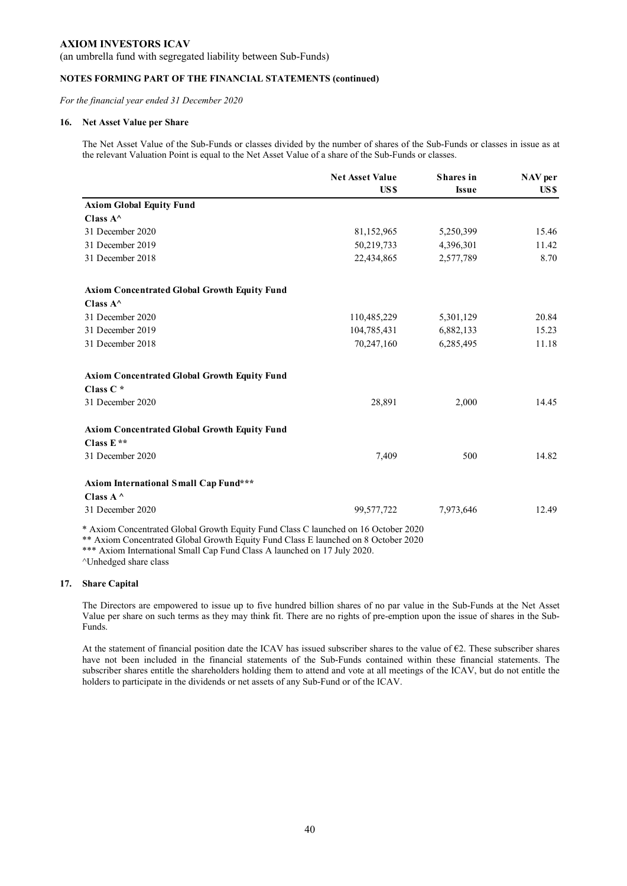(an umbrella fund with segregated liability between Sub-Funds)

### **NOTES FORMING PART OF THE FINANCIAL STATEMENTS (continued)**

*For the financial year ended 31 December 2020* 

#### **16. Net Asset Value per Share**

The Net Asset Value of the Sub-Funds or classes divided by the number of shares of the Sub-Funds or classes in issue as at the relevant Valuation Point is equal to the Net Asset Value of a share of the Sub-Funds or classes.

|                                                                                    | <b>Net Asset Value</b><br>US\$ | <b>Shares</b> in | NAV per |
|------------------------------------------------------------------------------------|--------------------------------|------------------|---------|
|                                                                                    |                                | <b>Issue</b>     | US\$    |
| <b>Axiom Global Equity Fund</b>                                                    |                                |                  |         |
| Class $A^{\wedge}$                                                                 |                                |                  |         |
| 31 December 2020                                                                   | 81,152,965                     | 5,250,399        | 15.46   |
| 31 December 2019                                                                   | 50,219,733                     | 4,396,301        | 11.42   |
| 31 December 2018                                                                   | 22,434,865                     | 2,577,789        | 8.70    |
| <b>Axiom Concentrated Global Growth Equity Fund</b>                                |                                |                  |         |
| Class $A^{\wedge}$                                                                 |                                |                  |         |
| 31 December 2020                                                                   | 110,485,229                    | 5,301,129        | 20.84   |
| 31 December 2019                                                                   | 104,785,431                    | 6,882,133        | 15.23   |
| 31 December 2018                                                                   | 70,247,160                     | 6,285,495        | 11.18   |
| <b>Axiom Concentrated Global Growth Equity Fund</b>                                |                                |                  |         |
| Class C*                                                                           |                                |                  |         |
| 31 December 2020                                                                   | 28,891                         | 2,000            | 14.45   |
| <b>Axiom Concentrated Global Growth Equity Fund</b>                                |                                |                  |         |
| Class $E**$                                                                        |                                |                  |         |
| 31 December 2020                                                                   | 7,409                          | 500              | 14.82   |
| <b>Axiom International Small Cap Fund***</b>                                       |                                |                  |         |
| Class $A^{\wedge}$                                                                 |                                |                  |         |
| 31 December 2020                                                                   | 99,577,722                     | 7,973,646        | 12.49   |
| * Axiom Concentrated Global Growth Equity Fund Class C launched on 16 October 2020 |                                |                  |         |

\*\* Axiom Concentrated Global Growth Equity Fund Class E launched on 8 October 2020

\*\*\* Axiom International Small Cap Fund Class A launched on 17 July 2020.

^Unhedged share class

#### **17. Share Capital**

The Directors are empowered to issue up to five hundred billion shares of no par value in the Sub-Funds at the Net Asset Value per share on such terms as they may think fit. There are no rights of pre-emption upon the issue of shares in the Sub-Funds.

At the statement of financial position date the ICAV has issued subscriber shares to the value of  $\epsilon$ 2. These subscriber shares have not been included in the financial statements of the Sub-Funds contained within these financial statements. The subscriber shares entitle the shareholders holding them to attend and vote at all meetings of the ICAV, but do not entitle the holders to participate in the dividends or net assets of any Sub-Fund or of the ICAV.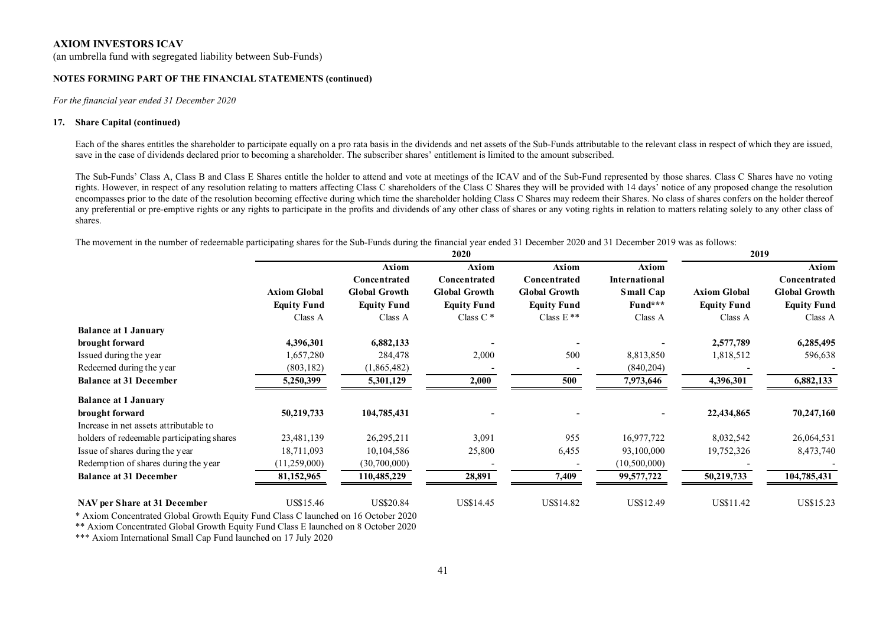(an umbrella fund with segregated liability between Sub-Funds)

#### **NOTES FORMING PART OF THE FINANCIAL STATEMENTS (continued)**

*For the financial year ended 31 December 2020* 

#### **17. Share Capital (continued)**

Each of the shares entitles the shareholder to participate equally on a pro rata basis in the dividends and net assets of the Sub-Funds attributable to the relevant class in respect of which they are issued, save in the case of dividends declared prior to becoming a shareholder. The subscriber shares' entitlement is limited to the amount subscribed.

The Sub-Funds' Class A, Class B and Class E Shares entitle the holder to attend and vote at meetings of the ICAV and of the Sub-Fund represented by those shares. Class C Shares have no voting rights. However, in respect of any resolution relating to matters affecting Class C shareholders of the Class C Shares they will be provided with 14 days' notice of any proposed change the resolution encompasses prior to the date of the resolution becoming effective during which time the shareholder holding Class C Shares may redeem their Shares. No class of shares confers on the holder thereof any preferential or pre-emptive rights or any rights to participate in the profits and dividends of any other class of shares or any voting rights in relation to matters relating solely to any other class of shares.

The movement in the number of redeemable participating shares for the Sub-Funds during the financial year ended 31 December 2020 and 31 December 2019 was as follows:

|                                            | 2020                |                       |                       | 2019                  |                               |                     |                       |
|--------------------------------------------|---------------------|-----------------------|-----------------------|-----------------------|-------------------------------|---------------------|-----------------------|
|                                            |                     | Axiom<br>Concentrated | Axiom<br>Concentrated | Axiom<br>Concentrated | Axiom<br><b>International</b> |                     | Axiom<br>Concentrated |
|                                            | <b>Axiom Global</b> | <b>Global Growth</b>  | <b>Global Growth</b>  | <b>Global Growth</b>  | <b>Small Cap</b>              | <b>Axiom Global</b> | <b>Global Growth</b>  |
|                                            | <b>Equity Fund</b>  | <b>Equity Fund</b>    | <b>Equity Fund</b>    | <b>Equity Fund</b>    | Fund***                       | <b>Equity Fund</b>  | <b>Equity Fund</b>    |
|                                            | Class A             | Class A               | Class $C^*$           | Class E **            | Class A                       | Class A             | Class A               |
| <b>Balance at 1 January</b>                |                     |                       |                       |                       |                               |                     |                       |
| brought forward                            | 4,396,301           | 6,882,133             |                       |                       |                               | 2,577,789           | 6,285,495             |
| Issued during the year                     | 1,657,280           | 284,478               | 2,000                 | 500                   | 8,813,850                     | 1,818,512           | 596,638               |
| Redeemed during the year                   | (803, 182)          | (1,865,482)           |                       |                       | (840, 204)                    |                     |                       |
| <b>Balance at 31 December</b>              | 5,250,399           | 5,301,129             | 2,000                 | 500                   | 7,973,646                     | 4,396,301           | 6,882,133             |
| <b>Balance at 1 January</b>                |                     |                       |                       |                       |                               |                     |                       |
| brought forward                            | 50,219,733          | 104,785,431           |                       |                       |                               | 22,434,865          | 70,247,160            |
| Increase in net assets attributable to     |                     |                       |                       |                       |                               |                     |                       |
| holders of redeemable participating shares | 23,481,139          | 26,295,211            | 3,091                 | 955                   | 16,977,722                    | 8,032,542           | 26,064,531            |
| Issue of shares during the year            | 18,711,093          | 10,104,586            | 25,800                | 6,455                 | 93,100,000                    | 19,752,326          | 8,473,740             |
| Redemption of shares during the year       | (11,259,000)        | (30,700,000)          |                       |                       | (10,500,000)                  |                     |                       |
| <b>Balance at 31 December</b>              | 81,152,965          | 110,485,229           | 28,891                | 7,409                 | 99,577,722                    | 50,219,733          | 104,785,431           |
| NAV per Share at 31 December               | US\$15.46           | <b>US\$20.84</b>      | US\$14.45             | US\$14.82             | US\$12.49                     | US\$11.42           | US\$15.23             |

\* Axiom Concentrated Global Growth Equity Fund Class C launched on 16 October 2020

\*\* Axiom Concentrated Global Growth Equity Fund Class E launched on 8 October 2020

\*\*\* Axiom International Small Cap Fund launched on 17 July 2020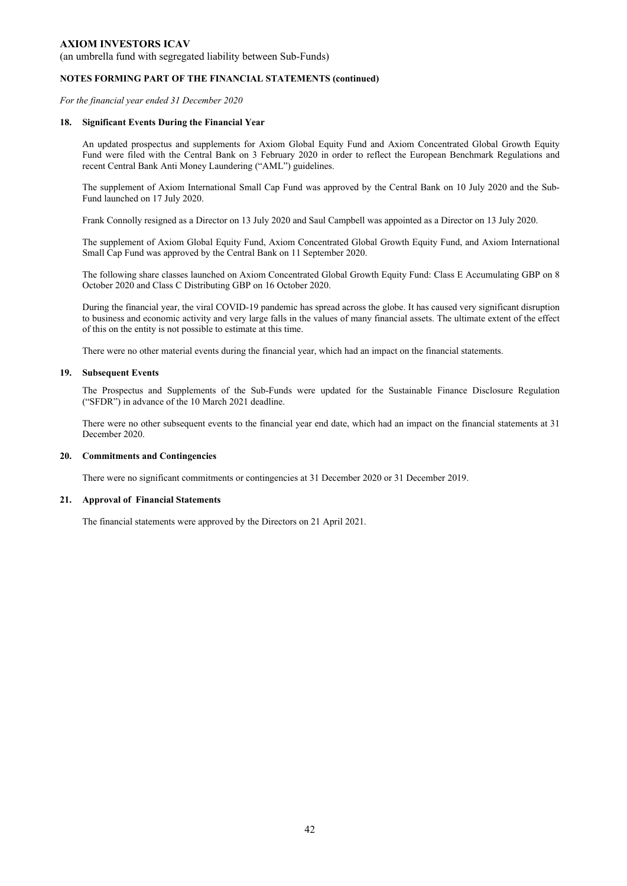(an umbrella fund with segregated liability between Sub-Funds)

#### **NOTES FORMING PART OF THE FINANCIAL STATEMENTS (continued)**

*For the financial year ended 31 December 2020* 

#### **18. Significant Events During the Financial Year**

An updated prospectus and supplements for Axiom Global Equity Fund and Axiom Concentrated Global Growth Equity Fund were filed with the Central Bank on 3 February 2020 in order to reflect the European Benchmark Regulations and recent Central Bank Anti Money Laundering ("AML") guidelines.

The supplement of Axiom International Small Cap Fund was approved by the Central Bank on 10 July 2020 and the Sub-Fund launched on 17 July 2020.

Frank Connolly resigned as a Director on 13 July 2020 and Saul Campbell was appointed as a Director on 13 July 2020.

The supplement of Axiom Global Equity Fund, Axiom Concentrated Global Growth Equity Fund, and Axiom International Small Cap Fund was approved by the Central Bank on 11 September 2020.

The following share classes launched on Axiom Concentrated Global Growth Equity Fund: Class E Accumulating GBP on 8 October 2020 and Class C Distributing GBP on 16 October 2020.

During the financial year, the viral COVID-19 pandemic has spread across the globe. It has caused very significant disruption to business and economic activity and very large falls in the values of many financial assets. The ultimate extent of the effect of this on the entity is not possible to estimate at this time.

There were no other material events during the financial year, which had an impact on the financial statements.

#### **19. Subsequent Events**

The Prospectus and Supplements of the Sub-Funds were updated for the Sustainable Finance Disclosure Regulation ("SFDR") in advance of the 10 March 2021 deadline.

There were no other subsequent events to the financial year end date, which had an impact on the financial statements at 31 December 2020.

#### **20. Commitments and Contingencies**

There were no significant commitments or contingencies at 31 December 2020 or 31 December 2019.

### **21. Approval of Financial Statements**

The financial statements were approved by the Directors on 21 April 2021.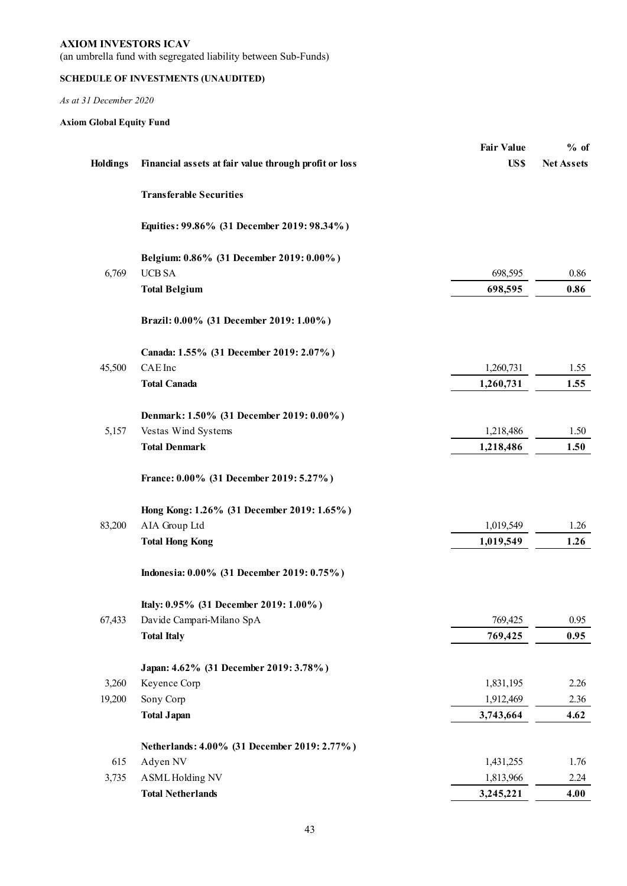(an umbrella fund with segregated liability between Sub-Funds)

## **SCHEDULE OF INVESTMENTS (UNAUDITED)**

*As at 31 December 2020* 

## **Axiom Global Equity Fund**

| <b>Holdings</b> | Financial assets at fair value through profit or loss | <b>Fair Value</b><br>US\$ | $%$ of<br><b>Net Assets</b> |
|-----------------|-------------------------------------------------------|---------------------------|-----------------------------|
|                 |                                                       |                           |                             |
|                 | <b>Transferable Securities</b>                        |                           |                             |
|                 | Equities: 99.86% (31 December 2019: 98.34%)           |                           |                             |
|                 | Belgium: 0.86% (31 December 2019: 0.00%)              |                           |                             |
| 6,769           | $UCB$ SA $\,$                                         | 698,595                   | 0.86                        |
|                 | <b>Total Belgium</b>                                  | 698,595                   | 0.86                        |
|                 | Brazil: 0.00% (31 December 2019: 1.00%)               |                           |                             |
|                 | Canada: 1.55% (31 December 2019: 2.07%)               |                           |                             |
| 45,500          | CAE Inc                                               | 1,260,731                 | 1.55                        |
|                 | <b>Total Canada</b>                                   | 1,260,731                 | 1.55                        |
|                 | Denmark: 1.50% (31 December 2019: 0.00%)              |                           |                             |
| 5,157           | Vestas Wind Systems                                   | 1,218,486                 | 1.50                        |
|                 | <b>Total Denmark</b>                                  | 1,218,486                 | 1.50                        |
|                 | France: 0.00% (31 December 2019: 5.27%)               |                           |                             |
|                 | Hong Kong: 1.26% (31 December 2019: 1.65%)            |                           |                             |
| 83,200          | AIA Group Ltd                                         | 1,019,549                 | 1.26                        |
|                 | <b>Total Hong Kong</b>                                | 1,019,549                 | 1.26                        |
|                 | Indonesia: 0.00% (31 December 2019: 0.75%)            |                           |                             |
|                 | Italy: 0.95% (31 December 2019: 1.00%)                |                           |                             |
| 67,433          | Davide Campari-Milano SpA                             | 769,425                   | 0.95                        |
|                 | <b>Total Italy</b>                                    | 769,425                   | 0.95                        |
|                 | Japan: 4.62% (31 December 2019: 3.78%)                |                           |                             |
| 3,260           | Keyence Corp                                          | 1,831,195                 | 2.26                        |
| 19,200          | Sony Corp                                             | 1,912,469                 | 2.36                        |
|                 | <b>Total Japan</b>                                    | 3,743,664                 | 4.62                        |
|                 | Netherlands: 4.00% (31 December 2019: 2.77%)          |                           |                             |
| 615             | Adyen NV                                              | 1,431,255                 | 1.76                        |
| 3,735           | <b>ASML Holding NV</b>                                | 1,813,966                 | 2.24                        |
|                 | <b>Total Netherlands</b>                              | 3,245,221                 | 4.00                        |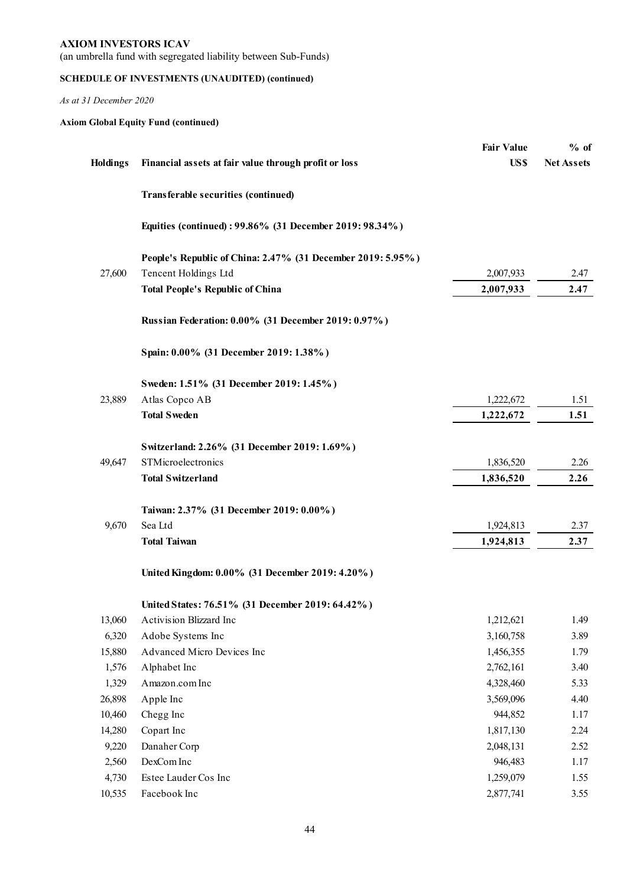(an umbrella fund with segregated liability between Sub-Funds)

## **SCHEDULE OF INVESTMENTS (UNAUDITED) (continued)**

*As at 31 December 2020* 

## **Axiom Global Equity Fund (continued)**

|                 |                                                             | <b>Fair Value</b> | $%$ of            |
|-----------------|-------------------------------------------------------------|-------------------|-------------------|
| <b>Holdings</b> | Financial assets at fair value through profit or loss       | US\$              | <b>Net Assets</b> |
|                 | Transferable securities (continued)                         |                   |                   |
|                 | Equities (continued): 99.86% (31 December 2019: 98.34%)     |                   |                   |
|                 | People's Republic of China: 2.47% (31 December 2019: 5.95%) |                   |                   |
| 27,600          | Tencent Holdings Ltd                                        | 2,007,933         | 2.47              |
|                 | <b>Total People's Republic of China</b>                     | 2,007,933         | 2.47              |
|                 | Russian Federation: 0.00% (31 December 2019: 0.97%)         |                   |                   |
|                 | Spain: 0.00% (31 December 2019: 1.38%)                      |                   |                   |
|                 | Sweden: 1.51% (31 December 2019: 1.45%)                     |                   |                   |
| 23,889          | Atlas Copco AB                                              | 1,222,672         | 1.51              |
|                 | <b>Total Sweden</b>                                         | 1,222,672         | 1.51              |
|                 | Switzerland: 2.26% (31 December 2019: 1.69%)                |                   |                   |
| 49,647          | STMicroelectronics                                          | 1,836,520         | 2.26              |
|                 | <b>Total Switzerland</b>                                    | 1,836,520         | 2.26              |
|                 | Taiwan: 2.37% (31 December 2019: 0.00%)                     |                   |                   |
| 9,670           | Sea Ltd                                                     | 1,924,813         | 2.37              |
|                 | <b>Total Taiwan</b>                                         | 1,924,813         | 2.37              |
|                 | United Kingdom: 0.00% (31 December 2019: 4.20%)             |                   |                   |
|                 | United States: 76.51% (31 December 2019: 64.42%)            |                   |                   |
| 13,060          | Activision Blizzard Inc                                     | 1,212,621         | 1.49              |
| 6,320           | Adobe Systems Inc                                           | 3,160,758         | 3.89              |
| 15,880          | Advanced Micro Devices Inc                                  | 1,456,355         | 1.79              |
| 1,576           | Alphabet Inc                                                | 2,762,161         | 3.40              |
| 1,329           | Amazon.com Inc                                              | 4,328,460         | 5.33              |
| 26,898          | Apple Inc                                                   | 3,569,096         | 4.40              |
| 10,460          | Chegg Inc                                                   | 944,852           | 1.17              |
| 14,280          | Copart Inc                                                  | 1,817,130         | 2.24              |
| 9,220           | Danaher Corp                                                | 2,048,131         | 2.52              |
| 2,560           | DexCom Inc                                                  | 946,483           | 1.17              |
| 4,730           | Estee Lauder Cos Inc                                        | 1,259,079         | 1.55              |
| 10,535          | Facebook Inc                                                | 2,877,741         | 3.55              |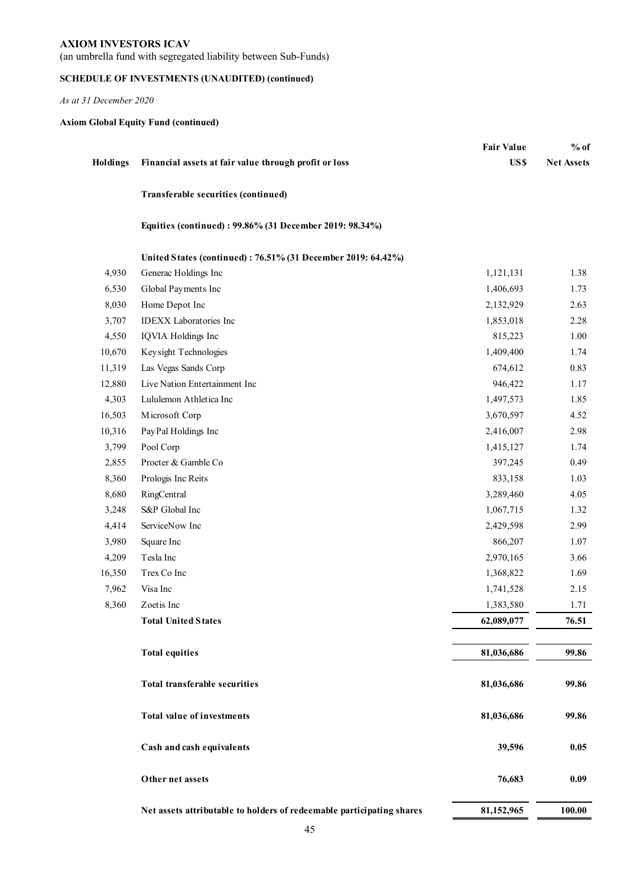(an umbrella fund with segregated liability between Sub-Funds)

## **SCHEDULE OF INVESTMENTS (UNAUDITED) (continued)**

*As at 31 December 2020* 

## **Axiom Global Equity Fund (continued)**

|          |                                                                       | <b>Fair Value</b> | $%$ of            |
|----------|-----------------------------------------------------------------------|-------------------|-------------------|
| Holdings | Financial assets at fair value through profit or loss                 | US\$              | <b>Net Assets</b> |
|          | Transferable securities (continued)                                   |                   |                   |
|          | Equities (continued): 99.86% (31 December 2019: 98.34%)               |                   |                   |
|          | United States (continued): 76.51% (31 December 2019: 64.42%)          |                   |                   |
| 4,930    | Generac Holdings Inc                                                  | 1,121,131         | 1.38              |
| 6,530    | Global Payments Inc                                                   | 1,406,693         | 1.73              |
| 8,030    | Home Depot Inc                                                        | 2,132,929         | 2.63              |
| 3,707    | <b>IDEXX</b> Laboratories Inc                                         | 1,853,018         | 2.28              |
| 4,550    | IQVIA Holdings Inc                                                    | 815,223           | 1.00              |
| 10,670   | Keysight Technologies                                                 | 1,409,400         | 1.74              |
| 11,319   | Las Vegas Sands Corp                                                  | 674,612           | 0.83              |
| 12,880   | Live Nation Entertainment Inc                                         | 946,422           | 1.17              |
| 4,303    | Lululemon Athletica Inc                                               | 1,497,573         | 1.85              |
| 16,503   | Microsoft Corp                                                        | 3,670,597         | 4.52              |
| 10,316   | PayPal Holdings Inc                                                   | 2,416,007         | 2.98              |
| 3,799    | Pool Corp                                                             | 1,415,127         | 1.74              |
| 2,855    | Procter & Gamble Co                                                   | 397,245           | 0.49              |
| 8,360    | Prologis Inc Reits                                                    | 833,158           | 1.03              |
| 8,680    | RingCentral                                                           | 3,289,460         | 4.05              |
| 3,248    | S&P Global Inc                                                        | 1,067,715         | 1.32              |
| 4,414    | ServiceNow Inc                                                        | 2,429,598         | 2.99              |
| 3,980    | Square Inc                                                            | 866,207           | 1.07              |
| 4,209    | Tesla Inc                                                             | 2,970,165         | 3.66              |
| 16,350   | Trex Co Inc                                                           | 1,368,822         | 1.69              |
| 7,962    | Visa Inc                                                              | 1,741,528         | 2.15              |
| 8,360    | Zoetis Inc                                                            | 1,383,580         | 1.71              |
|          | <b>Total United States</b>                                            | 62,089,077        | 76.51             |
|          |                                                                       |                   |                   |
|          | <b>Total equities</b>                                                 | 81,036,686        | 99.86             |
|          | <b>Total transferable securities</b>                                  | 81,036,686        | 99.86             |
|          | <b>Total value of investments</b>                                     | 81,036,686        | 99.86             |
|          | Cash and cash equivalents                                             | 39,596            | 0.05              |
|          | Other net assets                                                      | 76,683            | 0.09              |
|          | Net assets attributable to holders of redeemable participating shares | 81,152,965        | 100.00            |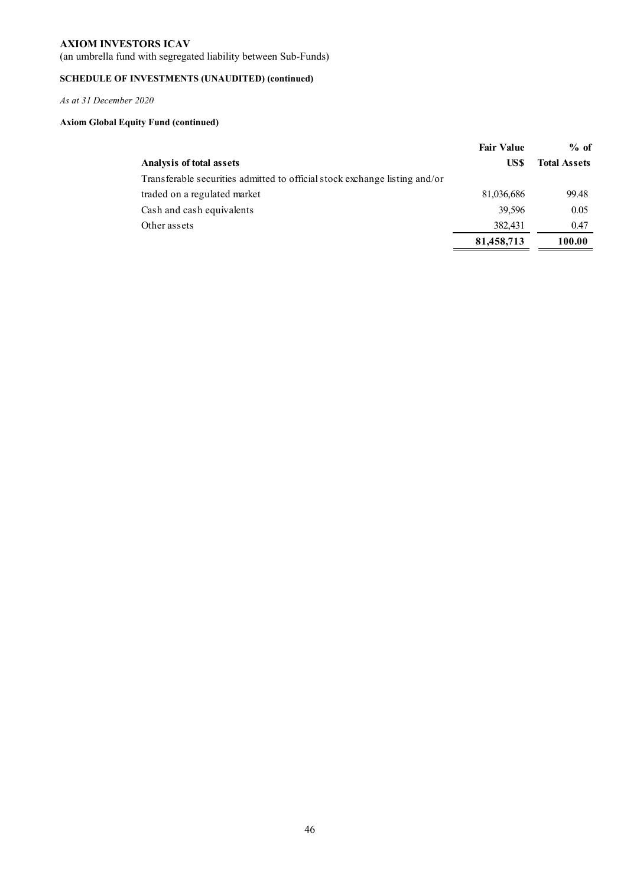(an umbrella fund with segregated liability between Sub-Funds)

## **SCHEDULE OF INVESTMENTS (UNAUDITED) (continued)**

*As at 31 December 2020* 

## **Axiom Global Equity Fund (continued)**

|                                                                            | <b>Fair Value</b> | $%$ of              |
|----------------------------------------------------------------------------|-------------------|---------------------|
| Analysis of total assets                                                   | US\$              | <b>Total Assets</b> |
| Transferable securities admitted to official stock exchange listing and/or |                   |                     |
| traded on a regulated market                                               | 81,036,686        | 99.48               |
| Cash and cash equivalents                                                  | 39.596            | 0.05                |
| Other assets                                                               | 382,431           | 0.47                |
|                                                                            | 81,458,713        | 100.00              |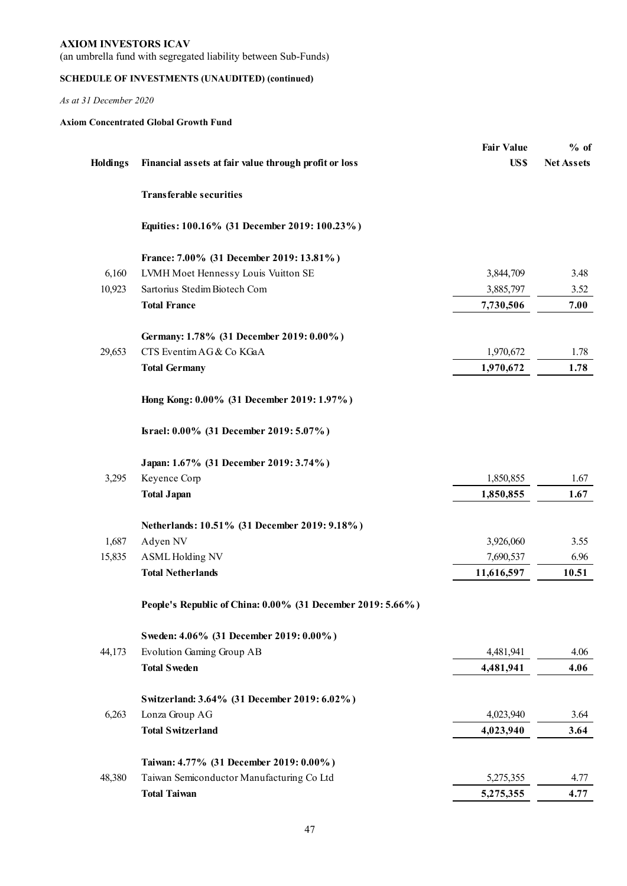(an umbrella fund with segregated liability between Sub-Funds)

## **SCHEDULE OF INVESTMENTS (UNAUDITED) (continued)**

*As at 31 December 2020* 

## **Axiom Concentrated Global Growth Fund**

|                 |                                                             | <b>Fair Value</b> | $%$ of            |
|-----------------|-------------------------------------------------------------|-------------------|-------------------|
| <b>Holdings</b> | Financial assets at fair value through profit or loss       | US\$              | <b>Net Assets</b> |
|                 | <b>Transferable securities</b>                              |                   |                   |
|                 | Equities: 100.16% (31 December 2019: 100.23%)               |                   |                   |
|                 | France: 7.00% (31 December 2019: 13.81%)                    |                   |                   |
| 6,160           | LVMH Moet Hennessy Louis Vuitton SE                         | 3,844,709         | 3.48              |
| 10,923          | Sartorius Stedim Biotech Com                                | 3,885,797         | 3.52              |
|                 | <b>Total France</b>                                         | 7,730,506         | 7.00              |
|                 | Germany: 1.78% (31 December 2019: 0.00%)                    |                   |                   |
| 29,653          | CTS Eventim AG & Co KGaA                                    | 1,970,672         | 1.78              |
|                 | <b>Total Germany</b>                                        | 1,970,672         | 1.78              |
|                 | Hong Kong: 0.00% (31 December 2019: 1.97%)                  |                   |                   |
|                 | Israel: 0.00% (31 December 2019: 5.07%)                     |                   |                   |
|                 | Japan: 1.67% (31 December 2019: 3.74%)                      |                   |                   |
| 3,295           | Keyence Corp                                                | 1,850,855         | 1.67              |
|                 | <b>Total Japan</b>                                          | 1,850,855         | 1.67              |
|                 | Netherlands: 10.51% (31 December 2019: 9.18%)               |                   |                   |
| 1,687           | Adyen NV                                                    | 3,926,060         | 3.55              |
| 15,835          | <b>ASML Holding NV</b>                                      | 7,690,537         | 6.96              |
|                 | <b>Total Netherlands</b>                                    | 11,616,597        | 10.51             |
|                 | People's Republic of China: 0.00% (31 December 2019: 5.66%) |                   |                   |
|                 | Sweden: 4.06% (31 December 2019: 0.00%)                     |                   |                   |
| 44,173          | Evolution Gaming Group AB                                   | 4,481,941         | 4.06              |
|                 | <b>Total Sweden</b>                                         | 4,481,941         | 4.06              |
|                 | Switzerland: 3.64% (31 December 2019: 6.02%)                |                   |                   |
| 6,263           | Lonza Group AG                                              | 4,023,940         | 3.64              |
|                 | <b>Total Switzerland</b>                                    | 4,023,940         | 3.64              |
|                 | Taiwan: 4.77% (31 December 2019: 0.00%)                     |                   |                   |
| 48,380          | Taiwan Semiconductor Manufacturing Co Ltd                   | 5,275,355         | 4.77              |
|                 | <b>Total Taiwan</b>                                         | 5,275,355         | 4.77              |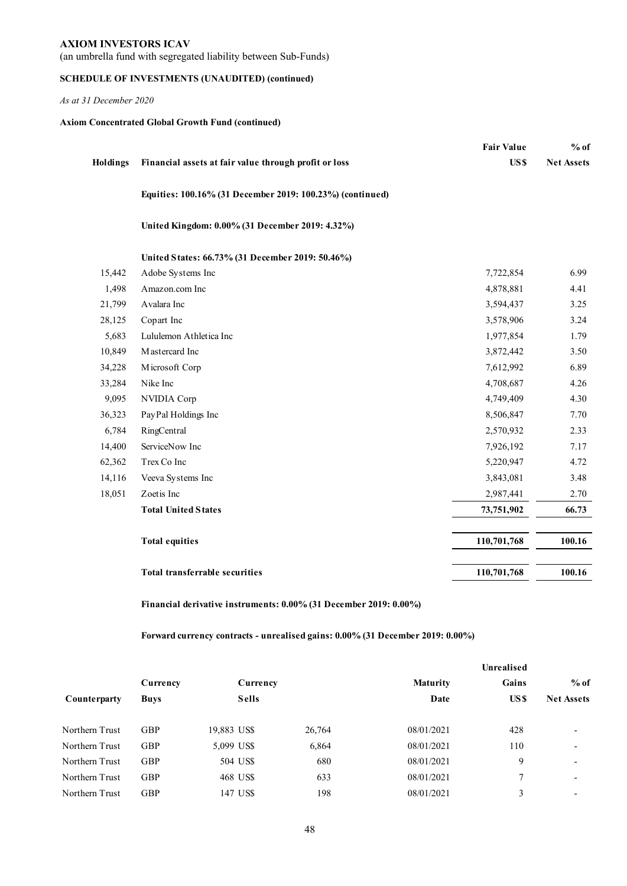(an umbrella fund with segregated liability between Sub-Funds)

## **SCHEDULE OF INVESTMENTS (UNAUDITED) (continued)**

*As at 31 December 2020* 

## **Axiom Concentrated Global Growth Fund (continued)**

|          |                                                           | <b>Fair Value</b> | $%$ of            |
|----------|-----------------------------------------------------------|-------------------|-------------------|
| Holdings | Financial assets at fair value through profit or loss     | US\$              | <b>Net Assets</b> |
|          | Equities: 100.16% (31 December 2019: 100.23%) (continued) |                   |                   |
|          | United Kingdom: 0.00% (31 December 2019: 4.32%)           |                   |                   |
|          | United States: 66.73% (31 December 2019: 50.46%)          |                   |                   |
| 15,442   | Adobe Systems Inc                                         | 7,722,854         | 6.99              |
| 1,498    | Amazon.com Inc                                            | 4,878,881         | 4.41              |
| 21,799   | Avalara Inc                                               | 3,594,437         | 3.25              |
| 28,125   | Copart Inc                                                | 3,578,906         | 3.24              |
| 5,683    | Lululemon Athletica Inc                                   | 1,977,854         | 1.79              |
| 10,849   | Mastercard Inc                                            | 3,872,442         | 3.50              |
| 34,228   | Microsoft Corp                                            | 7,612,992         | 6.89              |
| 33,284   | Nike Inc                                                  | 4,708,687         | 4.26              |
| 9,095    | NVIDIA Corp                                               | 4,749,409         | 4.30              |
| 36,323   | PayPal Holdings Inc                                       | 8,506,847         | 7.70              |
| 6,784    | RingCentral                                               | 2,570,932         | 2.33              |
| 14,400   | ServiceNow Inc                                            | 7,926,192         | 7.17              |
| 62,362   | Trex Co Inc                                               | 5,220,947         | 4.72              |
| 14,116   | Veeva Systems Inc                                         | 3,843,081         | 3.48              |
| 18,051   | Zoetis Inc                                                | 2,987,441         | 2.70              |
|          | <b>Total United States</b>                                | 73,751,902        | 66.73             |
|          | <b>Total equities</b>                                     | 110,701,768       | 100.16            |
|          | <b>Total transferrable securities</b>                     | 110,701,768       | 100.16            |

**Financial derivative instruments: 0.00% (31 December 2019: 0.00%)**

**Forward currency contracts - unrealised gains: 0.00% (31 December 2019: 0.00%)**

|                |             |              |        |                 | Unrealised |                          |
|----------------|-------------|--------------|--------|-----------------|------------|--------------------------|
|                | Currency    | Currency     |        | <b>Maturity</b> | Gains      | $%$ of                   |
| Counterparty   | <b>Buys</b> | <b>Sells</b> |        | Date            | US \$      | <b>Net Assets</b>        |
| Northern Trust | <b>GBP</b>  | 19,883 US\$  | 26,764 | 08/01/2021      | 428        | $\overline{\phantom{0}}$ |
| Northern Trust | <b>GBP</b>  | 5,099 US\$   | 6,864  | 08/01/2021      | 110        | $\overline{\phantom{0}}$ |
| Northern Trust | <b>GBP</b>  | 504 US\$     | 680    | 08/01/2021      | 9          | $\overline{\phantom{0}}$ |
| Northern Trust | <b>GBP</b>  | 468 US\$     | 633    | 08/01/2021      | 7          | $\overline{\phantom{a}}$ |
| Northern Trust | <b>GBP</b>  | 147 US\$     | 198    | 08/01/2021      | 3          | $\overline{\phantom{0}}$ |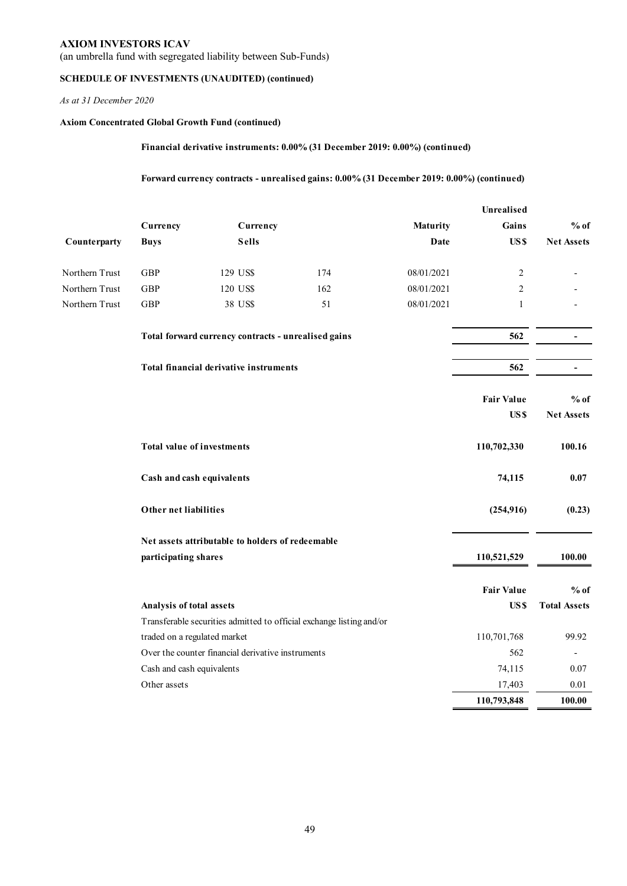(an umbrella fund with segregated liability between Sub-Funds)

## **SCHEDULE OF INVESTMENTS (UNAUDITED) (continued)**

*As at 31 December 2020* 

## **Axiom Concentrated Global Growth Fund (continued)**

**Financial derivative instruments: 0.00% (31 December 2019: 0.00%) (continued)**

**Forward currency contracts - unrealised gains: 0.00% (31 December 2019: 0.00%) (continued)**

|                |                                   |                                                     |                                                                      |            | Unrealised        |                          |
|----------------|-----------------------------------|-----------------------------------------------------|----------------------------------------------------------------------|------------|-------------------|--------------------------|
|                | Currency                          | Currency                                            |                                                                      | Maturity   | Gains             | $%$ of                   |
| Counterparty   | <b>Buys</b>                       | <b>Sells</b>                                        |                                                                      | Date       | US\$              | <b>Net Assets</b>        |
| Northern Trust | GBP                               | 129 US\$                                            | 174                                                                  | 08/01/2021 | $\overline{2}$    |                          |
| Northern Trust | GBP                               | 120 US\$                                            | 162                                                                  | 08/01/2021 | 2                 |                          |
| Northern Trust | <b>GBP</b>                        | 38 US\$                                             | 51                                                                   | 08/01/2021 | $\mathbf{1}$      |                          |
|                |                                   | Total forward currency contracts - unrealised gains |                                                                      |            | 562               | $\overline{\phantom{a}}$ |
|                |                                   | <b>Total financial derivative instruments</b>       |                                                                      |            | 562               |                          |
|                |                                   |                                                     |                                                                      |            | <b>Fair Value</b> | $%$ of                   |
|                |                                   |                                                     |                                                                      |            | US\$              | <b>Net Assets</b>        |
|                | <b>Total value of investments</b> |                                                     |                                                                      |            | 110,702,330       | 100.16                   |
|                | Cash and cash equivalents         |                                                     |                                                                      |            | 74,115            | 0.07                     |
|                | Other net liabilities             |                                                     |                                                                      |            | (254, 916)        | (0.23)                   |
|                |                                   | Net assets attributable to holders of redeemable    |                                                                      |            |                   |                          |
|                | participating shares              |                                                     |                                                                      |            | 110,521,529       | 100.00                   |
|                |                                   |                                                     |                                                                      |            | <b>Fair Value</b> | $%$ of                   |
|                | Analysis of total assets          |                                                     |                                                                      |            | US\$              | <b>Total Assets</b>      |
|                |                                   |                                                     | Transferable securities admitted to official exchange listing and/or |            |                   |                          |
|                | traded on a regulated market      |                                                     |                                                                      |            | 110,701,768       | 99.92                    |
|                |                                   | Over the counter financial derivative instruments   |                                                                      |            | 562               |                          |
|                | Cash and cash equivalents         |                                                     |                                                                      |            | 74,115            | 0.07                     |
|                | Other assets                      |                                                     |                                                                      |            | 17,403            | 0.01                     |
|                |                                   |                                                     |                                                                      |            | 110,793,848       | 100.00                   |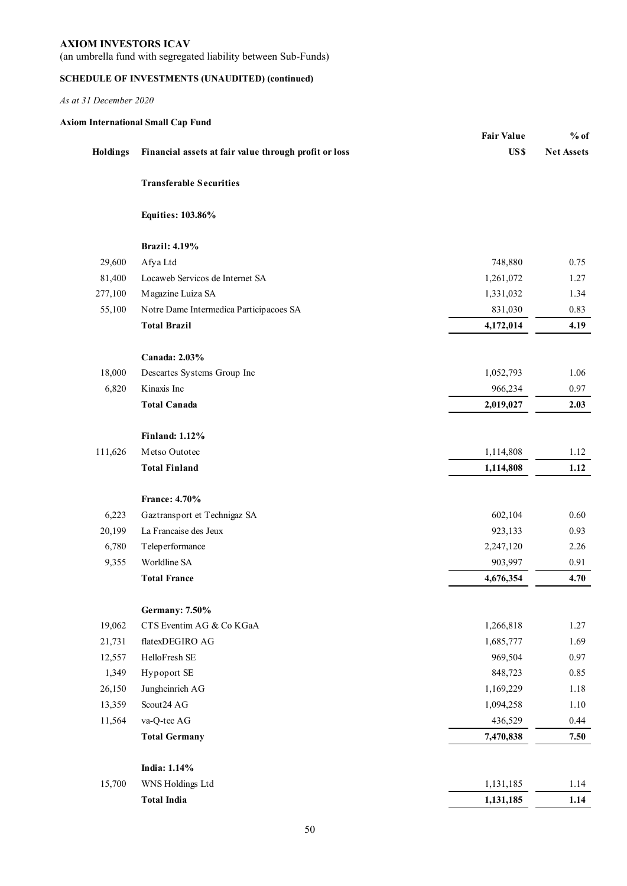(an umbrella fund with segregated liability between Sub-Funds)

## **SCHEDULE OF INVESTMENTS (UNAUDITED) (continued)**

|  | <b>Axiom International Small Cap Fund</b> |  |  |  |
|--|-------------------------------------------|--|--|--|
|--|-------------------------------------------|--|--|--|

|          |                                                       | <b>Fair Value</b> | $%$ of            |
|----------|-------------------------------------------------------|-------------------|-------------------|
| Holdings | Financial assets at fair value through profit or loss | US\$              | <b>Net Assets</b> |
|          | <b>Transferable Securities</b>                        |                   |                   |
|          | <b>Equities: 103.86%</b>                              |                   |                   |
|          | <b>Brazil: 4.19%</b>                                  |                   |                   |
| 29,600   | Afya Ltd                                              | 748,880           | 0.75              |
| 81,400   | Locaweb Servicos de Internet SA                       | 1,261,072         | 1.27              |
| 277,100  | Magazine Luiza SA                                     | 1,331,032         | 1.34              |
| 55,100   | Notre Dame Intermedica Participacoes SA               | 831,030           | 0.83              |
|          | <b>Total Brazil</b>                                   | 4,172,014         | 4.19              |
|          | Canada: 2.03%                                         |                   |                   |
| 18,000   | Descartes Systems Group Inc                           | 1,052,793         | 1.06              |
| 6,820    | Kinaxis Inc                                           | 966,234           | 0.97              |
|          | <b>Total Canada</b>                                   | 2,019,027         | 2.03              |
|          | <b>Finland: 1.12%</b>                                 |                   |                   |
| 111,626  | Metso Outotec                                         | 1,114,808         | 1.12              |
|          | <b>Total Finland</b>                                  | 1,114,808         | 1.12              |
|          | France: 4.70%                                         |                   |                   |
| 6,223    | Gaztransport et Technigaz SA                          | 602,104           | 0.60              |
| 20,199   | La Francaise des Jeux                                 | 923,133           | 0.93              |
| 6,780    | Teleperformance                                       | 2,247,120         | 2.26              |
| 9,355    | Worldline SA                                          | 903,997           | 0.91              |
|          | <b>Total France</b>                                   | 4,676,354         | 4.70              |
|          | <b>Germany: 7.50%</b>                                 |                   |                   |
| 19,062   | CTS Eventim AG & Co KGaA                              | 1,266,818         | 1.27              |
| 21,731   | flatexDEGIRO AG                                       | 1,685,777         | 1.69              |
| 12,557   | HelloFresh SE                                         | 969,504           | 0.97              |
| 1,349    | Hypoport SE                                           | 848,723           | 0.85              |
| 26,150   | Jungheinrich AG                                       | 1,169,229         | 1.18              |
| 13,359   | Scout24 AG                                            | 1,094,258         | 1.10              |
| 11,564   | va-Q-tec AG                                           | 436,529           | 0.44              |
|          | <b>Total Germany</b>                                  | 7,470,838         | 7.50              |
|          | India: 1.14%                                          |                   |                   |
| 15,700   | WNS Holdings Ltd                                      | 1,131,185         | 1.14              |
|          | <b>Total India</b>                                    | 1,131,185         | 1.14              |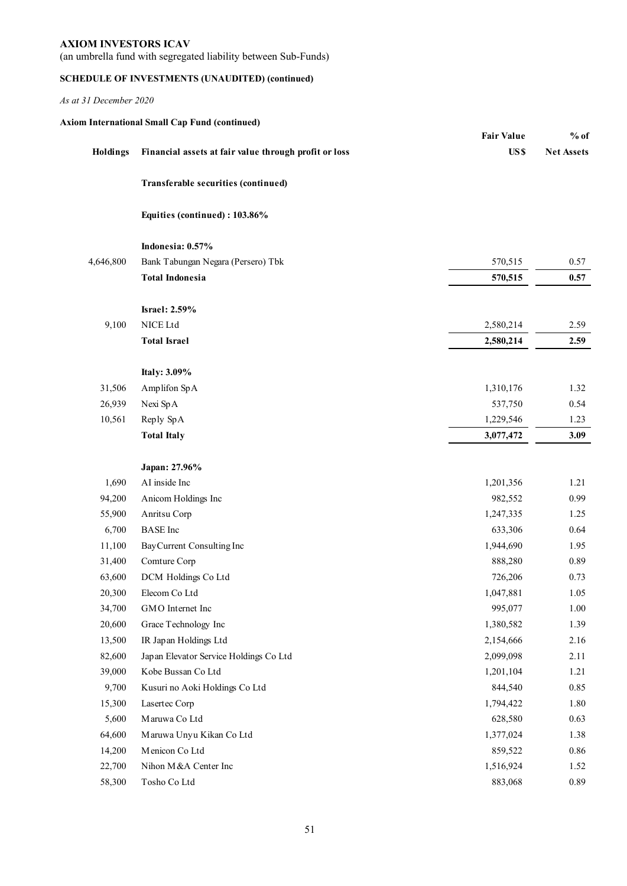(an umbrella fund with segregated liability between Sub-Funds)

## **SCHEDULE OF INVESTMENTS (UNAUDITED) (continued)**

|           | <b>Axiom International Small Cap Fund (continued)</b> |                   |                   |
|-----------|-------------------------------------------------------|-------------------|-------------------|
|           |                                                       | <b>Fair Value</b> | $%$ of            |
| Holdings  | Financial assets at fair value through profit or loss | US\$              | <b>Net Assets</b> |
|           | Transferable securities (continued)                   |                   |                   |
|           | Equities (continued): 103.86%                         |                   |                   |
|           | Indonesia: 0.57%                                      |                   |                   |
| 4,646,800 | Bank Tabungan Negara (Persero) Tbk                    | 570,515           | 0.57              |
|           | <b>Total Indonesia</b>                                | 570,515           | 0.57              |
|           | <b>Israel: 2.59%</b>                                  |                   |                   |
| 9,100     | NICE Ltd                                              | 2,580,214         | 2.59              |
|           | <b>Total Israel</b>                                   | 2,580,214         | 2.59              |
|           | Italy: 3.09%                                          |                   |                   |
| 31,506    | Amplifon SpA                                          | 1,310,176         | 1.32              |
| 26,939    | Nexi SpA                                              | 537,750           | 0.54              |
| 10,561    | Reply SpA                                             | 1,229,546         | 1.23              |
|           | <b>Total Italy</b>                                    | 3,077,472         | 3.09              |
|           | Japan: 27.96%                                         |                   |                   |
| 1,690     | AI inside Inc                                         | 1,201,356         | 1.21              |
| 94,200    | Anicom Holdings Inc                                   | 982,552           | 0.99              |
| 55,900    | Anritsu Corp                                          | 1,247,335         | 1.25              |
| 6,700     | <b>BASE</b> Inc                                       | 633,306           | 0.64              |
| 11,100    | BayCurrent Consulting Inc                             | 1,944,690         | 1.95              |
| 31,400    | Comture Corp                                          | 888,280           | 0.89              |
| 63,600    | DCM Holdings Co Ltd                                   | 726,206           | 0.73              |
| 20,300    | Elecom Co Ltd                                         | 1,047,881         | 1.05              |
| 34,700    | GMO Internet Inc                                      | 995,077           | 1.00              |
| 20,600    | Grace Technology Inc                                  | 1,380,582         | 1.39              |
| 13,500    | IR Japan Holdings Ltd                                 | 2,154,666         | 2.16              |
| 82,600    | Japan Elevator Service Holdings Co Ltd                | 2,099,098         | 2.11              |
| 39,000    | Kobe Bussan Co Ltd                                    | 1,201,104         | 1.21              |
| 9,700     | Kusuri no Aoki Holdings Co Ltd                        | 844,540           | 0.85              |
| 15,300    | Lasertec Corp                                         | 1,794,422         | 1.80              |
| 5,600     | Maruwa Co Ltd                                         | 628,580           | 0.63              |
| 64,600    | Maruwa Unyu Kikan Co Ltd                              | 1,377,024         | 1.38              |
| 14,200    | Menicon Co Ltd                                        | 859,522           | 0.86              |
| 22,700    | Nihon M&A Center Inc                                  | 1,516,924         | 1.52              |
| 58,300    | Tosho Co Ltd                                          | 883,068           | 0.89              |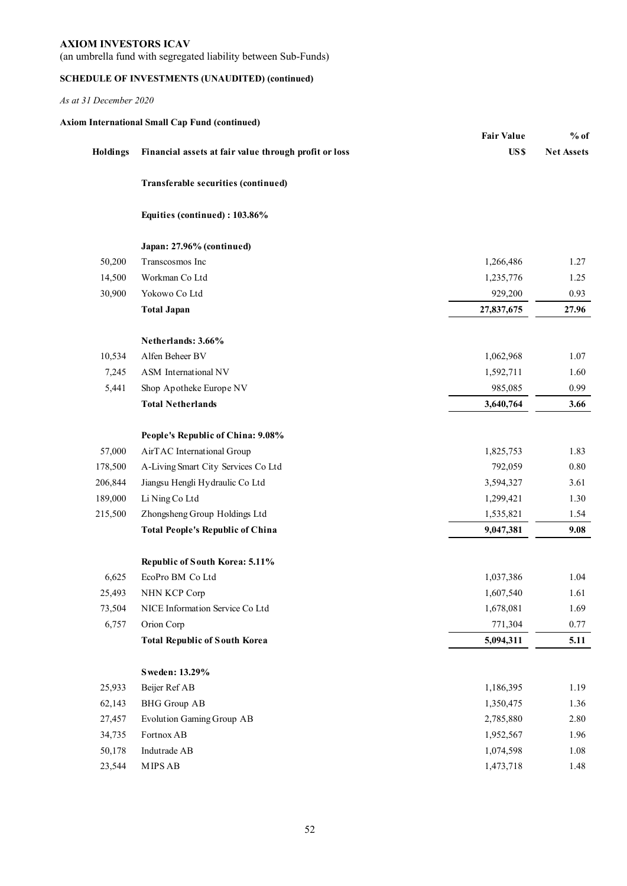(an umbrella fund with segregated liability between Sub-Funds)

## **SCHEDULE OF INVESTMENTS (UNAUDITED) (continued)**

|          | <b>Axiom International Small Cap Fund (continued)</b> | <b>Fair Value</b> | $%$ of            |
|----------|-------------------------------------------------------|-------------------|-------------------|
| Holdings | Financial assets at fair value through profit or loss | US\$              | <b>Net Assets</b> |
|          | Transferable securities (continued)                   |                   |                   |
|          | Equities (continued): 103.86%                         |                   |                   |
|          | Japan: 27.96% (continued)                             |                   |                   |
| 50,200   | Transcosmos Inc                                       | 1,266,486         | 1.27              |
| 14,500   | Workman Co Ltd                                        | 1,235,776         | 1.25              |
| 30,900   | Yokowo Co Ltd                                         | 929,200           | 0.93              |
|          | <b>Total Japan</b>                                    | 27,837,675        | 27.96             |
|          | Netherlands: 3.66%                                    |                   |                   |
| 10,534   | Alfen Beheer BV                                       | 1,062,968         | 1.07              |
| 7,245    | ASM International NV                                  | 1,592,711         | 1.60              |
| 5,441    | Shop Apotheke Europe NV                               | 985,085           | 0.99              |
|          | <b>Total Netherlands</b>                              | 3,640,764         | 3.66              |
|          | People's Republic of China: 9.08%                     |                   |                   |
| 57,000   | AirTAC International Group                            | 1,825,753         | 1.83              |
| 178,500  | A-Living Smart City Services Co Ltd                   | 792,059           | 0.80              |
| 206,844  | Jiangsu Hengli Hydraulic Co Ltd                       | 3,594,327         | 3.61              |
| 189,000  | Li Ning Co Ltd                                        | 1,299,421         | 1.30              |
| 215,500  | Zhongsheng Group Holdings Ltd                         | 1,535,821         | 1.54              |
|          | <b>Total People's Republic of China</b>               | 9,047,381         | 9.08              |
|          | Republic of South Korea: 5.11%                        |                   |                   |
| 6,625    | EcoPro BM Co Ltd                                      | 1,037,386         | 1.04              |
| 25,493   | NHN KCP Corp                                          | 1,607,540         | 1.61              |
| 73,504   | NICE Information Service Co Ltd                       | 1,678,081         | 1.69              |
| 6,757    | Orion Corp                                            | 771,304           | 0.77              |
|          | <b>Total Republic of South Korea</b>                  | 5,094,311         | 5.11              |
|          | Sweden: 13.29%                                        |                   |                   |
| 25,933   | Beijer Ref AB                                         | 1,186,395         | 1.19              |
| 62,143   | <b>BHG</b> Group AB                                   | 1,350,475         | 1.36              |
| 27,457   | Evolution Gaming Group AB                             | 2,785,880         | 2.80              |
| 34,735   | Fortnox AB                                            | 1,952,567         | 1.96              |
| 50,178   | Indutrade AB                                          | 1,074,598         | 1.08              |
| 23,544   | ${\rm MIPS\, AB}$                                     | 1,473,718         | 1.48              |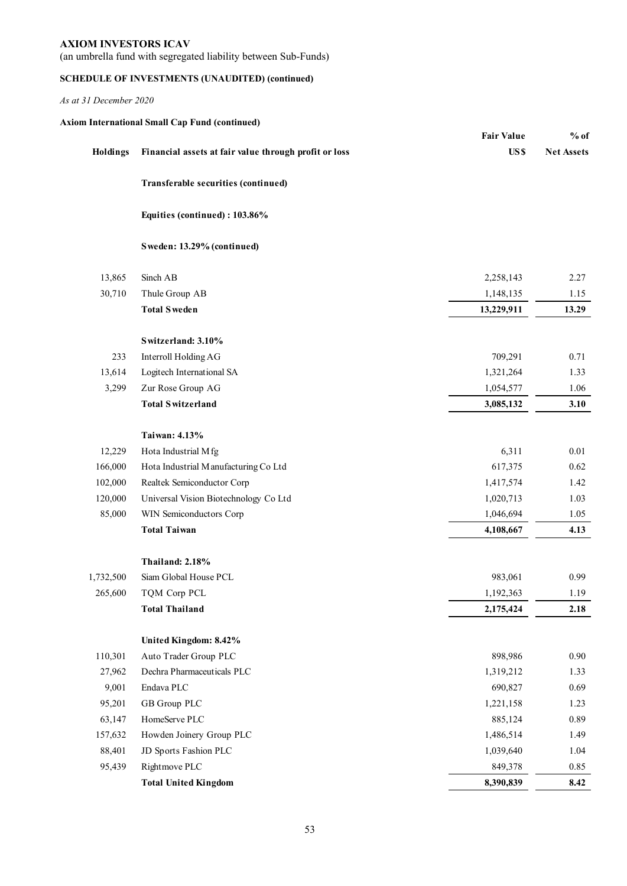(an umbrella fund with segregated liability between Sub-Funds)

## **SCHEDULE OF INVESTMENTS (UNAUDITED) (continued)**

|           |                                                       | <b>Fair Value</b> | $%$ of            |
|-----------|-------------------------------------------------------|-------------------|-------------------|
| Holdings  | Financial assets at fair value through profit or loss | US\$              | <b>Net Assets</b> |
|           | Transferable securities (continued)                   |                   |                   |
|           | Equities (continued): 103.86%                         |                   |                   |
|           | Sweden: 13.29% (continued)                            |                   |                   |
| 13,865    | Sinch AB                                              | 2,258,143         | 2.27              |
| 30,710    | Thule Group AB                                        | 1,148,135         | 1.15              |
|           | <b>Total Sweden</b>                                   | 13,229,911        | 13.29             |
|           | Switzerland: 3.10%                                    |                   |                   |
| 233       | Interroll Holding AG                                  | 709,291           | 0.71              |
| 13,614    | Logitech International SA                             | 1,321,264         | 1.33              |
| 3,299     | Zur Rose Group AG                                     | 1,054,577         | 1.06              |
|           | <b>Total Switzerland</b>                              | 3,085,132         | 3.10              |
|           | Taiwan: 4.13%                                         |                   |                   |
| 12,229    | Hota Industrial Mfg                                   | 6,311             | $0.01\,$          |
| 166,000   | Hota Industrial Manufacturing Co Ltd                  | 617,375           | 0.62              |
| 102,000   | Realtek Semiconductor Corp                            | 1,417,574         | 1.42              |
| 120,000   | Universal Vision Biotechnology Co Ltd                 | 1,020,713         | 1.03              |
| 85,000    | WIN Semiconductors Corp                               | 1,046,694         | 1.05              |
|           | <b>Total Taiwan</b>                                   | 4,108,667         | 4.13              |
|           | Thailand: 2.18%                                       |                   |                   |
| 1,732,500 | Siam Global House PCL                                 | 983,061           | 0.99              |
| 265,600   | TQM Corp PCL                                          | 1,192,363         | 1.19              |
|           | <b>Total Thailand</b>                                 | 2,175,424         | 2.18              |
|           | United Kingdom: 8.42%                                 |                   |                   |
| 110,301   | Auto Trader Group PLC                                 | 898,986           | 0.90              |
| 27,962    | Dechra Pharmaceuticals PLC                            | 1,319,212         | 1.33              |
| 9,001     | Endava PLC                                            | 690,827           | 0.69              |
| 95,201    | GB Group PLC                                          | 1,221,158         | 1.23              |
| 63,147    | HomeServe PLC                                         | 885,124           | 0.89              |
| 157,632   | Howden Joinery Group PLC                              | 1,486,514         | 1.49              |
| 88,401    | JD Sports Fashion PLC                                 | 1,039,640         | 1.04              |
| 95,439    | Rightmove PLC                                         | 849,378           | 0.85              |
|           | <b>Total United Kingdom</b>                           | 8,390,839         | 8.42              |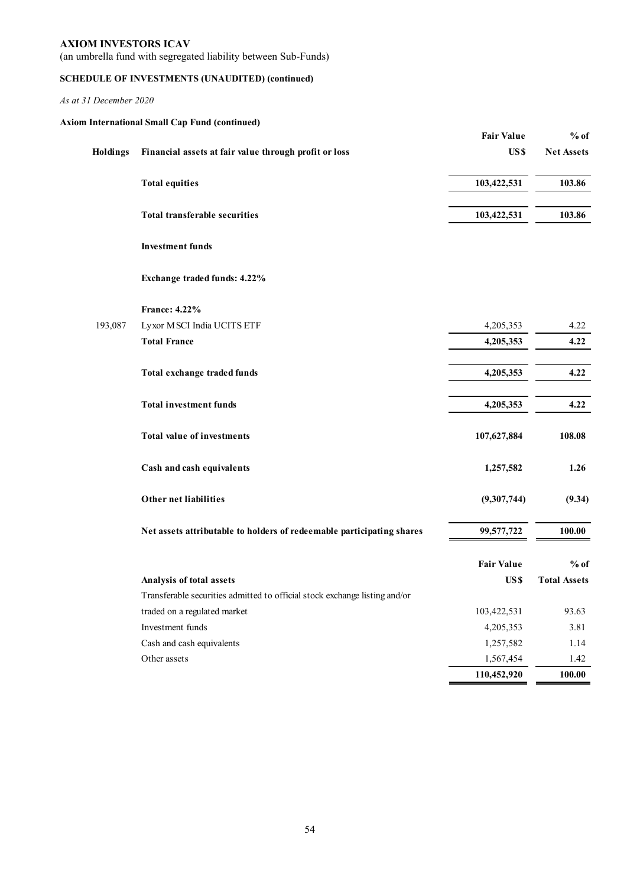(an umbrella fund with segregated liability between Sub-Funds)

## **SCHEDULE OF INVESTMENTS (UNAUDITED) (continued)**

|          | <b>Axiom International Small Cap Fund (continued)</b>                      |                   |                     |
|----------|----------------------------------------------------------------------------|-------------------|---------------------|
|          |                                                                            | <b>Fair Value</b> | $%$ of              |
| Holdings | Financial assets at fair value through profit or loss                      | US\$              | <b>Net Assets</b>   |
|          | <b>Total equities</b>                                                      | 103,422,531       | 103.86              |
|          | <b>Total transferable securities</b>                                       | 103,422,531       | 103.86              |
|          | <b>Investment funds</b>                                                    |                   |                     |
|          | Exchange traded funds: 4.22%                                               |                   |                     |
|          | France: 4.22%                                                              |                   |                     |
| 193,087  | Lyxor MSCI India UCITS ETF                                                 | 4,205,353         | 4.22                |
|          | <b>Total France</b>                                                        | 4,205,353         | 4.22                |
|          | Total exchange traded funds                                                | 4,205,353         | 4.22                |
|          | <b>Total investment funds</b>                                              | 4,205,353         | 4.22                |
|          | <b>Total value of investments</b>                                          | 107,627,884       | 108.08              |
|          | Cash and cash equivalents                                                  | 1,257,582         | 1.26                |
|          | Other net liabilities                                                      | (9,307,744)       | (9.34)              |
|          | Net assets attributable to holders of redeemable participating shares      | 99,577,722        | 100.00              |
|          |                                                                            | <b>Fair Value</b> | $%$ of              |
|          | Analysis of total assets                                                   | US\$              | <b>Total Assets</b> |
|          | Transferable securities admitted to official stock exchange listing and/or |                   |                     |
|          | traded on a regulated market                                               | 103,422,531       | 93.63               |
|          | Investment funds                                                           | 4,205,353         | 3.81                |
|          | Cash and cash equivalents                                                  | 1,257,582         | 1.14                |
|          | Other assets                                                               | 1,567,454         | 1.42                |
|          |                                                                            | 110,452,920       | 100.00              |
|          |                                                                            |                   |                     |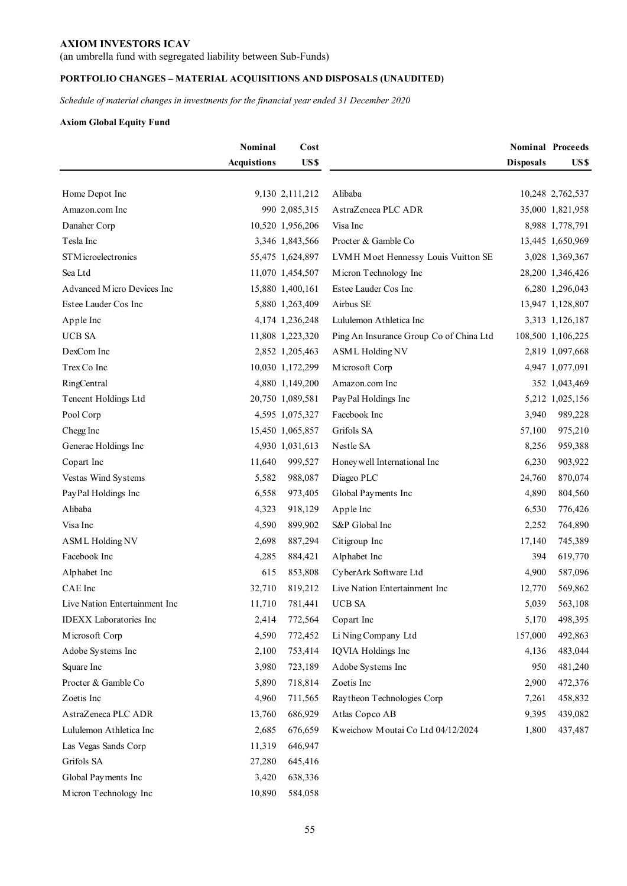(an umbrella fund with segregated liability between Sub-Funds)

## **PORTFOLIO CHANGES – MATERIAL ACQUISITIONS AND DISPOSALS (UNAUDITED)**

*Schedule of material changes in investments for the financial year ended 31 December 2020* 

## **Axiom Global Equity Fund**

|                               | Nominal            | Cost             |                                         |                  | <b>Nominal Proceeds</b> |
|-------------------------------|--------------------|------------------|-----------------------------------------|------------------|-------------------------|
|                               | <b>Acquistions</b> | US\$             |                                         | <b>Disposals</b> | US\$                    |
|                               |                    |                  |                                         |                  |                         |
| Home Depot Inc                |                    | 9,130 2,111,212  | Alibaba                                 |                  | 10,248 2,762,537        |
| Amazon.com Inc                |                    | 990 2,085,315    | AstraZeneca PLC ADR                     |                  | 35,000 1,821,958        |
| Danaher Corp                  |                    | 10,520 1,956,206 | Visa Inc                                |                  | 8,988 1,778,791         |
| Tesla Inc                     |                    | 3,346 1,843,566  | Procter & Gamble Co                     |                  | 13,445 1,650,969        |
| STM icroelectronics           |                    | 55,475 1,624,897 | LVMH Moet Hennessy Louis Vuitton SE     |                  | 3,028 1,369,367         |
| Sea Ltd                       |                    | 11,070 1,454,507 | Micron Technology Inc                   |                  | 28,200 1,346,426        |
| Advanced Micro Devices Inc    |                    | 15,880 1,400,161 | Estee Lauder Cos Inc                    |                  | 6,280 1,296,043         |
| Estee Lauder Cos Inc          |                    | 5,880 1,263,409  | Airbus SE                               |                  | 13,947 1,128,807        |
| Apple Inc                     |                    | 4,174 1,236,248  | Lululemon Athletica Inc                 |                  | 3,313 1,126,187         |
| <b>UCB SA</b>                 |                    | 11,808 1,223,320 | Ping An Insurance Group Co of China Ltd |                  | 108,500 1,106,225       |
| DexCom Inc                    |                    | 2,852 1,205,463  | <b>ASML Holding NV</b>                  |                  | 2,819 1,097,668         |
| Trex Co Inc                   |                    | 10,030 1,172,299 | Microsoft Corp                          |                  | 4,947 1,077,091         |
| RingCentral                   |                    | 4,880 1,149,200  | Amazon.com Inc                          |                  | 352 1,043,469           |
| Tencent Holdings Ltd          |                    | 20,750 1,089,581 | PayPal Holdings Inc                     |                  | 5,212 1,025,156         |
| Pool Corp                     |                    | 4,595 1,075,327  | Facebook Inc                            | 3,940            | 989,228                 |
| Chegg Inc                     |                    | 15,450 1,065,857 | Grifols SA                              | 57,100           | 975,210                 |
| Generac Holdings Inc          |                    | 4,930 1,031,613  | Nestle SA                               | 8,256            | 959,388                 |
| Copart Inc                    | 11,640             | 999,527          | Honey well International Inc            | 6,230            | 903,922                 |
| Vestas Wind Systems           | 5,582              | 988,087          | Diageo PLC                              | 24,760           | 870,074                 |
| PayPal Holdings Inc           | 6,558              | 973,405          | Global Payments Inc                     | 4,890            | 804,560                 |
| Alibaba                       | 4,323              | 918,129          | Apple Inc                               | 6,530            | 776,426                 |
| Visa Inc                      | 4,590              | 899,902          | S&P Global Inc                          | 2,252            | 764,890                 |
| <b>ASML Holding NV</b>        | 2,698              | 887,294          | Citigroup Inc                           | 17,140           | 745,389                 |
| Facebook Inc                  | 4,285              | 884,421          | Alphabet Inc                            | 394              | 619,770                 |
| Alphabet Inc                  | 615                | 853,808          | CyberArk Software Ltd                   | 4,900            | 587,096                 |
| CAE Inc                       | 32,710             | 819,212          | Live Nation Entertainment Inc           | 12,770           | 569,862                 |
| Live Nation Entertainment Inc | 11,710             | 781,441          | <b>UCB SA</b>                           | 5,039            | 563,108                 |
| <b>IDEXX</b> Laboratories Inc | 2,414              | 772,564          | Copart Inc                              | 5,170            | 498,395                 |
| Microsoft Corp                | 4,590              | 772,452          | Li Ning Company Ltd                     | 157,000          | 492,863                 |
| Adobe Systems Inc             | 2,100              | 753,414          | IQVIA Holdings Inc                      | 4,136            | 483,044                 |
| Square Inc                    | 3,980              | 723,189          | Adobe Systems Inc                       | 950              | 481,240                 |
| Procter & Gamble Co           | 5,890              | 718,814          | Zoetis Inc                              | 2,900            | 472,376                 |
| Zoetis Inc                    | 4,960              | 711,565          | Raytheon Technologies Corp              | 7,261            | 458,832                 |
| AstraZeneca PLC ADR           | 13,760             | 686,929          | Atlas Copco AB                          | 9,395            | 439,082                 |
| Lululemon Athletica Inc       | 2,685              | 676,659          | Kweichow Moutai Co Ltd 04/12/2024       | 1,800            | 437,487                 |
| Las Vegas Sands Corp          | 11,319             | 646,947          |                                         |                  |                         |
| Grifols SA                    | 27,280             | 645,416          |                                         |                  |                         |
| Global Payments Inc           | 3,420              | 638,336          |                                         |                  |                         |
| Micron Technology Inc         | 10,890             | 584,058          |                                         |                  |                         |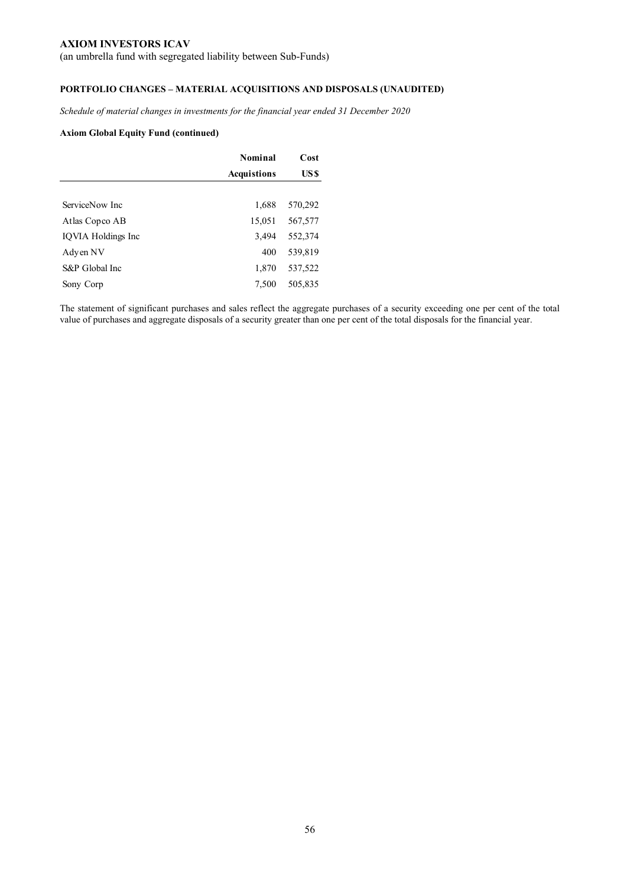(an umbrella fund with segregated liability between Sub-Funds)

## **PORTFOLIO CHANGES – MATERIAL ACQUISITIONS AND DISPOSALS (UNAUDITED)**

*Schedule of material changes in investments for the financial year ended 31 December 2020* 

### **Axiom Global Equity Fund (continued)**

| Nominal            |         |
|--------------------|---------|
| <b>Acquistions</b> | US \$   |
|                    |         |
| 1,688              | 570,292 |
| 15,051             | 567,577 |
| 3,494              | 552,374 |
| 400                | 539,819 |
| 1,870              | 537,522 |
| 7,500              | 505,835 |
|                    |         |

The statement of significant purchases and sales reflect the aggregate purchases of a security exceeding one per cent of the total value of purchases and aggregate disposals of a security greater than one per cent of the total disposals for the financial year.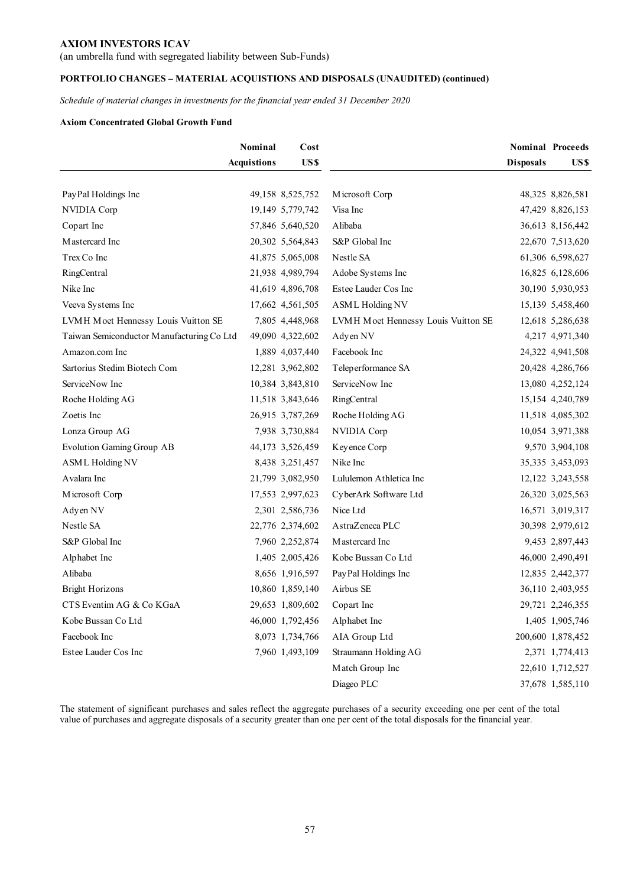(an umbrella fund with segregated liability between Sub-Funds)

## **PORTFOLIO CHANGES – MATERIAL ACQUISTIONS AND DISPOSALS (UNAUDITED) (continued)**

*Schedule of material changes in investments for the financial year ended 31 December 2020* 

### **Axiom Concentrated Global Growth Fund**

|                                           | Nominal            | Cost             |                                     |                  | <b>Nominal Proceeds</b> |
|-------------------------------------------|--------------------|------------------|-------------------------------------|------------------|-------------------------|
|                                           | <b>Acquistions</b> | US\$             |                                     | <b>Disposals</b> | US \$                   |
|                                           |                    |                  |                                     |                  |                         |
| Pay Pal Holdings Inc                      |                    | 49,158 8,525,752 | Microsoft Corp                      |                  | 48,325 8,826,581        |
| NVIDIA Corp                               |                    | 19,149 5,779,742 | Visa Inc                            |                  | 47,429 8,826,153        |
| Copart Inc                                |                    | 57,846 5,640,520 | Alibaba                             |                  | 36,613 8,156,442        |
| Mastercard Inc                            |                    | 20,302 5,564,843 | S&P Global Inc                      |                  | 22,670 7,513,620        |
| Trex Co Inc                               |                    | 41,875 5,065,008 | Nestle SA                           |                  | 61,306 6,598,627        |
| RingCentral                               |                    | 21,938 4,989,794 | Adobe Systems Inc                   |                  | 16,825 6,128,606        |
| Nike Inc                                  |                    | 41,619 4,896,708 | Estee Lauder Cos Inc                |                  | 30,190 5,930,953        |
| Veeva Systems Inc                         |                    | 17,662 4,561,505 | <b>ASML Holding NV</b>              |                  | 15,139 5,458,460        |
| LVMH Moet Hennessy Louis Vuitton SE       |                    | 7,805 4,448,968  | LVMH Moet Hennessy Louis Vuitton SE |                  | 12,618 5,286,638        |
| Taiwan Semiconductor Manufacturing Co Ltd |                    | 49,090 4,322,602 | Adyen NV                            |                  | 4,217 4,971,340         |
| Amazon.com Inc                            |                    | 1,889 4,037,440  | Facebook Inc                        |                  | 24,322 4,941,508        |
| Sartorius Stedim Biotech Com              |                    | 12,281 3,962,802 | Teleperformance SA                  |                  | 20,428 4,286,766        |
| ServiceNow Inc                            |                    | 10,384 3,843,810 | ServiceNow Inc                      |                  | 13,080 4,252,124        |
| Roche Holding AG                          |                    | 11,518 3,843,646 | RingCentral                         |                  | 15,154 4,240,789        |
| Zoetis Inc                                |                    | 26,915 3,787,269 | Roche Holding AG                    |                  | 11,518 4,085,302        |
| Lonza Group AG                            |                    | 7,938 3,730,884  | NVIDIA Corp                         |                  | 10,054 3,971,388        |
| <b>Evolution Gaming Group AB</b>          |                    | 44,173 3,526,459 | Keyence Corp                        |                  | 9,570 3,904,108         |
| <b>ASML Holding NV</b>                    |                    | 8,438 3,251,457  | Nike Inc                            |                  | 35,335 3,453,093        |
| Avalara Inc                               |                    | 21,799 3,082,950 | Lululemon Athletica Inc             |                  | 12,122 3,243,558        |
| Microsoft Corp                            |                    | 17,553 2,997,623 | CyberArk Software Ltd               |                  | 26,320 3,025,563        |
| Adyen NV                                  |                    | 2,301 2,586,736  | Nice Ltd                            |                  | 16,571 3,019,317        |
| Nestle SA                                 |                    | 22,776 2,374,602 | AstraZeneca PLC                     |                  | 30,398 2,979,612        |
| S&P Global Inc                            |                    | 7,960 2,252,874  | Mastercard Inc                      |                  | 9,453 2,897,443         |
| Alphabet Inc                              |                    | 1,405 2,005,426  | Kobe Bussan Co Ltd                  |                  | 46,000 2,490,491        |
| Alibaba                                   |                    | 8,656 1,916,597  | PayPal Holdings Inc                 |                  | 12,835 2,442,377        |
| <b>Bright Horizons</b>                    |                    | 10,860 1,859,140 | Airbus SE                           |                  | 36,110 2,403,955        |
| CTS Eventim AG & Co KGaA                  |                    | 29,653 1,809,602 | Copart Inc                          |                  | 29,721 2,246,355        |
| Kobe Bussan Co Ltd                        |                    | 46,000 1,792,456 | Alphabet Inc                        |                  | 1,405 1,905,746         |
| Facebook Inc                              |                    | 8,073 1,734,766  | AIA Group Ltd                       |                  | 200,600 1,878,452       |
| Estee Lauder Cos Inc                      |                    | 7,960 1,493,109  | Straumann Holding AG                |                  | 2,371 1,774,413         |
|                                           |                    |                  | Match Group Inc                     |                  | 22,610 1,712,527        |
|                                           |                    |                  | Diageo PLC                          |                  | 37,678 1,585,110        |

The statement of significant purchases and sales reflect the aggregate purchases of a security exceeding one per cent of the total value of purchases and aggregate disposals of a security greater than one per cent of the total disposals for the financial year.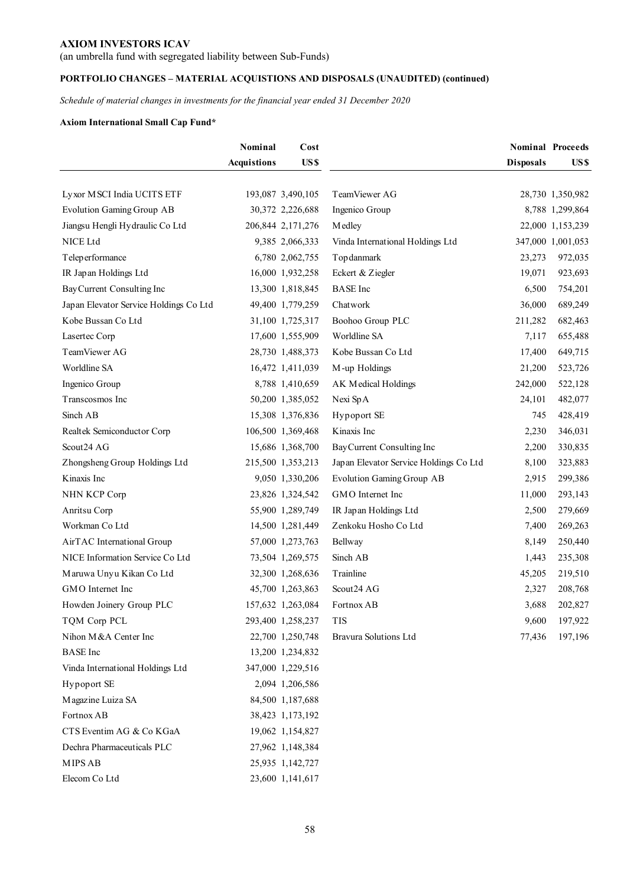(an umbrella fund with segregated liability between Sub-Funds)

## **PORTFOLIO CHANGES – MATERIAL ACQUISTIONS AND DISPOSALS (UNAUDITED) (continued)**

*Schedule of material changes in investments for the financial year ended 31 December 2020* 

## **Axiom International Small Cap Fund\***

|                                        | Nominal            | Cost              |                                        |                  | <b>Nominal Proceeds</b> |
|----------------------------------------|--------------------|-------------------|----------------------------------------|------------------|-------------------------|
|                                        | <b>Acquistions</b> | US\$              |                                        | <b>Disposals</b> | US \$                   |
|                                        |                    |                   |                                        |                  |                         |
| Lyxor MSCI India UCITS ETF             |                    | 193,087 3,490,105 | TeamViewer AG                          |                  | 28,730 1,350,982        |
| Evolution Gaming Group AB              |                    | 30,372 2,226,688  | Ingenico Group                         |                  | 8,788 1,299,864         |
| Jiangsu Hengli Hydraulic Co Ltd        |                    | 206,844 2,171,276 | Medley                                 |                  | 22,000 1,153,239        |
| NICE Ltd                               |                    | 9,385 2,066,333   | Vinda International Holdings Ltd       |                  | 347,000 1,001,053       |
| Teleperformance                        |                    | 6,780 2,062,755   | Topdanmark                             | 23,273           | 972,035                 |
| IR Japan Holdings Ltd                  |                    | 16,000 1,932,258  | Eckert & Ziegler                       | 19,071           | 923,693                 |
| Bay Current Consulting Inc             |                    | 13,300 1,818,845  | <b>BASE</b> Inc                        | 6,500            | 754,201                 |
| Japan Elevator Service Holdings Co Ltd |                    | 49,400 1,779,259  | Chatwork                               | 36,000           | 689,249                 |
| Kobe Bussan Co Ltd                     |                    | 31,100 1,725,317  | Boohoo Group PLC                       | 211,282          | 682,463                 |
| Lasertec Corp                          |                    | 17,600 1,555,909  | Worldline SA                           | 7,117            | 655,488                 |
| TeamViewer AG                          |                    | 28,730 1,488,373  | Kobe Bussan Co Ltd                     | 17,400           | 649,715                 |
| Worldline SA                           |                    | 16,472 1,411,039  | M-up Holdings                          | 21,200           | 523,726                 |
| Ingenico Group                         |                    | 8,788 1,410,659   | AK Medical Holdings                    | 242,000          | 522,128                 |
| Transcosmos Inc                        |                    | 50,200 1,385,052  | Nexi SpA                               | 24,101           | 482,077                 |
| Sinch AB                               |                    | 15,308 1,376,836  | Hypoport SE                            | 745              | 428,419                 |
| Realtek Semiconductor Corp             |                    | 106,500 1,369,468 | Kinaxis Inc                            | 2,230            | 346,031                 |
| Scout24 AG                             |                    | 15,686 1,368,700  | Bay Current Consulting Inc             | 2,200            | 330,835                 |
| Zhongsheng Group Holdings Ltd          |                    | 215,500 1,353,213 | Japan Elevator Service Holdings Co Ltd | 8,100            | 323,883                 |
| Kinaxis Inc                            |                    | 9,050 1,330,206   | <b>Evolution Gaming Group AB</b>       | 2,915            | 299,386                 |
| NHN KCP Corp                           |                    | 23,826 1,324,542  | GMO Internet Inc                       | 11,000           | 293,143                 |
| Anritsu Corp                           |                    | 55,900 1,289,749  | IR Japan Holdings Ltd                  | 2,500            | 279,669                 |
| Workman Co Ltd                         |                    | 14,500 1,281,449  | Zenkoku Hosho Co Ltd                   | 7,400            | 269,263                 |
| AirTAC International Group             |                    | 57,000 1,273,763  | Bellway                                | 8,149            | 250,440                 |
| NICE Information Service Co Ltd        |                    | 73,504 1,269,575  | Sinch AB                               | 1,443            | 235,308                 |
| Maruwa Unyu Kikan Co Ltd               |                    | 32,300 1,268,636  | Trainline                              | 45,205           | 219,510                 |
| GMO Internet Inc                       |                    | 45,700 1,263,863  | Scout24 AG                             | 2,327            | 208,768                 |
| Howden Joinery Group PLC               |                    | 157,632 1,263,084 | Fortnox AB                             | 3,688            | 202,827                 |
| TQM Corp PCL                           |                    | 293,400 1,258,237 | <b>TIS</b>                             | 9,600            | 197,922                 |
| Nihon M & A Center Inc                 |                    | 22,700 1,250,748  | Bravura Solutions Ltd                  | 77,436           | 197,196                 |
| <b>BASE</b> Inc                        |                    | 13,200 1,234,832  |                                        |                  |                         |
| Vinda International Holdings Ltd       |                    | 347,000 1,229,516 |                                        |                  |                         |
| Hypoport SE                            |                    | 2,094 1,206,586   |                                        |                  |                         |
| Magazine Luiza SA                      |                    | 84,500 1,187,688  |                                        |                  |                         |
| Fortnox AB                             |                    | 38,423 1,173,192  |                                        |                  |                         |
| CTS Eventim AG & Co KGaA               |                    | 19,062 1,154,827  |                                        |                  |                         |
| Dechra Pharmaceuticals PLC             |                    | 27,962 1,148,384  |                                        |                  |                         |
| MIPS AB                                |                    | 25,935 1,142,727  |                                        |                  |                         |
| Elecom Co Ltd                          |                    | 23,600 1,141,617  |                                        |                  |                         |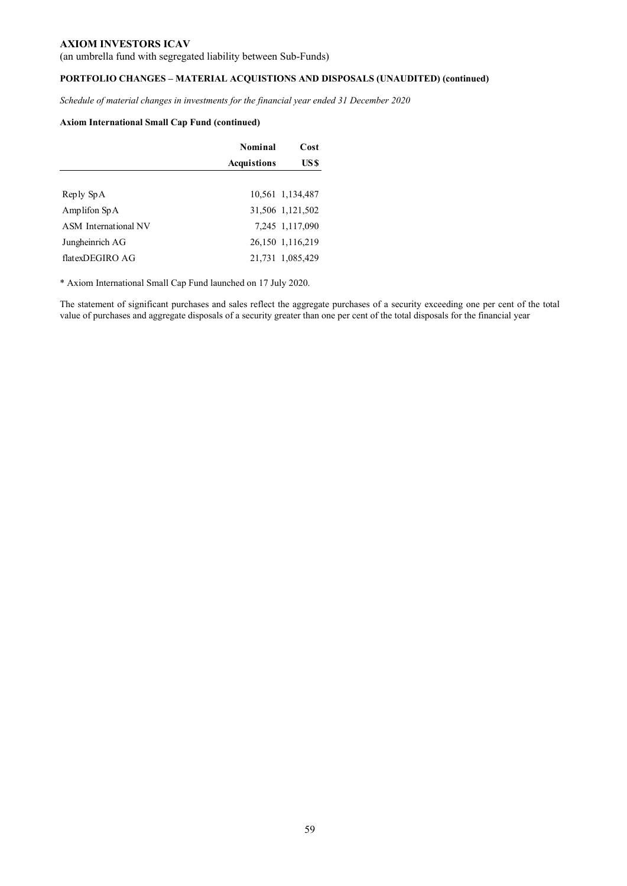(an umbrella fund with segregated liability between Sub-Funds)

## **PORTFOLIO CHANGES – MATERIAL ACQUISTIONS AND DISPOSALS (UNAUDITED) (continued)**

*Schedule of material changes in investments for the financial year ended 31 December 2020* 

### **Axiom International Small Cap Fund (continued)**

|                      | Nominal            |                  |
|----------------------|--------------------|------------------|
|                      | <b>Acquistions</b> | US \$            |
|                      |                    |                  |
| Reply SpA            |                    | 10,561 1,134,487 |
| Amplifon $SpA$       |                    | 31,506 1,121,502 |
| ASM International NV |                    | 7,245 1,117,090  |
| Jungheinrich AG      |                    | 26,150 1,116,219 |
| flatexDEGIRO AG      |                    | 21,731 1,085,429 |

\* Axiom International Small Cap Fund launched on 17 July 2020.

The statement of significant purchases and sales reflect the aggregate purchases of a security exceeding one per cent of the total value of purchases and aggregate disposals of a security greater than one per cent of the total disposals for the financial year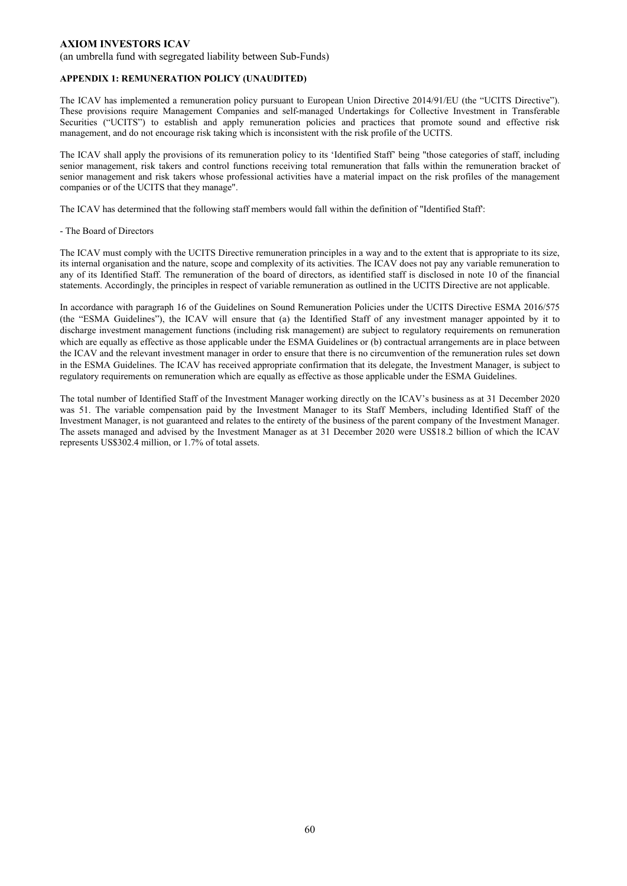(an umbrella fund with segregated liability between Sub-Funds)

#### **APPENDIX 1: REMUNERATION POLICY (UNAUDITED)**

The ICAV has implemented a remuneration policy pursuant to European Union Directive 2014/91/EU (the "UCITS Directive"). These provisions require Management Companies and self-managed Undertakings for Collective Investment in Transferable Securities ("UCITS") to establish and apply remuneration policies and practices that promote sound and effective risk management, and do not encourage risk taking which is inconsistent with the risk profile of the UCITS.

The ICAV shall apply the provisions of its remuneration policy to its 'Identified Staff' being "those categories of staff, including senior management, risk takers and control functions receiving total remuneration that falls within the remuneration bracket of senior management and risk takers whose professional activities have a material impact on the risk profiles of the management companies or of the UCITS that they manage".

The ICAV has determined that the following staff members would fall within the definition of "Identified Staff':

#### - The Board of Directors

The ICAV must comply with the UCITS Directive remuneration principles in a way and to the extent that is appropriate to its size, its internal organisation and the nature, scope and complexity of its activities. The ICAV does not pay any variable remuneration to any of its Identified Staff. The remuneration of the board of directors, as identified staff is disclosed in note 10 of the financial statements. Accordingly, the principles in respect of variable remuneration as outlined in the UCITS Directive are not applicable.

In accordance with paragraph 16 of the Guidelines on Sound Remuneration Policies under the UCITS Directive ESMA 2016/575 (the "ESMA Guidelines"), the ICAV will ensure that (a) the Identified Staff of any investment manager appointed by it to discharge investment management functions (including risk management) are subject to regulatory requirements on remuneration which are equally as effective as those applicable under the ESMA Guidelines or (b) contractual arrangements are in place between the ICAV and the relevant investment manager in order to ensure that there is no circumvention of the remuneration rules set down in the ESMA Guidelines. The ICAV has received appropriate confirmation that its delegate, the Investment Manager, is subject to regulatory requirements on remuneration which are equally as effective as those applicable under the ESMA Guidelines.

The total number of Identified Staff of the Investment Manager working directly on the ICAV's business as at 31 December 2020 was 51. The variable compensation paid by the Investment Manager to its Staff Members, including Identified Staff of the Investment Manager, is not guaranteed and relates to the entirety of the business of the parent company of the Investment Manager. The assets managed and advised by the Investment Manager as at 31 December 2020 were US\$18.2 billion of which the ICAV represents US\$302.4 million, or 1.7% of total assets.